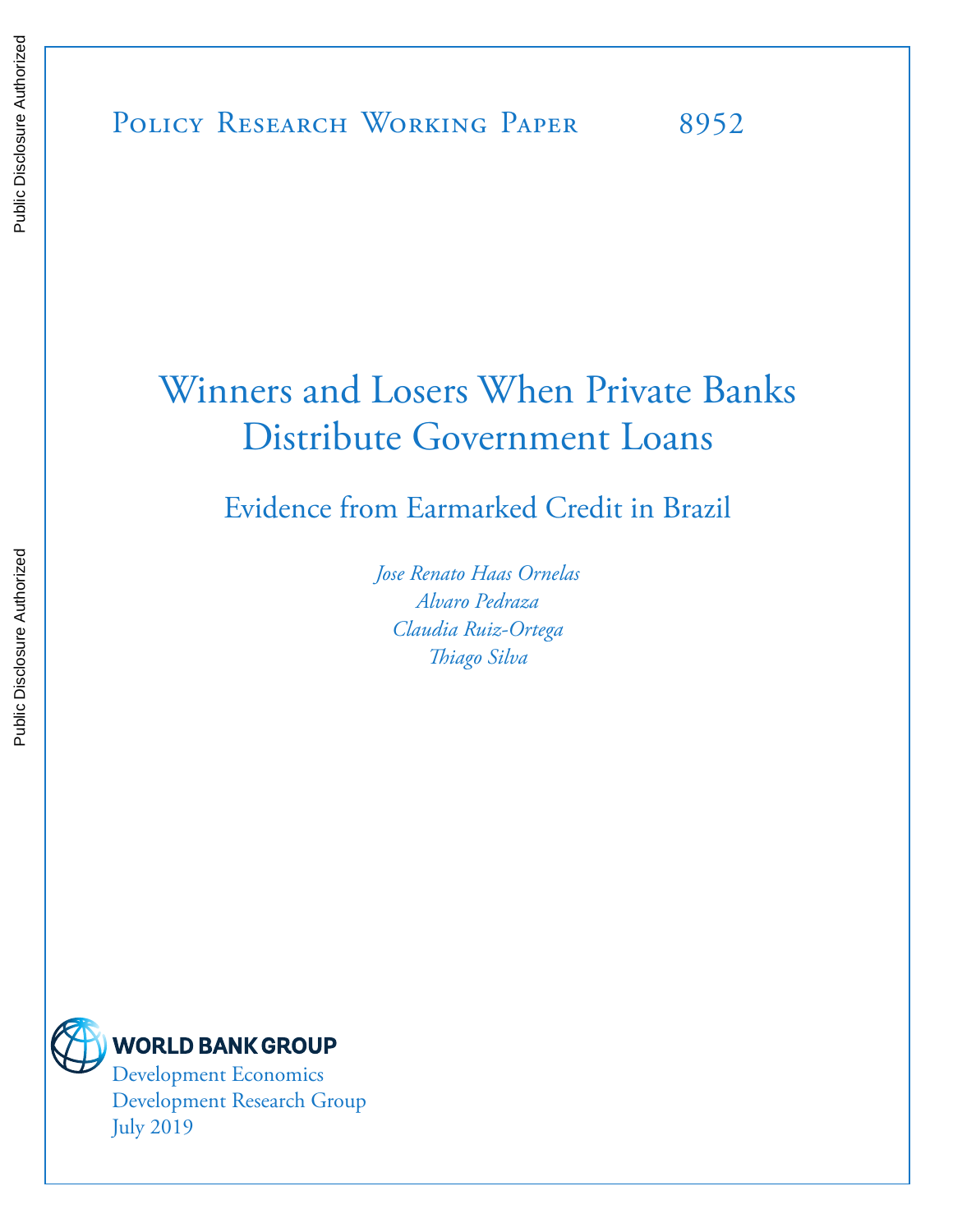# Winners and Losers When Private Banks Distribute Government Loans

Evidence from Earmarked Credit in Brazil

*Jose Renato Haas Ornelas Alvaro Pedraza Claudia Ruiz-Ortega Thiago Silva* 



Development Research Group July 2019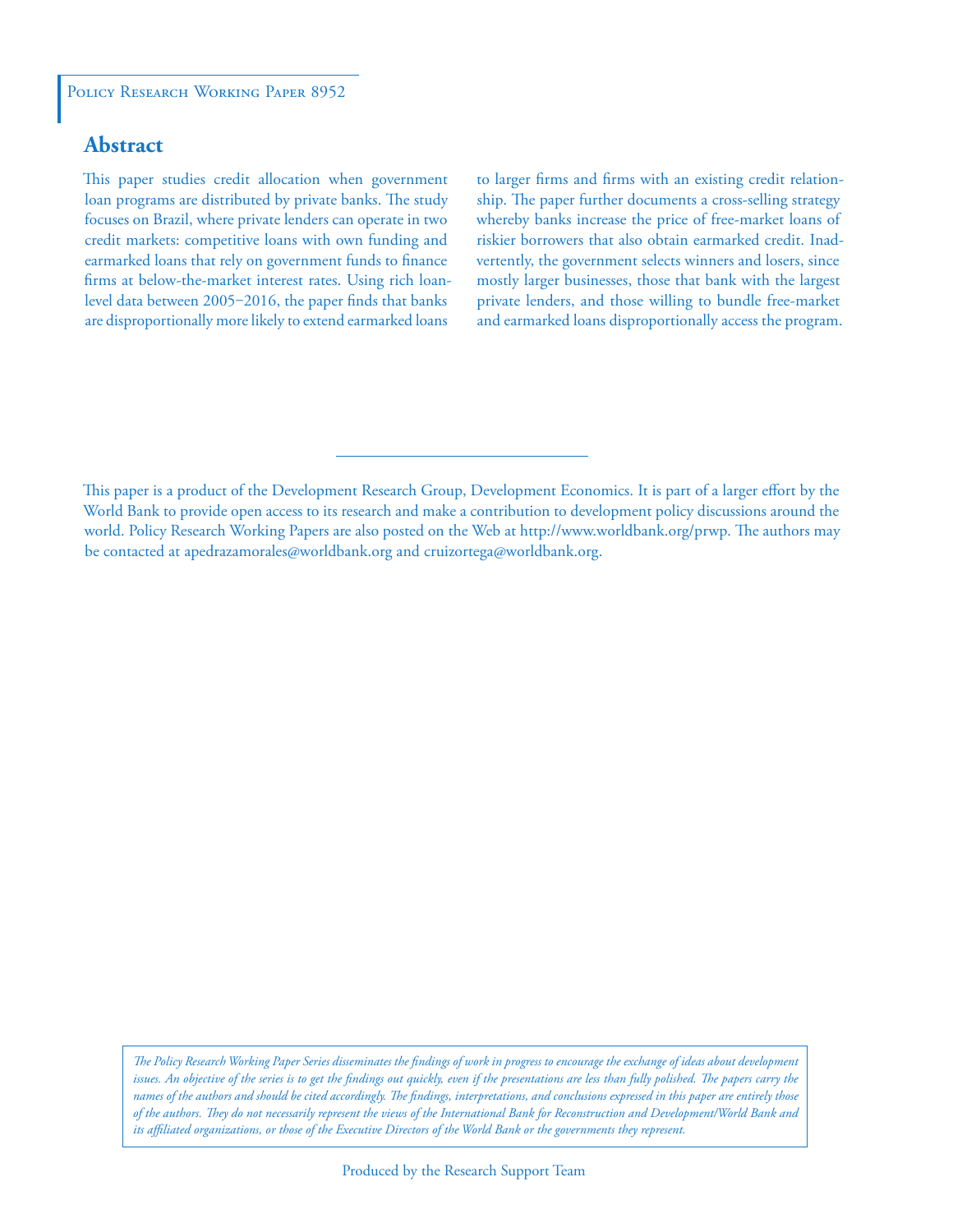## **Abstract**

This paper studies credit allocation when government loan programs are distributed by private banks. The study focuses on Brazil, where private lenders can operate in two credit markets: competitive loans with own funding and earmarked loans that rely on government funds to finance firms at below-the-market interest rates. Using rich loanlevel data between 2005-2016, the paper finds that banks are disproportionally more likely to extend earmarked loans

to larger firms and firms with an existing credit relationship. The paper further documents a cross-selling strategy whereby banks increase the price of free-market loans of riskier borrowers that also obtain earmarked credit. Inadvertently, the government selects winners and losers, since mostly larger businesses, those that bank with the largest private lenders, and those willing to bundle free-market and earmarked loans disproportionally access the program.

This paper is a product of the Development Research Group, Development Economics. It is part of a larger effort by the World Bank to provide open access to its research and make a contribution to development policy discussions around the world. Policy Research Working Papers are also posted on the Web at http://www.worldbank.org/prwp. The authors may be contacted at apedrazamorales@worldbank.org and cruizortega@worldbank.org.

*The Policy Research Working Paper Series disseminates the findings of work in progress to encourage the exchange of ideas about development*  issues. An objective of the series is to get the findings out quickly, even if the presentations are less than fully polished. The papers carry the *names of the authors and should be cited accordingly. The findings, interpretations, and conclusions expressed in this paper are entirely those of the authors. They do not necessarily represent the views of the International Bank for Reconstruction and Development/World Bank and its affiliated organizations, or those of the Executive Directors of the World Bank or the governments they represent.*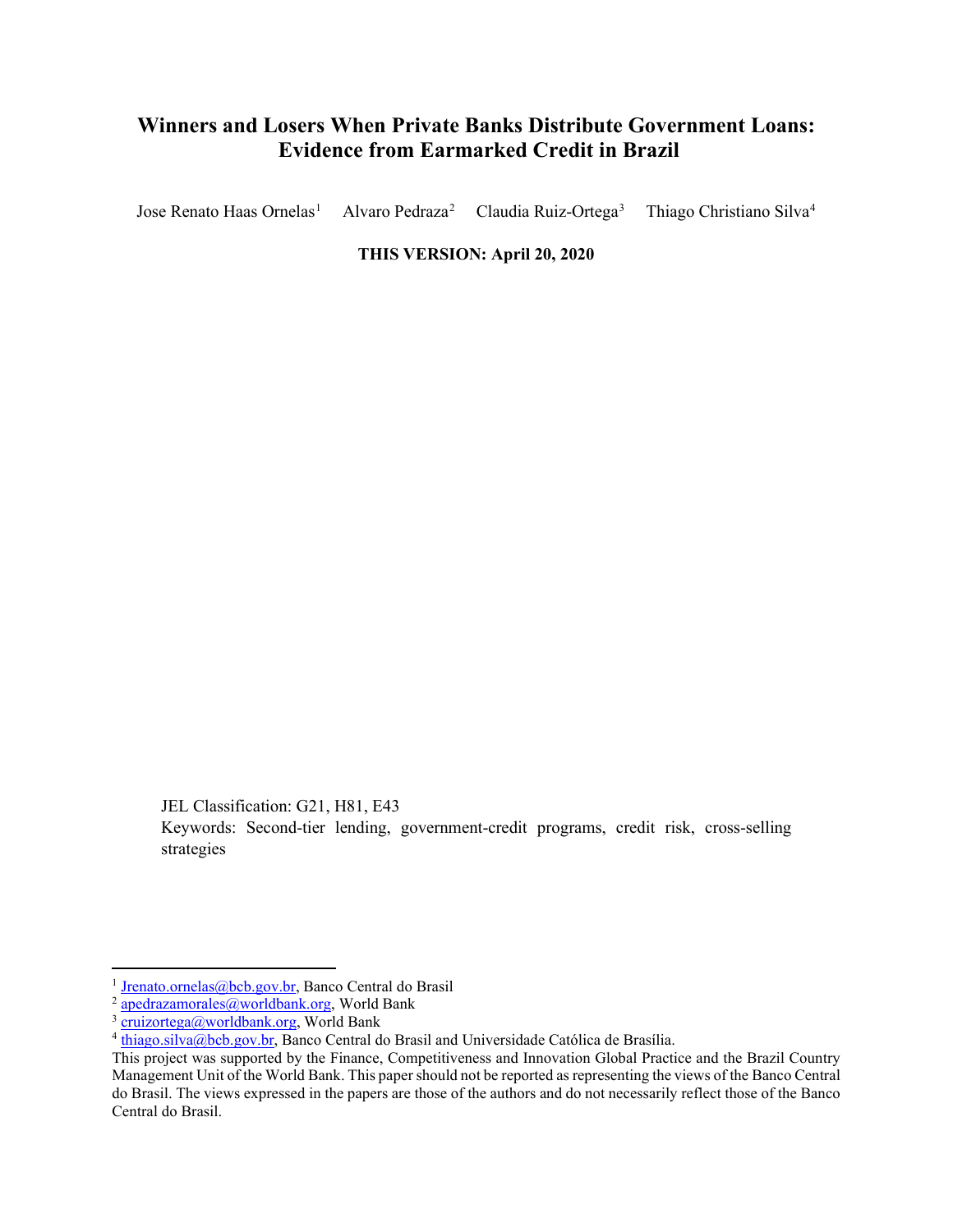# **Winners and Losers When Private Banks Distribute Government Loans: Evidence from Earmarked Credit in Brazil**

Jose Renato Haas Ornelas<sup>[1](#page-2-0)</sup> Alvaro Pedraza[2](#page-2-1) Claudia Ruiz-Ortega<sup>[3](#page-2-2)</sup> Thiago Christiano Silva[4](#page-2-3)

**THIS VERSION: April 20, 2020** 

JEL Classification: G21, H81, E43

Keywords: Second-tier lending, government-credit programs, credit risk, cross-selling strategies

<span id="page-2-0"></span><sup>&</sup>lt;sup>1</sup> [Jrenato.ornelas@bcb.gov.br,](mailto:Jrenato.ornelas@bcb.gov.br) Banco Central do Brasil

<span id="page-2-1"></span><sup>2</sup> [apedrazamorales@worldbank.org,](mailto:apedrazamorales@worldbank.org) World Bank

<span id="page-2-2"></span><sup>&</sup>lt;sup>3</sup> [cruizortega@worldbank.org,](mailto:cruizortega@worldbank.org) World Bank

<span id="page-2-3"></span> $4$  [thiago.silva@bcb.gov.br,](mailto:thiago.silva@bcb.gov.br) Banco Central do Brasil and Universidade Católica de Brasília.

This project was supported by the Finance, Competitiveness and Innovation Global Practice and the Brazil Country Management Unit of the World Bank. This paper should not be reported as representing the views of the Banco Central do Brasil. The views expressed in the papers are those of the authors and do not necessarily reflect those of the Banco Central do Brasil.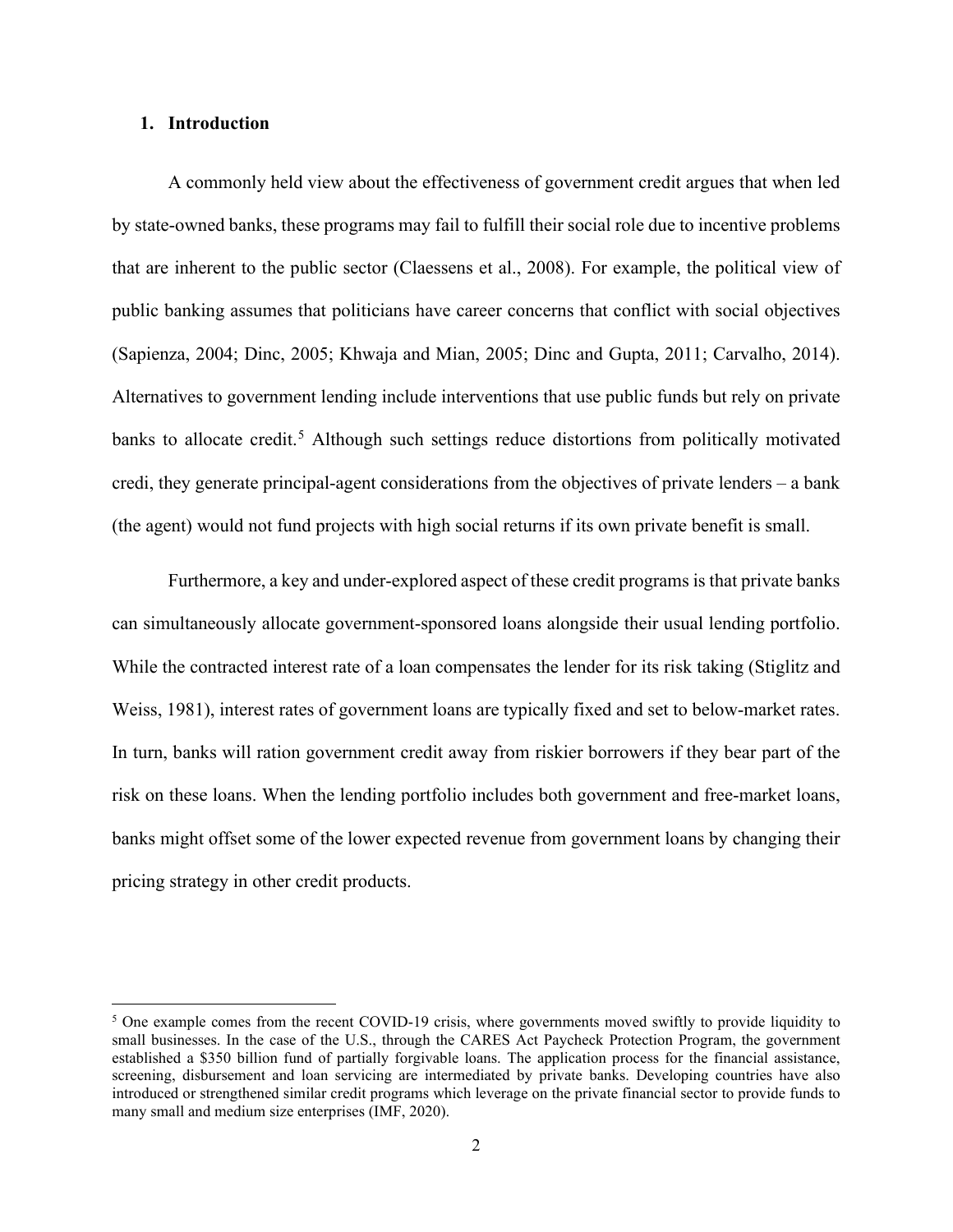#### **1. Introduction**

A commonly held view about the effectiveness of government credit argues that when led by state-owned banks, these programs may fail to fulfill their social role due to incentive problems that are inherent to the public sector (Claessens et al., 2008). For example, the political view of public banking assumes that politicians have career concerns that conflict with social objectives (Sapienza, 2004; Dinc, 2005; Khwaja and Mian, 2005; Dinc and Gupta, 2011; Carvalho, 2014). Alternatives to government lending include interventions that use public funds but rely on private banks to allocate credit.<sup>[5](#page-3-0)</sup> Although such settings reduce distortions from politically motivated credi, they generate principal-agent considerations from the objectives of private lenders – a bank (the agent) would not fund projects with high social returns if its own private benefit is small.

Furthermore, a key and under-explored aspect of these credit programs is that private banks can simultaneously allocate government-sponsored loans alongside their usual lending portfolio. While the contracted interest rate of a loan compensates the lender for its risk taking (Stiglitz and Weiss, 1981), interest rates of government loans are typically fixed and set to below-market rates. In turn, banks will ration government credit away from riskier borrowers if they bear part of the risk on these loans. When the lending portfolio includes both government and free-market loans, banks might offset some of the lower expected revenue from government loans by changing their pricing strategy in other credit products.

<span id="page-3-0"></span><sup>&</sup>lt;sup>5</sup> One example comes from the recent COVID-19 crisis, where governments moved swiftly to provide liquidity to small businesses. In the case of the U.S., through the CARES Act Paycheck Protection Program, the government established a \$350 billion fund of partially forgivable loans. The application process for the financial assistance, screening, disbursement and loan servicing are intermediated by private banks. Developing countries have also introduced or strengthened similar credit programs which leverage on the private financial sector to provide funds to many small and medium size enterprises (IMF, 2020).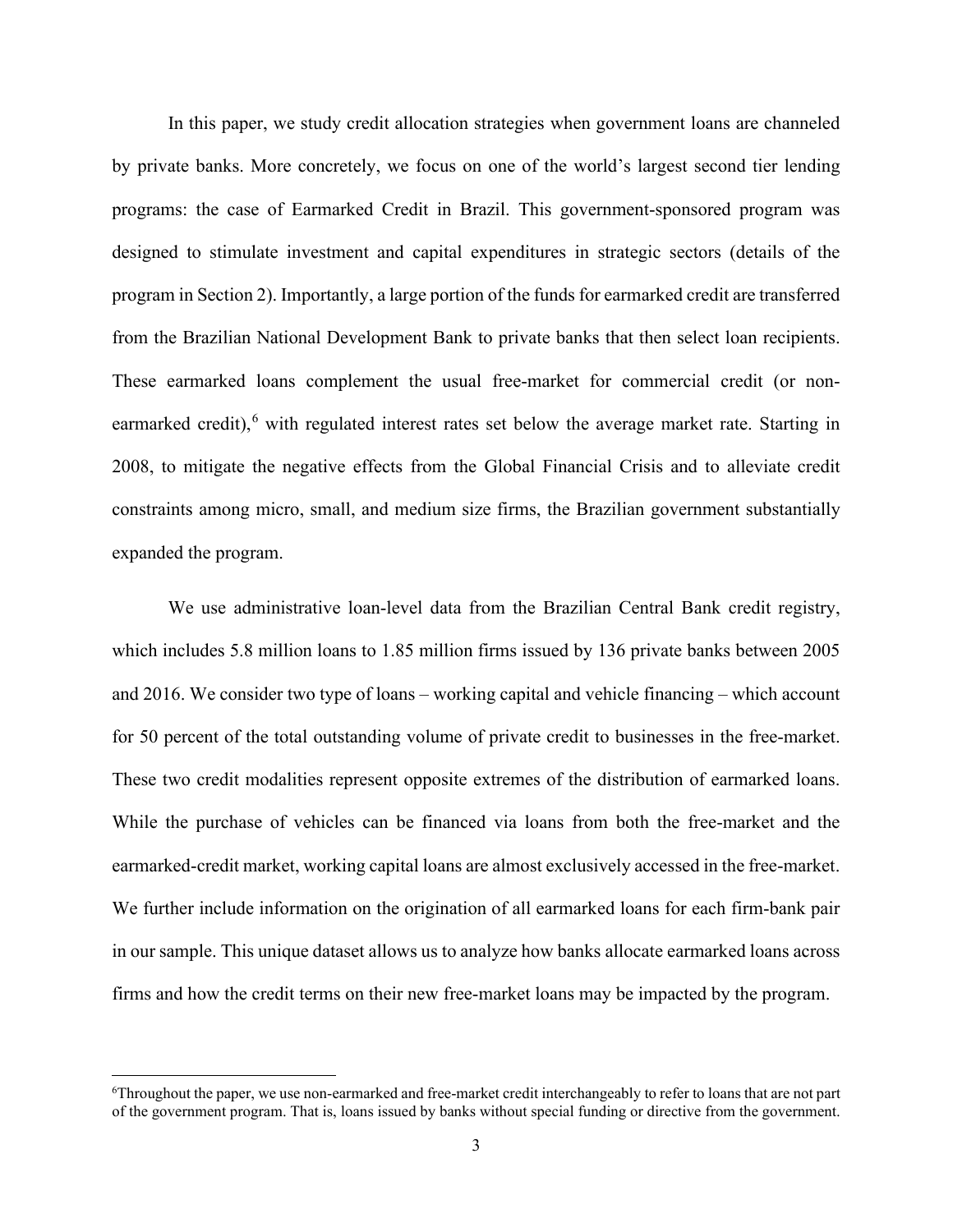In this paper, we study credit allocation strategies when government loans are channeled by private banks. More concretely, we focus on one of the world's largest second tier lending programs: the case of Earmarked Credit in Brazil. This government-sponsored program was designed to stimulate investment and capital expenditures in strategic sectors (details of the program in Section 2). Importantly, a large portion of the funds for earmarked credit are transferred from the Brazilian National Development Bank to private banks that then select loan recipients. These earmarked loans complement the usual free-market for commercial credit (or non-earmarked credit),<sup>[6](#page-4-0)</sup> with regulated interest rates set below the average market rate. Starting in 2008, to mitigate the negative effects from the Global Financial Crisis and to alleviate credit constraints among micro, small, and medium size firms, the Brazilian government substantially expanded the program.

We use administrative loan-level data from the Brazilian Central Bank credit registry, which includes 5.8 million loans to 1.85 million firms issued by 136 private banks between 2005 and 2016. We consider two type of loans – working capital and vehicle financing – which account for 50 percent of the total outstanding volume of private credit to businesses in the free-market. These two credit modalities represent opposite extremes of the distribution of earmarked loans. While the purchase of vehicles can be financed via loans from both the free-market and the earmarked-credit market, working capital loans are almost exclusively accessed in the free-market. We further include information on the origination of all earmarked loans for each firm-bank pair in our sample. This unique dataset allows us to analyze how banks allocate earmarked loans across firms and how the credit terms on their new free-market loans may be impacted by the program.

<span id="page-4-0"></span><sup>&</sup>lt;sup>6</sup>Throughout the paper, we use non-earmarked and free-market credit interchangeably to refer to loans that are not part of the government program. That is, loans issued by banks without special funding or directive from the government.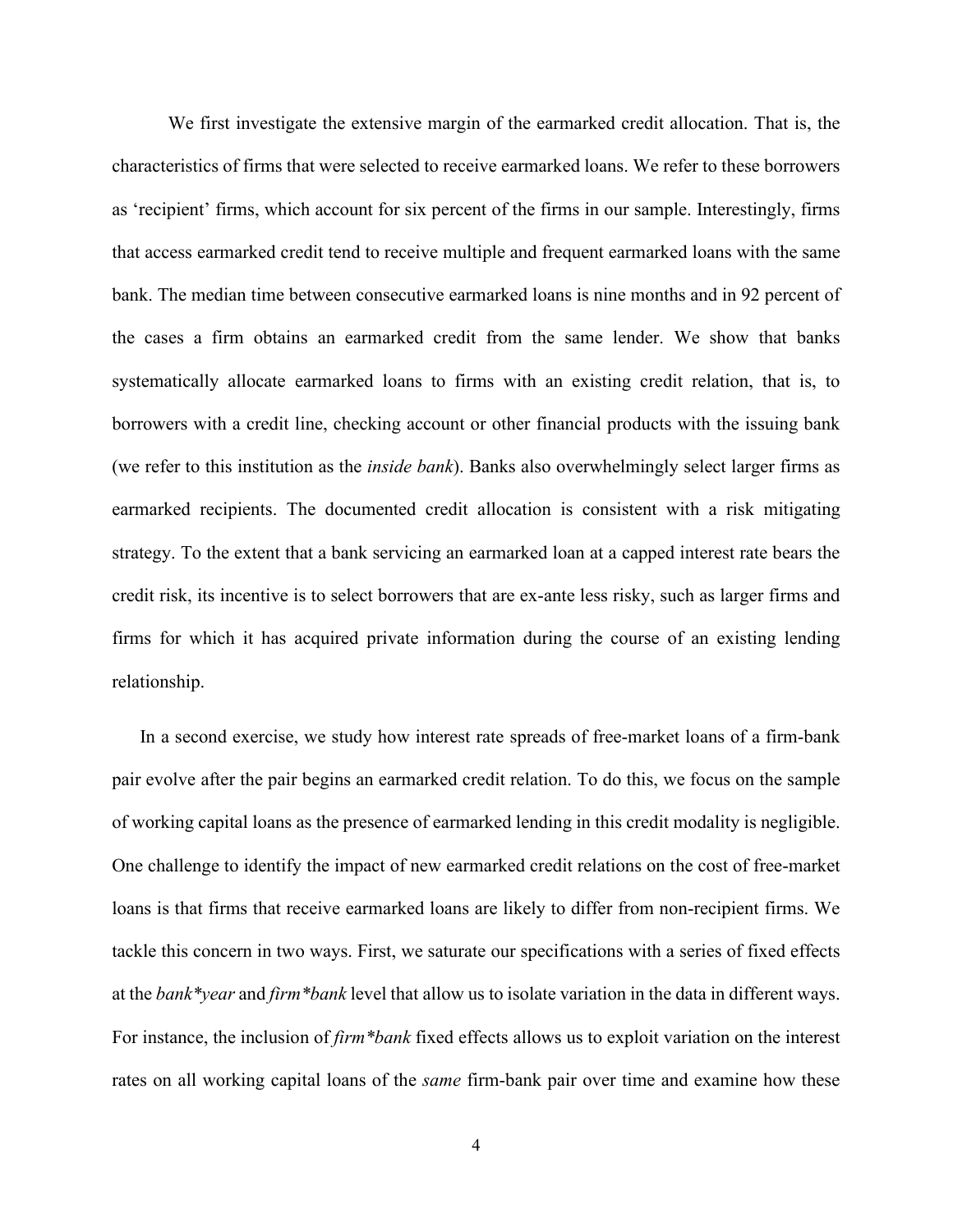We first investigate the extensive margin of the earmarked credit allocation. That is, the characteristics of firms that were selected to receive earmarked loans. We refer to these borrowers as 'recipient' firms, which account for six percent of the firms in our sample. Interestingly, firms that access earmarked credit tend to receive multiple and frequent earmarked loans with the same bank. The median time between consecutive earmarked loans is nine months and in 92 percent of the cases a firm obtains an earmarked credit from the same lender. We show that banks systematically allocate earmarked loans to firms with an existing credit relation, that is, to borrowers with a credit line, checking account or other financial products with the issuing bank (we refer to this institution as the *inside bank*). Banks also overwhelmingly select larger firms as earmarked recipients. The documented credit allocation is consistent with a risk mitigating strategy. To the extent that a bank servicing an earmarked loan at a capped interest rate bears the credit risk, its incentive is to select borrowers that are ex-ante less risky, such as larger firms and firms for which it has acquired private information during the course of an existing lending relationship.

In a second exercise, we study how interest rate spreads of free-market loans of a firm-bank pair evolve after the pair begins an earmarked credit relation. To do this, we focus on the sample of working capital loans as the presence of earmarked lending in this credit modality is negligible. One challenge to identify the impact of new earmarked credit relations on the cost of free-market loans is that firms that receive earmarked loans are likely to differ from non-recipient firms. We tackle this concern in two ways. First, we saturate our specifications with a series of fixed effects at the *bank\*year* and *firm\*bank* level that allow us to isolate variation in the data in different ways. For instance, the inclusion of *firm\*bank* fixed effects allows us to exploit variation on the interest rates on all working capital loans of the *same* firm-bank pair over time and examine how these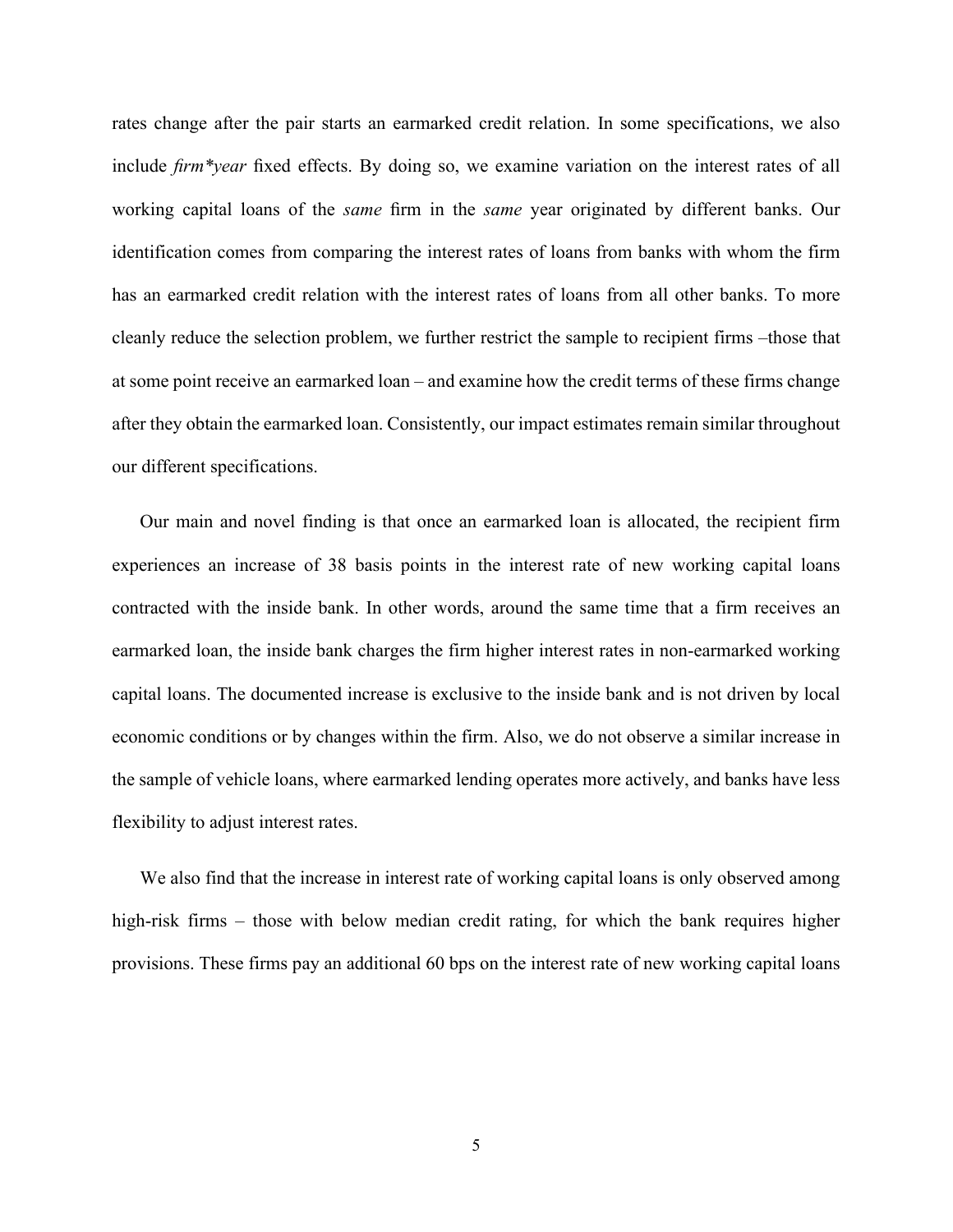rates change after the pair starts an earmarked credit relation. In some specifications, we also include *firm\*year* fixed effects. By doing so, we examine variation on the interest rates of all working capital loans of the *same* firm in the *same* year originated by different banks. Our identification comes from comparing the interest rates of loans from banks with whom the firm has an earmarked credit relation with the interest rates of loans from all other banks. To more cleanly reduce the selection problem, we further restrict the sample to recipient firms –those that at some point receive an earmarked loan – and examine how the credit terms of these firms change after they obtain the earmarked loan. Consistently, our impact estimates remain similar throughout our different specifications.

Our main and novel finding is that once an earmarked loan is allocated, the recipient firm experiences an increase of 38 basis points in the interest rate of new working capital loans contracted with the inside bank. In other words, around the same time that a firm receives an earmarked loan, the inside bank charges the firm higher interest rates in non-earmarked working capital loans. The documented increase is exclusive to the inside bank and is not driven by local economic conditions or by changes within the firm. Also, we do not observe a similar increase in the sample of vehicle loans, where earmarked lending operates more actively, and banks have less flexibility to adjust interest rates.

We also find that the increase in interest rate of working capital loans is only observed among high-risk firms – those with below median credit rating, for which the bank requires higher provisions. These firms pay an additional 60 bps on the interest rate of new working capital loans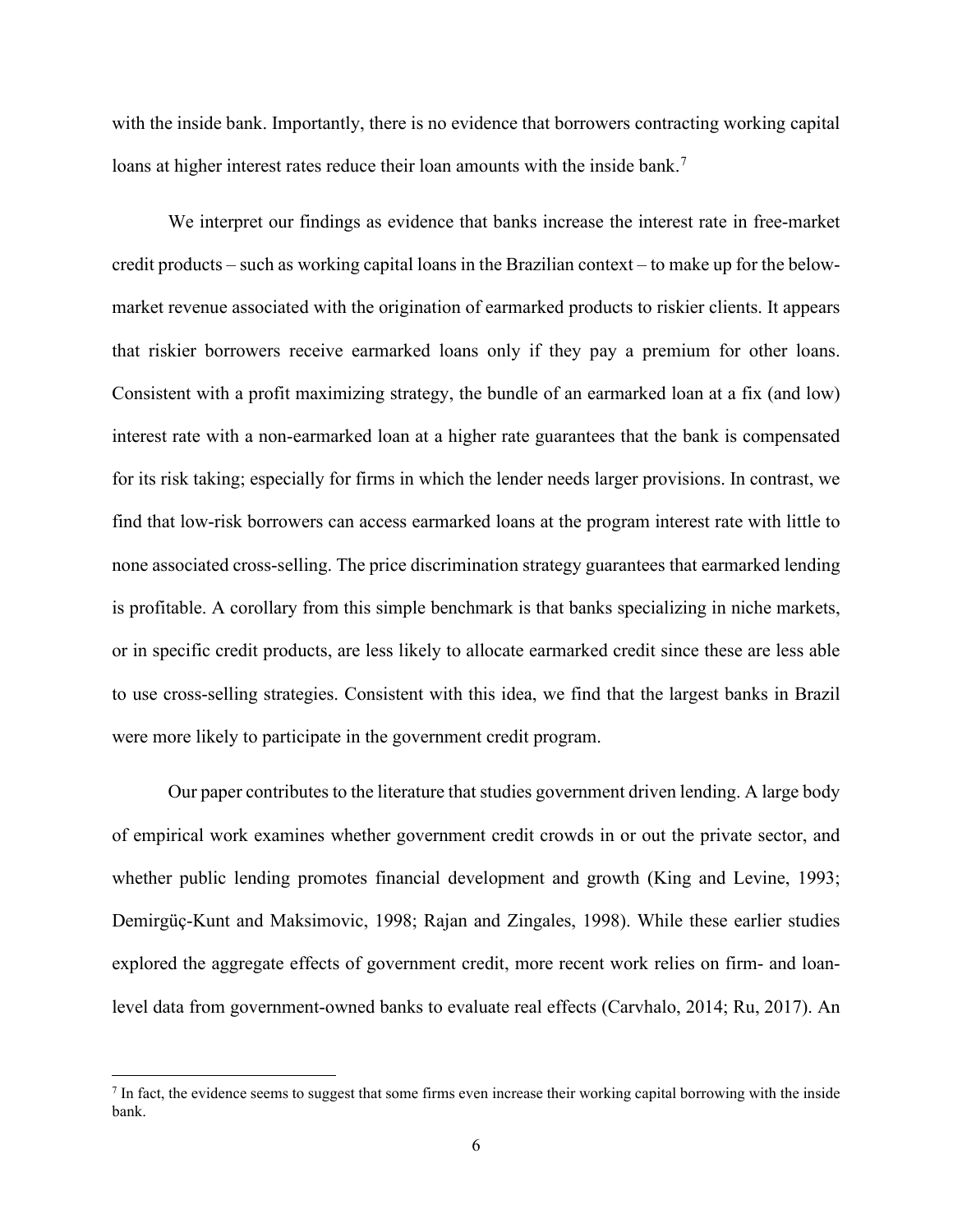with the inside bank. Importantly, there is no evidence that borrowers contracting working capital loans at higher interest rates reduce their loan amounts with the inside bank.<sup>[7](#page-7-0)</sup>

We interpret our findings as evidence that banks increase the interest rate in free-market credit products – such as working capital loans in the Brazilian context – to make up for the belowmarket revenue associated with the origination of earmarked products to riskier clients. It appears that riskier borrowers receive earmarked loans only if they pay a premium for other loans. Consistent with a profit maximizing strategy, the bundle of an earmarked loan at a fix (and low) interest rate with a non-earmarked loan at a higher rate guarantees that the bank is compensated for its risk taking; especially for firms in which the lender needs larger provisions. In contrast, we find that low-risk borrowers can access earmarked loans at the program interest rate with little to none associated cross-selling. The price discrimination strategy guarantees that earmarked lending is profitable. A corollary from this simple benchmark is that banks specializing in niche markets, or in specific credit products, are less likely to allocate earmarked credit since these are less able to use cross-selling strategies. Consistent with this idea, we find that the largest banks in Brazil were more likely to participate in the government credit program.

Our paper contributes to the literature that studies government driven lending. A large body of empirical work examines whether government credit crowds in or out the private sector, and whether public lending promotes financial development and growth (King and Levine, 1993; Demirgüç-Kunt and Maksimovic, 1998; Rajan and Zingales, 1998). While these earlier studies explored the aggregate effects of government credit, more recent work relies on firm- and loanlevel data from government-owned banks to evaluate real effects (Carvhalo, 2014; Ru, 2017). An

<span id="page-7-0"></span><sup>7</sup> In fact, the evidence seems to suggest that some firms even increase their working capital borrowing with the inside bank.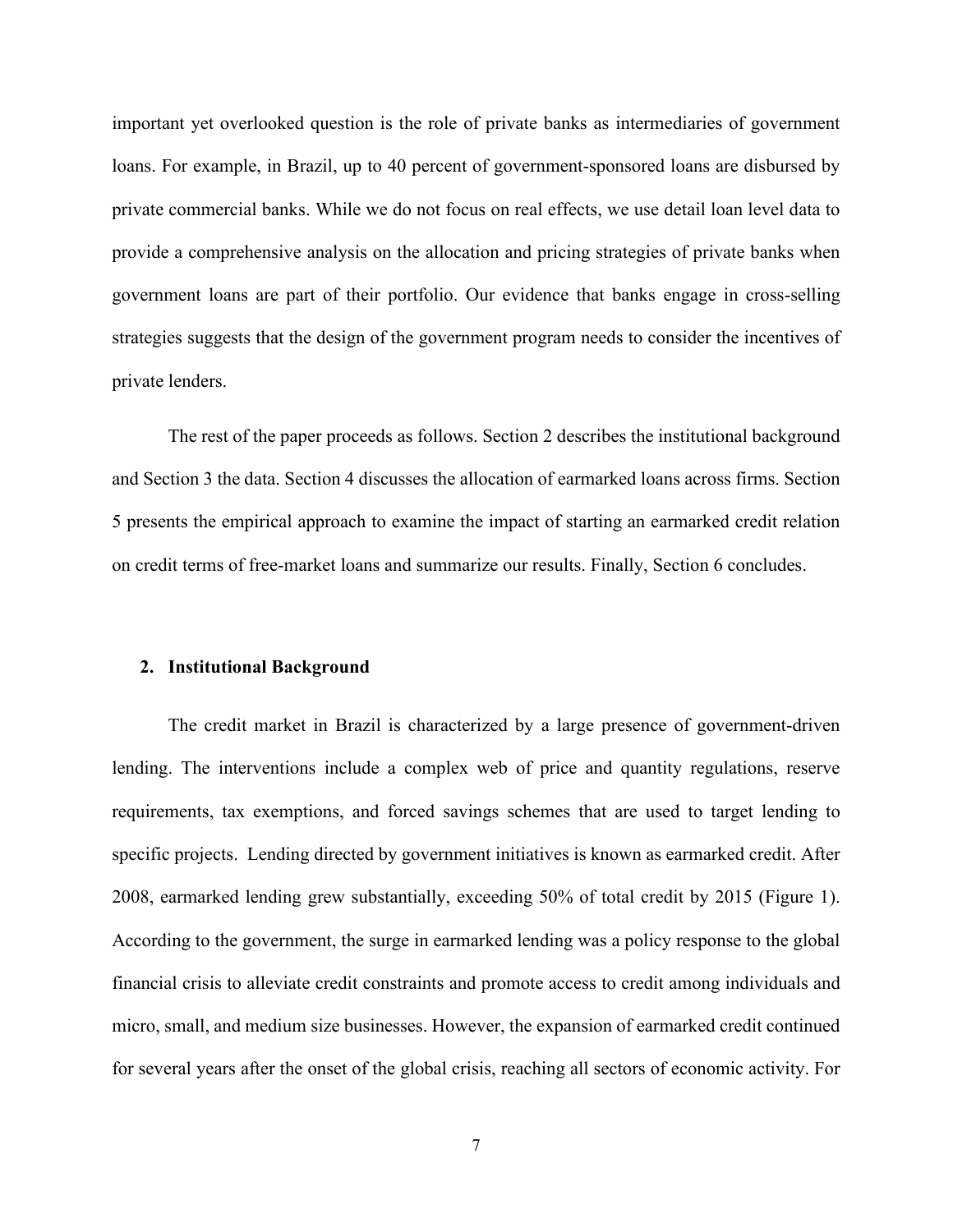important yet overlooked question is the role of private banks as intermediaries of government loans. For example, in Brazil, up to 40 percent of government-sponsored loans are disbursed by private commercial banks. While we do not focus on real effects, we use detail loan level data to provide a comprehensive analysis on the allocation and pricing strategies of private banks when government loans are part of their portfolio. Our evidence that banks engage in cross-selling strategies suggests that the design of the government program needs to consider the incentives of private lenders.

The rest of the paper proceeds as follows. Section 2 describes the institutional background and Section 3 the data. Section 4 discusses the allocation of earmarked loans across firms. Section 5 presents the empirical approach to examine the impact of starting an earmarked credit relation on credit terms of free-market loans and summarize our results. Finally, Section 6 concludes.

#### **2. Institutional Background**

The credit market in Brazil is characterized by a large presence of government-driven lending. The interventions include a complex web of price and quantity regulations, reserve requirements, tax exemptions, and forced savings schemes that are used to target lending to specific projects. Lending directed by government initiatives is known as earmarked credit. After 2008, earmarked lending grew substantially, exceeding 50% of total credit by 2015 (Figure 1). According to the government, the surge in earmarked lending was a policy response to the global financial crisis to alleviate credit constraints and promote access to credit among individuals and micro, small, and medium size businesses. However, the expansion of earmarked credit continued for several years after the onset of the global crisis, reaching all sectors of economic activity. For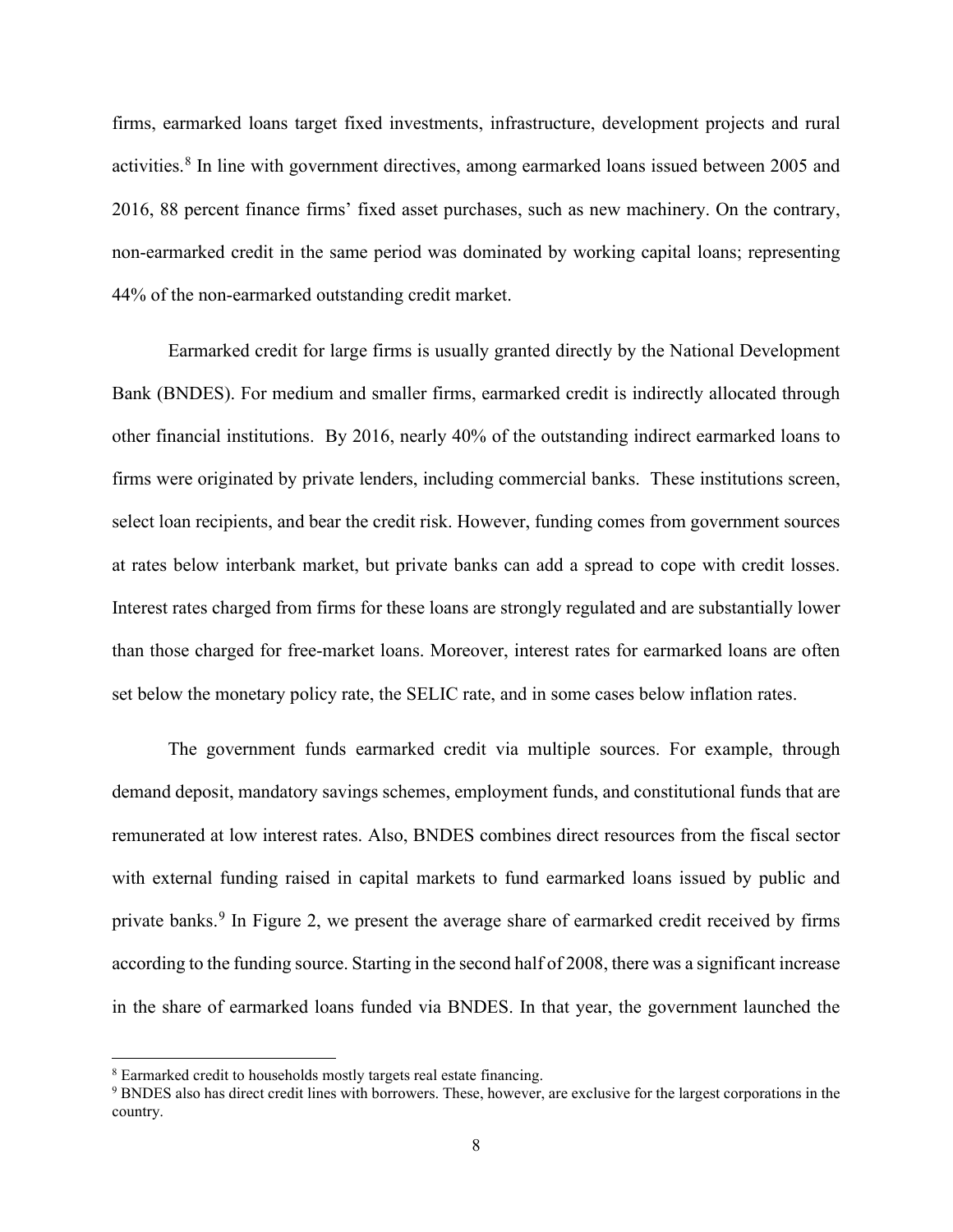firms, earmarked loans target fixed investments, infrastructure, development projects and rural activities.<sup>[8](#page-9-0)</sup> In line with government directives, among earmarked loans issued between 2005 and 2016, 88 percent finance firms' fixed asset purchases, such as new machinery. On the contrary, non-earmarked credit in the same period was dominated by working capital loans; representing 44% of the non-earmarked outstanding credit market.

Earmarked credit for large firms is usually granted directly by the National Development Bank (BNDES). For medium and smaller firms, earmarked credit is indirectly allocated through other financial institutions. By 2016, nearly 40% of the outstanding indirect earmarked loans to firms were originated by private lenders, including commercial banks. These institutions screen, select loan recipients, and bear the credit risk. However, funding comes from government sources at rates below interbank market, but private banks can add a spread to cope with credit losses. Interest rates charged from firms for these loans are strongly regulated and are substantially lower than those charged for free-market loans. Moreover, interest rates for earmarked loans are often set below the monetary policy rate, the SELIC rate, and in some cases below inflation rates.

The government funds earmarked credit via multiple sources. For example, through demand deposit, mandatory savings schemes, employment funds, and constitutional funds that are remunerated at low interest rates. Also, BNDES combines direct resources from the fiscal sector with external funding raised in capital markets to fund earmarked loans issued by public and private banks.<sup>[9](#page-9-1)</sup> In Figure 2, we present the average share of earmarked credit received by firms according to the funding source. Starting in the second half of 2008, there was a significant increase in the share of earmarked loans funded via BNDES. In that year, the government launched the

<span id="page-9-0"></span><sup>8</sup> Earmarked credit to households mostly targets real estate financing.

<span id="page-9-1"></span><sup>&</sup>lt;sup>9</sup> BNDES also has direct credit lines with borrowers. These, however, are exclusive for the largest corporations in the country.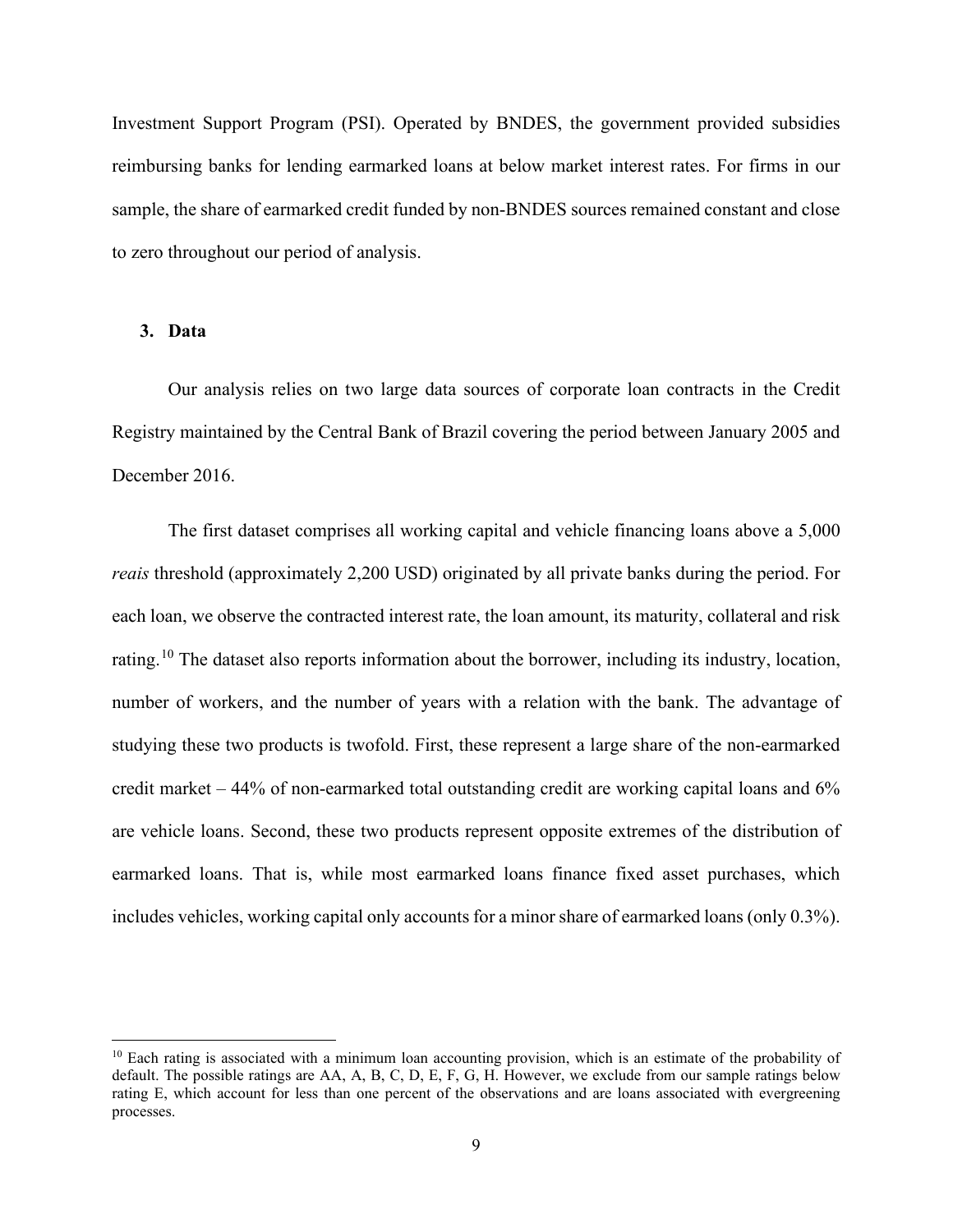Investment Support Program (PSI). Operated by BNDES, the government provided subsidies reimbursing banks for lending earmarked loans at below market interest rates. For firms in our sample, the share of earmarked credit funded by non-BNDES sources remained constant and close to zero throughout our period of analysis.

#### **3. Data**

Our analysis relies on two large data sources of corporate loan contracts in the Credit Registry maintained by the Central Bank of Brazil covering the period between January 2005 and December 2016.

The first dataset comprises all working capital and vehicle financing loans above a 5,000 *reais* threshold (approximately 2,200 USD) originated by all private banks during the period. For each loan, we observe the contracted interest rate, the loan amount, its maturity, collateral and risk rating.<sup>[10](#page-10-0)</sup> The dataset also reports information about the borrower, including its industry, location, number of workers, and the number of years with a relation with the bank. The advantage of studying these two products is twofold. First, these represent a large share of the non-earmarked credit market – 44% of non-earmarked total outstanding credit are working capital loans and 6% are vehicle loans. Second, these two products represent opposite extremes of the distribution of earmarked loans. That is, while most earmarked loans finance fixed asset purchases, which includes vehicles, working capital only accounts for a minor share of earmarked loans (only 0.3%).

<span id="page-10-0"></span><sup>&</sup>lt;sup>10</sup> Each rating is associated with a minimum loan accounting provision, which is an estimate of the probability of default. The possible ratings are AA, A, B, C, D, E, F, G, H. However, we exclude from our sample ratings below rating E, which account for less than one percent of the observations and are loans associated with evergreening processes.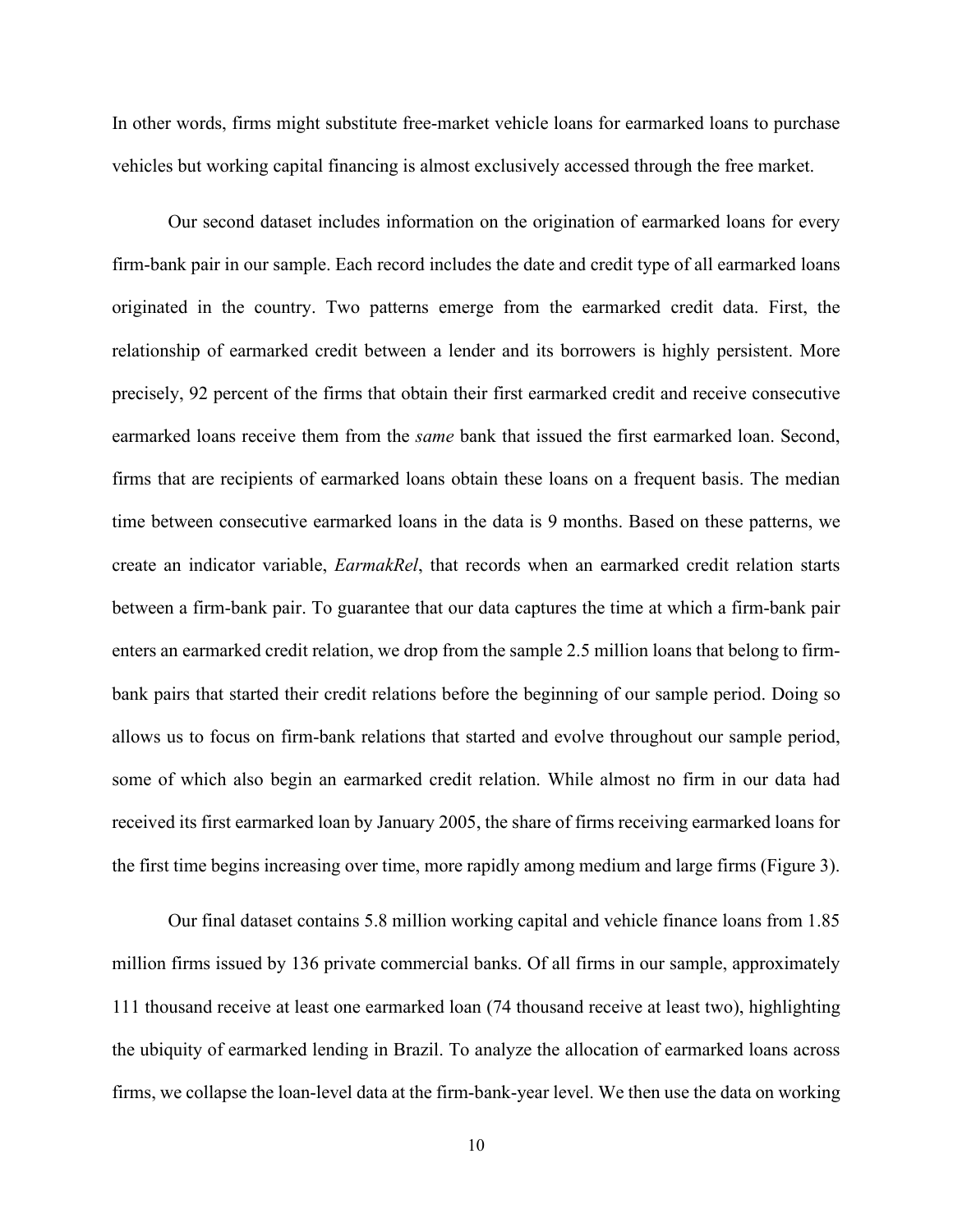In other words, firms might substitute free-market vehicle loans for earmarked loans to purchase vehicles but working capital financing is almost exclusively accessed through the free market.

Our second dataset includes information on the origination of earmarked loans for every firm-bank pair in our sample. Each record includes the date and credit type of all earmarked loans originated in the country. Two patterns emerge from the earmarked credit data. First, the relationship of earmarked credit between a lender and its borrowers is highly persistent. More precisely, 92 percent of the firms that obtain their first earmarked credit and receive consecutive earmarked loans receive them from the *same* bank that issued the first earmarked loan. Second, firms that are recipients of earmarked loans obtain these loans on a frequent basis. The median time between consecutive earmarked loans in the data is 9 months. Based on these patterns, we create an indicator variable, *EarmakRel*, that records when an earmarked credit relation starts between a firm-bank pair. To guarantee that our data captures the time at which a firm-bank pair enters an earmarked credit relation, we drop from the sample 2.5 million loans that belong to firmbank pairs that started their credit relations before the beginning of our sample period. Doing so allows us to focus on firm-bank relations that started and evolve throughout our sample period, some of which also begin an earmarked credit relation. While almost no firm in our data had received its first earmarked loan by January 2005, the share of firms receiving earmarked loans for the first time begins increasing over time, more rapidly among medium and large firms (Figure 3).

Our final dataset contains 5.8 million working capital and vehicle finance loans from 1.85 million firms issued by 136 private commercial banks. Of all firms in our sample, approximately 111 thousand receive at least one earmarked loan (74 thousand receive at least two), highlighting the ubiquity of earmarked lending in Brazil. To analyze the allocation of earmarked loans across firms, we collapse the loan-level data at the firm-bank-year level. We then use the data on working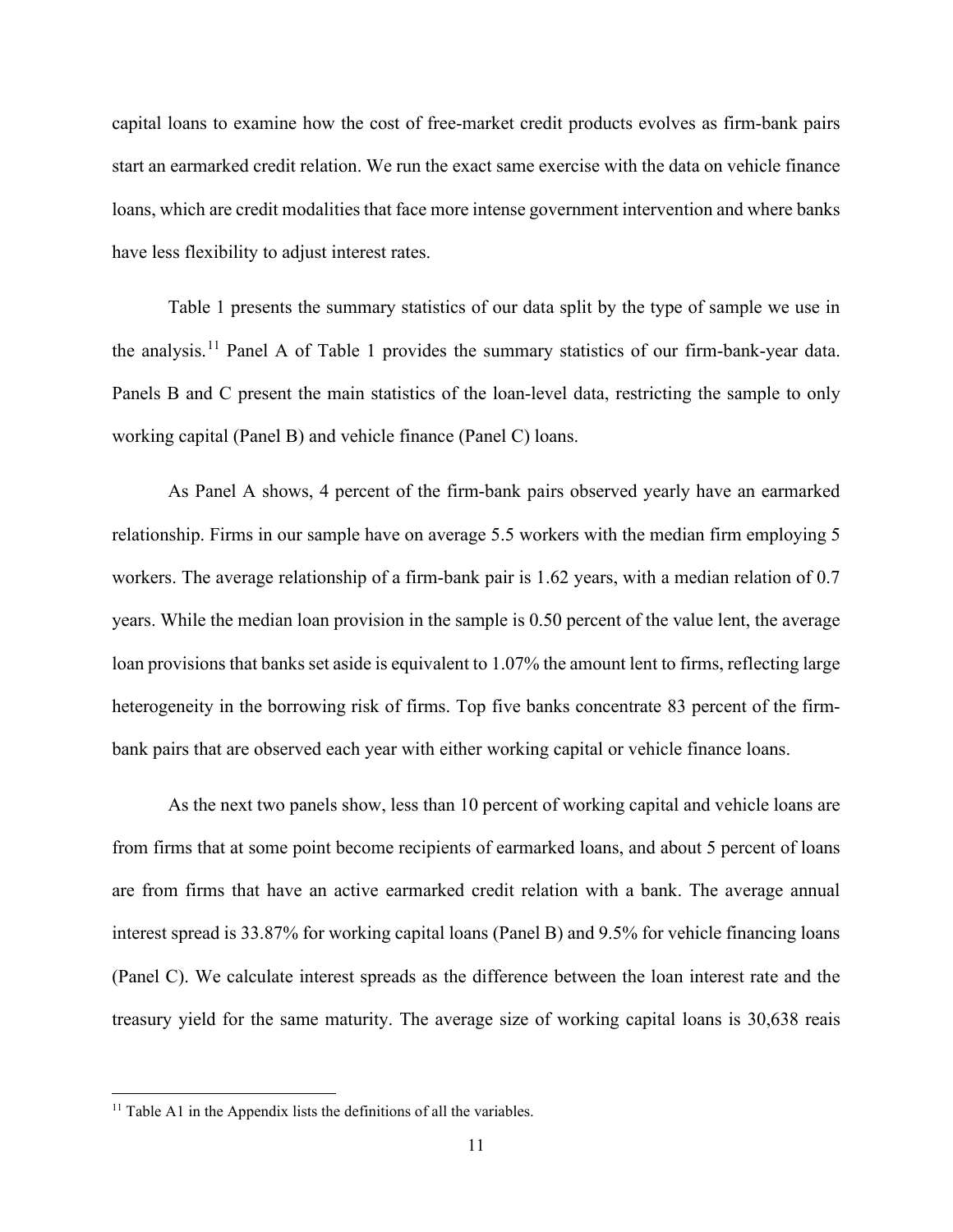capital loans to examine how the cost of free-market credit products evolves as firm-bank pairs start an earmarked credit relation. We run the exact same exercise with the data on vehicle finance loans, which are credit modalities that face more intense government intervention and where banks have less flexibility to adjust interest rates.

Table 1 presents the summary statistics of our data split by the type of sample we use in the analysis.<sup>[11](#page-12-0)</sup> Panel A of Table 1 provides the summary statistics of our firm-bank-year data. Panels B and C present the main statistics of the loan-level data, restricting the sample to only working capital (Panel B) and vehicle finance (Panel C) loans.

As Panel A shows, 4 percent of the firm-bank pairs observed yearly have an earmarked relationship. Firms in our sample have on average 5.5 workers with the median firm employing 5 workers. The average relationship of a firm-bank pair is 1.62 years, with a median relation of 0.7 years. While the median loan provision in the sample is 0.50 percent of the value lent, the average loan provisions that banks set aside is equivalent to 1.07% the amount lent to firms, reflecting large heterogeneity in the borrowing risk of firms. Top five banks concentrate 83 percent of the firmbank pairs that are observed each year with either working capital or vehicle finance loans.

As the next two panels show, less than 10 percent of working capital and vehicle loans are from firms that at some point become recipients of earmarked loans, and about 5 percent of loans are from firms that have an active earmarked credit relation with a bank. The average annual interest spread is 33.87% for working capital loans (Panel B) and 9.5% for vehicle financing loans (Panel C). We calculate interest spreads as the difference between the loan interest rate and the treasury yield for the same maturity. The average size of working capital loans is 30,638 reais

<span id="page-12-0"></span> $11$  Table A1 in the Appendix lists the definitions of all the variables.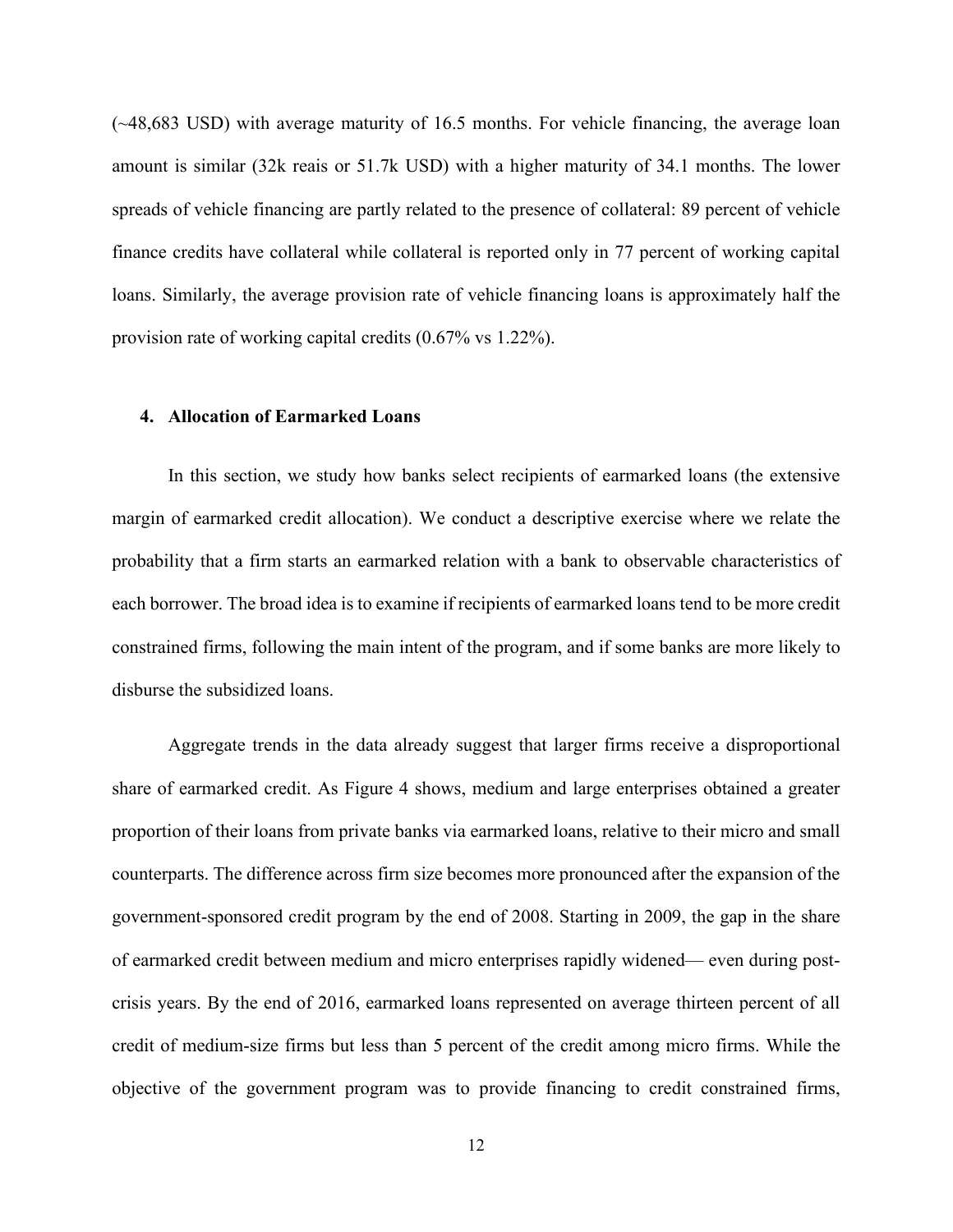(~48,683 USD) with average maturity of 16.5 months. For vehicle financing, the average loan amount is similar (32k reais or 51.7k USD) with a higher maturity of 34.1 months. The lower spreads of vehicle financing are partly related to the presence of collateral: 89 percent of vehicle finance credits have collateral while collateral is reported only in 77 percent of working capital loans. Similarly, the average provision rate of vehicle financing loans is approximately half the provision rate of working capital credits (0.67% vs 1.22%).

#### **4. Allocation of Earmarked Loans**

In this section, we study how banks select recipients of earmarked loans (the extensive margin of earmarked credit allocation). We conduct a descriptive exercise where we relate the probability that a firm starts an earmarked relation with a bank to observable characteristics of each borrower. The broad idea is to examine if recipients of earmarked loans tend to be more credit constrained firms, following the main intent of the program, and if some banks are more likely to disburse the subsidized loans.

Aggregate trends in the data already suggest that larger firms receive a disproportional share of earmarked credit. As Figure 4 shows, medium and large enterprises obtained a greater proportion of their loans from private banks via earmarked loans, relative to their micro and small counterparts. The difference across firm size becomes more pronounced after the expansion of the government-sponsored credit program by the end of 2008. Starting in 2009, the gap in the share of earmarked credit between medium and micro enterprises rapidly widened— even during postcrisis years. By the end of 2016, earmarked loans represented on average thirteen percent of all credit of medium-size firms but less than 5 percent of the credit among micro firms. While the objective of the government program was to provide financing to credit constrained firms,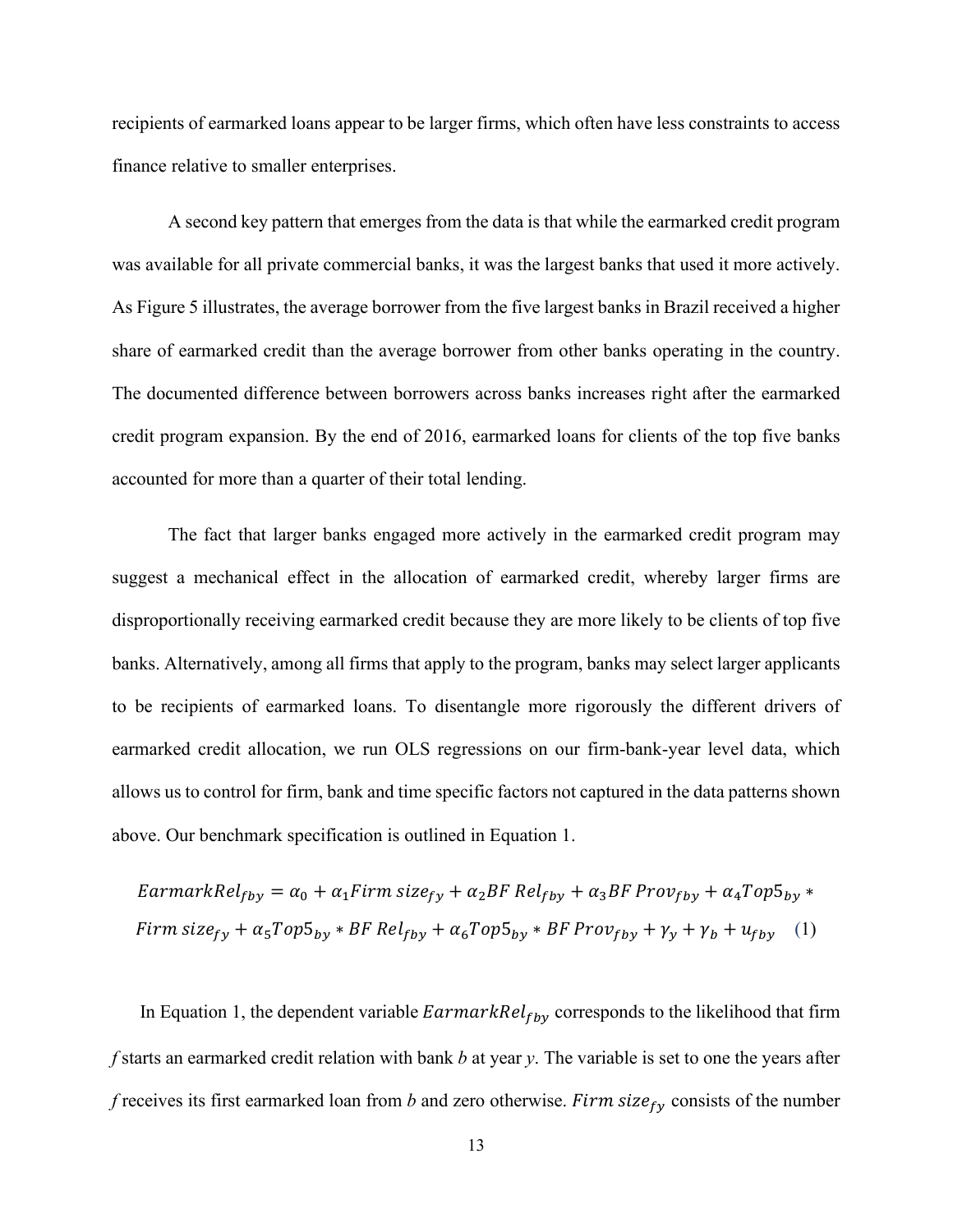recipients of earmarked loans appear to be larger firms, which often have less constraints to access finance relative to smaller enterprises.

A second key pattern that emerges from the data is that while the earmarked credit program was available for all private commercial banks, it was the largest banks that used it more actively. As Figure 5 illustrates, the average borrower from the five largest banks in Brazil received a higher share of earmarked credit than the average borrower from other banks operating in the country. The documented difference between borrowers across banks increases right after the earmarked credit program expansion. By the end of 2016, earmarked loans for clients of the top five banks accounted for more than a quarter of their total lending.

The fact that larger banks engaged more actively in the earmarked credit program may suggest a mechanical effect in the allocation of earmarked credit, whereby larger firms are disproportionally receiving earmarked credit because they are more likely to be clients of top five banks. Alternatively, among all firms that apply to the program, banks may select larger applicants to be recipients of earmarked loans. To disentangle more rigorously the different drivers of earmarked credit allocation, we run OLS regressions on our firm-bank-year level data, which allows us to control for firm, bank and time specific factors not captured in the data patterns shown above. Our benchmark specification is outlined in Equation 1.

$$
EarmarkRelfby = \alpha_0 + \alpha_1 Firm \, size_{fy} + \alpha_2 BF \, Relfby + \alpha_3 BF \, Provfby + \alpha_4 Top5_{by} *Firm \, size_{fy} + \alpha_5 Top5_{by} * BF \, Relfby + \alpha_6 Top5_{by} * BF \, Provfby + \gamma_y + \gamma_b + ufby (1)
$$

In Equation 1, the dependent variable  $EarmarkRel_{fby}$  corresponds to the likelihood that firm *f* starts an earmarked credit relation with bank *b* at year *y*. The variable is set to one the years after *f* receives its first earmarked loan from *b* and zero otherwise. Firm size<sub>fy</sub> consists of the number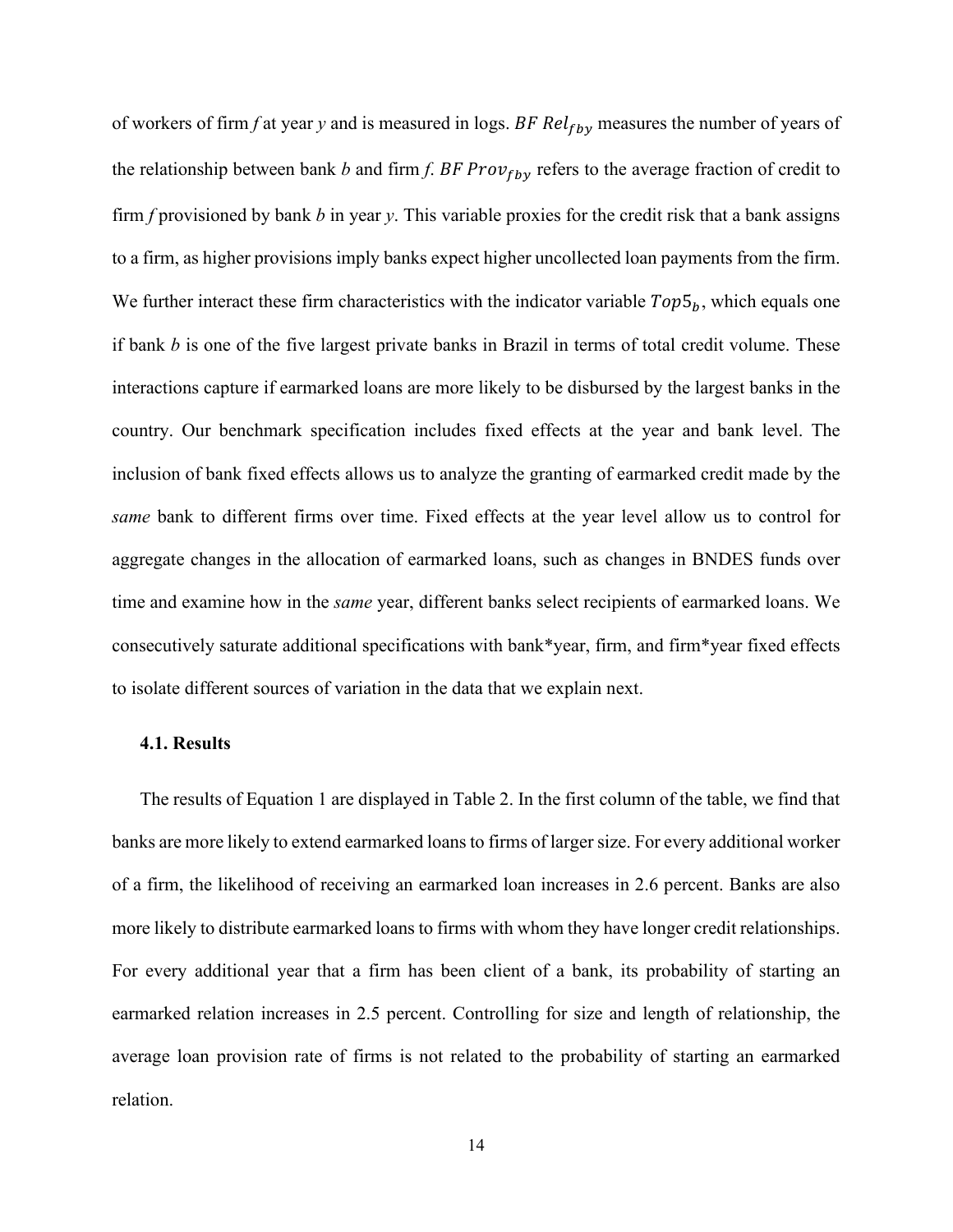of workers of firm *f* at year *y* and is measured in logs. BF Rel<sub>fby</sub> measures the number of years of the relationship between bank *b* and firm *f*. BF Pro $v_{fby}$  refers to the average fraction of credit to firm *f* provisioned by bank *b* in year *y*. This variable proxies for the credit risk that a bank assigns to a firm, as higher provisions imply banks expect higher uncollected loan payments from the firm. We further interact these firm characteristics with the indicator variable  $Top5<sub>h</sub>$ , which equals one if bank *b* is one of the five largest private banks in Brazil in terms of total credit volume. These interactions capture if earmarked loans are more likely to be disbursed by the largest banks in the country. Our benchmark specification includes fixed effects at the year and bank level. The inclusion of bank fixed effects allows us to analyze the granting of earmarked credit made by the *same* bank to different firms over time. Fixed effects at the year level allow us to control for aggregate changes in the allocation of earmarked loans, such as changes in BNDES funds over time and examine how in the *same* year, different banks select recipients of earmarked loans. We consecutively saturate additional specifications with bank\*year, firm, and firm\*year fixed effects to isolate different sources of variation in the data that we explain next.

#### **4.1. Results**

The results of Equation 1 are displayed in Table 2. In the first column of the table, we find that banks are more likely to extend earmarked loans to firms of larger size. For every additional worker of a firm, the likelihood of receiving an earmarked loan increases in 2.6 percent. Banks are also more likely to distribute earmarked loans to firms with whom they have longer credit relationships. For every additional year that a firm has been client of a bank, its probability of starting an earmarked relation increases in 2.5 percent. Controlling for size and length of relationship, the average loan provision rate of firms is not related to the probability of starting an earmarked relation.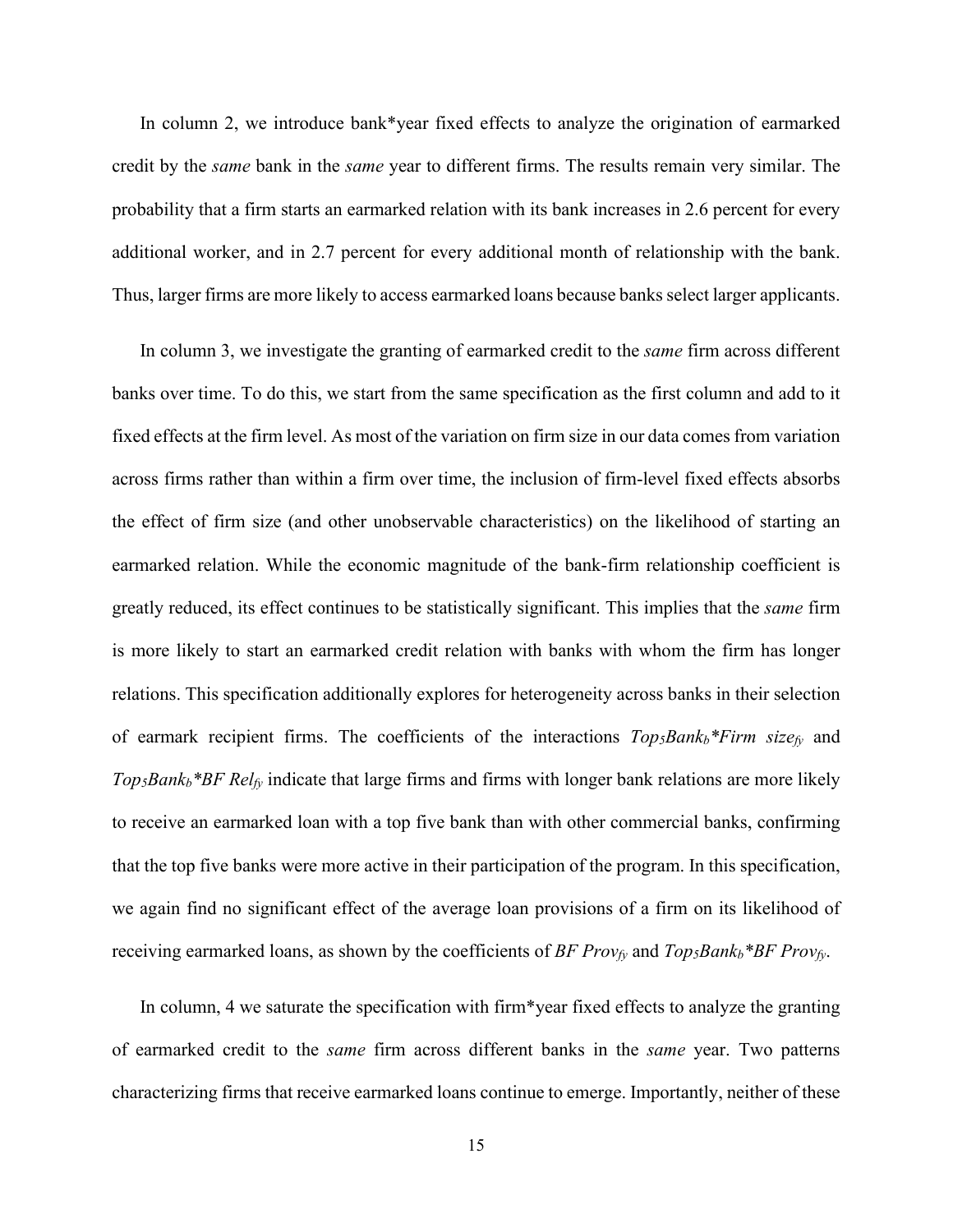In column 2, we introduce bank\*year fixed effects to analyze the origination of earmarked credit by the *same* bank in the *same* year to different firms. The results remain very similar. The probability that a firm starts an earmarked relation with its bank increases in 2.6 percent for every additional worker, and in 2.7 percent for every additional month of relationship with the bank. Thus, larger firms are more likely to access earmarked loans because banks select larger applicants.

In column 3, we investigate the granting of earmarked credit to the *same* firm across different banks over time. To do this, we start from the same specification as the first column and add to it fixed effects at the firm level. As most of the variation on firm size in our data comes from variation across firms rather than within a firm over time, the inclusion of firm-level fixed effects absorbs the effect of firm size (and other unobservable characteristics) on the likelihood of starting an earmarked relation. While the economic magnitude of the bank-firm relationship coefficient is greatly reduced, its effect continues to be statistically significant. This implies that the *same* firm is more likely to start an earmarked credit relation with banks with whom the firm has longer relations. This specification additionally explores for heterogeneity across banks in their selection of earmark recipient firms. The coefficients of the interactions  $Top<sub>5</sub>Bank<sub>b</sub> * Firm size<sub>f<sub>y</sub></sub>$  and *Top5Bankb\*BF Relfy* indicate that large firms and firms with longer bank relations are more likely to receive an earmarked loan with a top five bank than with other commercial banks, confirming that the top five banks were more active in their participation of the program. In this specification, we again find no significant effect of the average loan provisions of a firm on its likelihood of receiving earmarked loans, as shown by the coefficients of *BF Prov<sub>fy</sub>* and *Top<sub>5</sub>Bank<sub>b</sub>\*BF Prov<sub>fy</sub>.* 

In column, 4 we saturate the specification with firm\*year fixed effects to analyze the granting of earmarked credit to the *same* firm across different banks in the *same* year. Two patterns characterizing firms that receive earmarked loans continue to emerge. Importantly, neither of these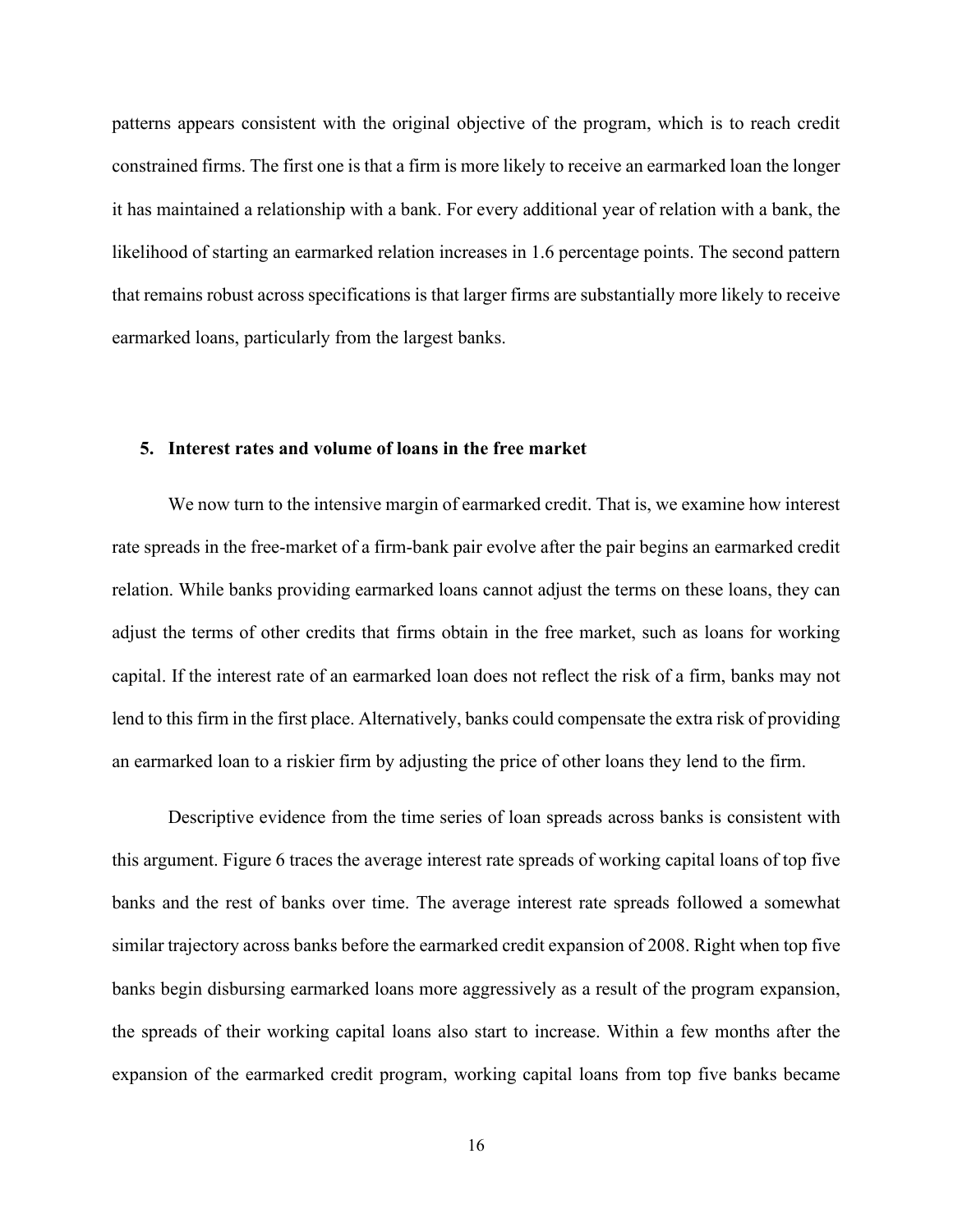patterns appears consistent with the original objective of the program, which is to reach credit constrained firms. The first one is that a firm is more likely to receive an earmarked loan the longer it has maintained a relationship with a bank. For every additional year of relation with a bank, the likelihood of starting an earmarked relation increases in 1.6 percentage points. The second pattern that remains robust across specifications is that larger firms are substantially more likely to receive earmarked loans, particularly from the largest banks.

#### **5. Interest rates and volume of loans in the free market**

We now turn to the intensive margin of earmarked credit. That is, we examine how interest rate spreads in the free-market of a firm-bank pair evolve after the pair begins an earmarked credit relation. While banks providing earmarked loans cannot adjust the terms on these loans, they can adjust the terms of other credits that firms obtain in the free market, such as loans for working capital. If the interest rate of an earmarked loan does not reflect the risk of a firm, banks may not lend to this firm in the first place. Alternatively, banks could compensate the extra risk of providing an earmarked loan to a riskier firm by adjusting the price of other loans they lend to the firm.

Descriptive evidence from the time series of loan spreads across banks is consistent with this argument. Figure 6 traces the average interest rate spreads of working capital loans of top five banks and the rest of banks over time. The average interest rate spreads followed a somewhat similar trajectory across banks before the earmarked credit expansion of 2008. Right when top five banks begin disbursing earmarked loans more aggressively as a result of the program expansion, the spreads of their working capital loans also start to increase. Within a few months after the expansion of the earmarked credit program, working capital loans from top five banks became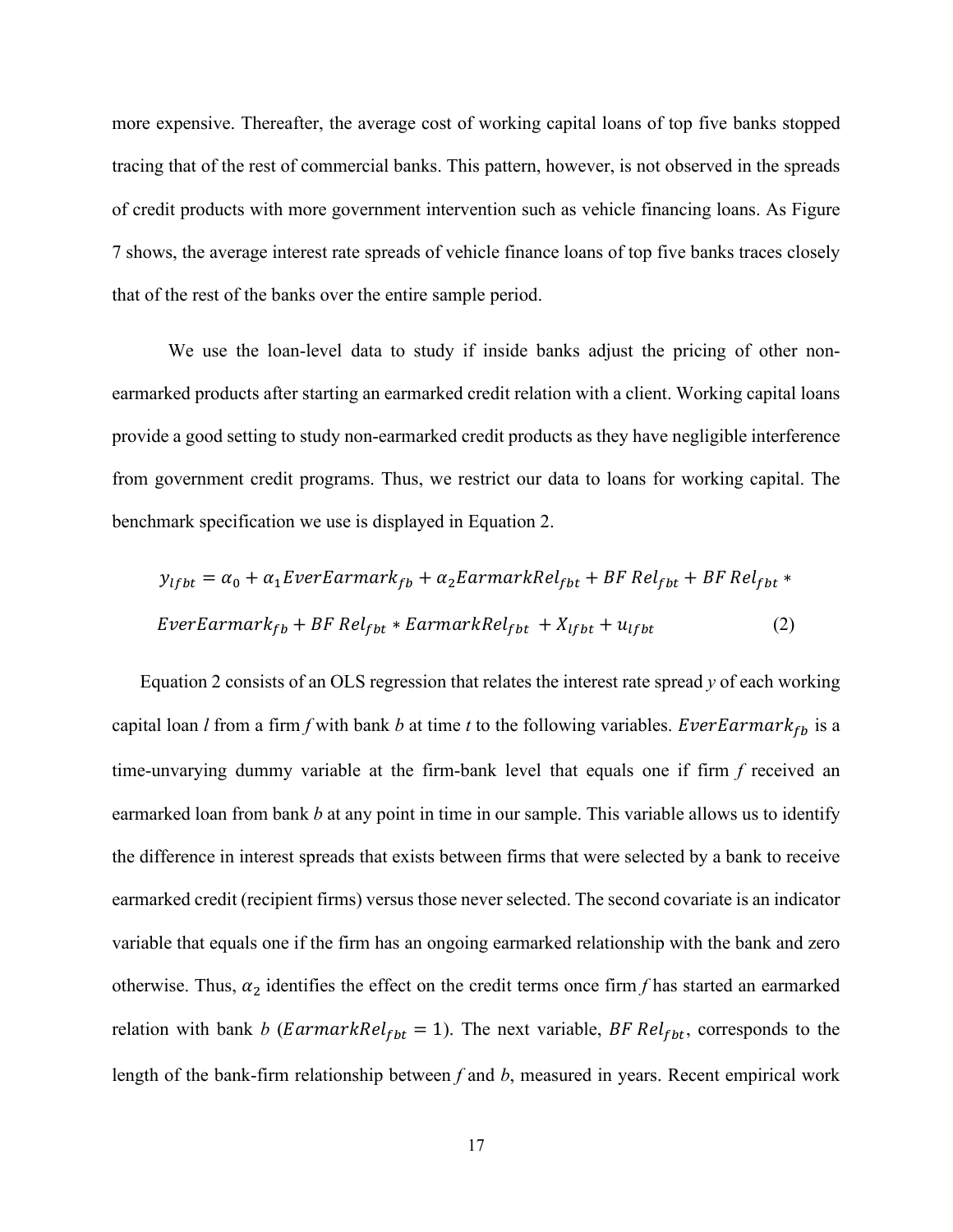more expensive. Thereafter, the average cost of working capital loans of top five banks stopped tracing that of the rest of commercial banks. This pattern, however, is not observed in the spreads of credit products with more government intervention such as vehicle financing loans. As Figure 7 shows, the average interest rate spreads of vehicle finance loans of top five banks traces closely that of the rest of the banks over the entire sample period.

We use the loan-level data to study if inside banks adjust the pricing of other nonearmarked products after starting an earmarked credit relation with a client. Working capital loans provide a good setting to study non-earmarked credit products as they have negligible interference from government credit programs. Thus, we restrict our data to loans for working capital. The benchmark specification we use is displayed in Equation 2.

$$
y_{lfbt} = \alpha_0 + \alpha_1 Every Earmark_{fb} + \alpha_2 EarmarkRel_{fbt} + BF Rel_{fbt} + BF Rel_{fbt} *
$$
  
*Every EverEarmark<sub>fb</sub> + BF Rel<sub>fbt</sub> \* EarmarkRel<sub>fbt</sub> + X<sub>lfbt</sub> + u<sub>lfbt</sub> (2)*

Equation 2 consists of an OLS regression that relates the interest rate spread *y* of each working capital loan *l* from a firm *f* with bank *b* at time *t* to the following variables. EverEarmark<sub>fb</sub> is a time-unvarying dummy variable at the firm-bank level that equals one if firm *f* received an earmarked loan from bank *b* at any point in time in our sample. This variable allows us to identify the difference in interest spreads that exists between firms that were selected by a bank to receive earmarked credit (recipient firms) versus those never selected. The second covariate is an indicator variable that equals one if the firm has an ongoing earmarked relationship with the bank and zero otherwise. Thus,  $\alpha_2$  identifies the effect on the credit terms once firm f has started an earmarked relation with bank *b* (*EarmarkRel<sub>fbt</sub>* = 1). The next variable, *BF Rel<sub>fbt</sub>*, corresponds to the length of the bank-firm relationship between *f* and *b*, measured in years. Recent empirical work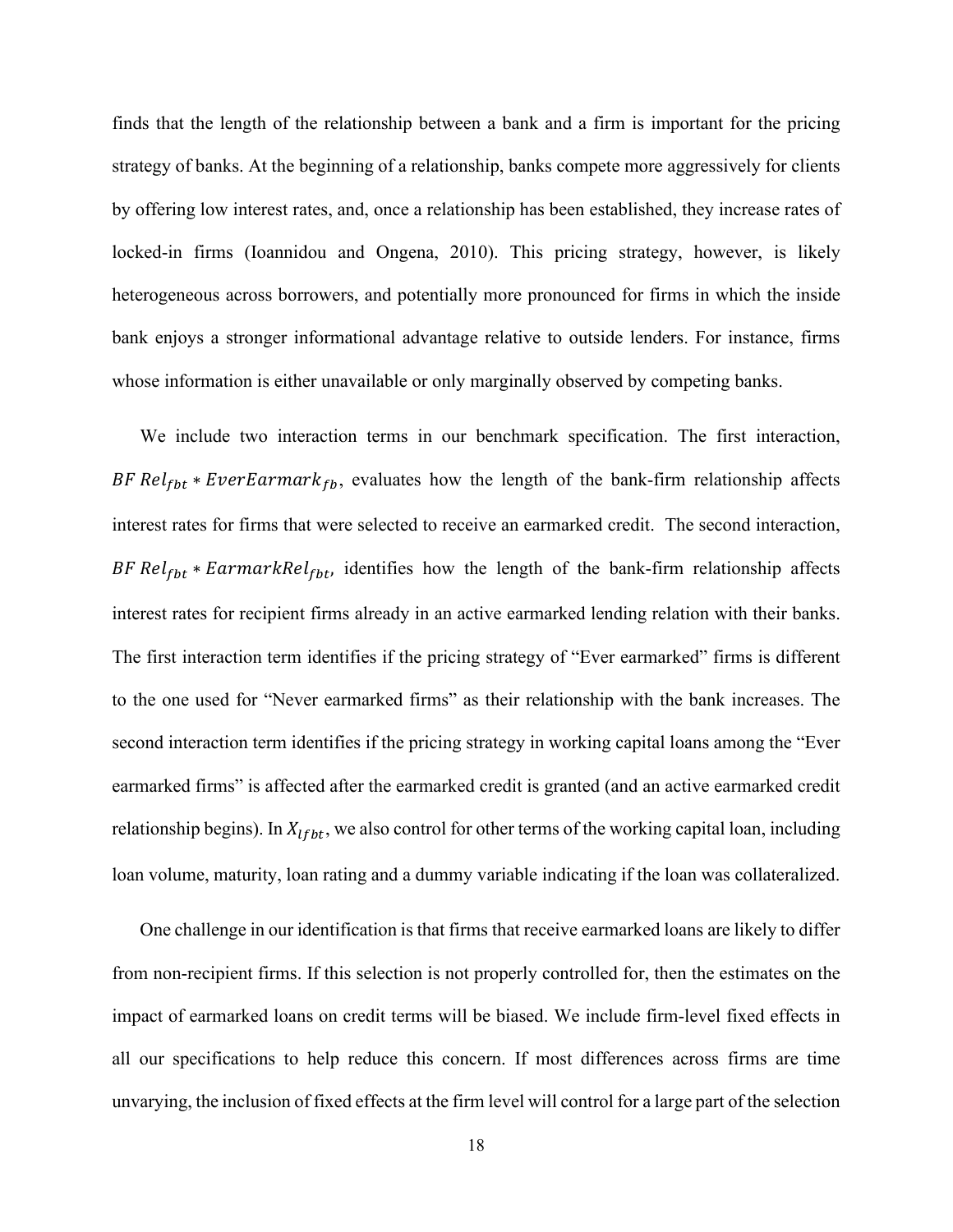finds that the length of the relationship between a bank and a firm is important for the pricing strategy of banks. At the beginning of a relationship, banks compete more aggressively for clients by offering low interest rates, and, once a relationship has been established, they increase rates of locked-in firms (Ioannidou and Ongena, 2010). This pricing strategy, however, is likely heterogeneous across borrowers, and potentially more pronounced for firms in which the inside bank enjoys a stronger informational advantage relative to outside lenders. For instance, firms whose information is either unavailable or only marginally observed by competing banks.

We include two interaction terms in our benchmark specification. The first interaction, BF Relfbt \* EverEarmark<sub>fb</sub>, evaluates how the length of the bank-firm relationship affects interest rates for firms that were selected to receive an earmarked credit. The second interaction, BF  $Rel_{fbt} * EarmarkRel_{fbt}$ , identifies how the length of the bank-firm relationship affects interest rates for recipient firms already in an active earmarked lending relation with their banks. The first interaction term identifies if the pricing strategy of "Ever earmarked" firms is different to the one used for "Never earmarked firms" as their relationship with the bank increases. The second interaction term identifies if the pricing strategy in working capital loans among the "Ever earmarked firms" is affected after the earmarked credit is granted (and an active earmarked credit relationship begins). In  $X_{lfbt}$ , we also control for other terms of the working capital loan, including loan volume, maturity, loan rating and a dummy variable indicating if the loan was collateralized.

One challenge in our identification is that firms that receive earmarked loans are likely to differ from non-recipient firms. If this selection is not properly controlled for, then the estimates on the impact of earmarked loans on credit terms will be biased. We include firm-level fixed effects in all our specifications to help reduce this concern. If most differences across firms are time unvarying, the inclusion of fixed effects at the firm level will control for a large part of the selection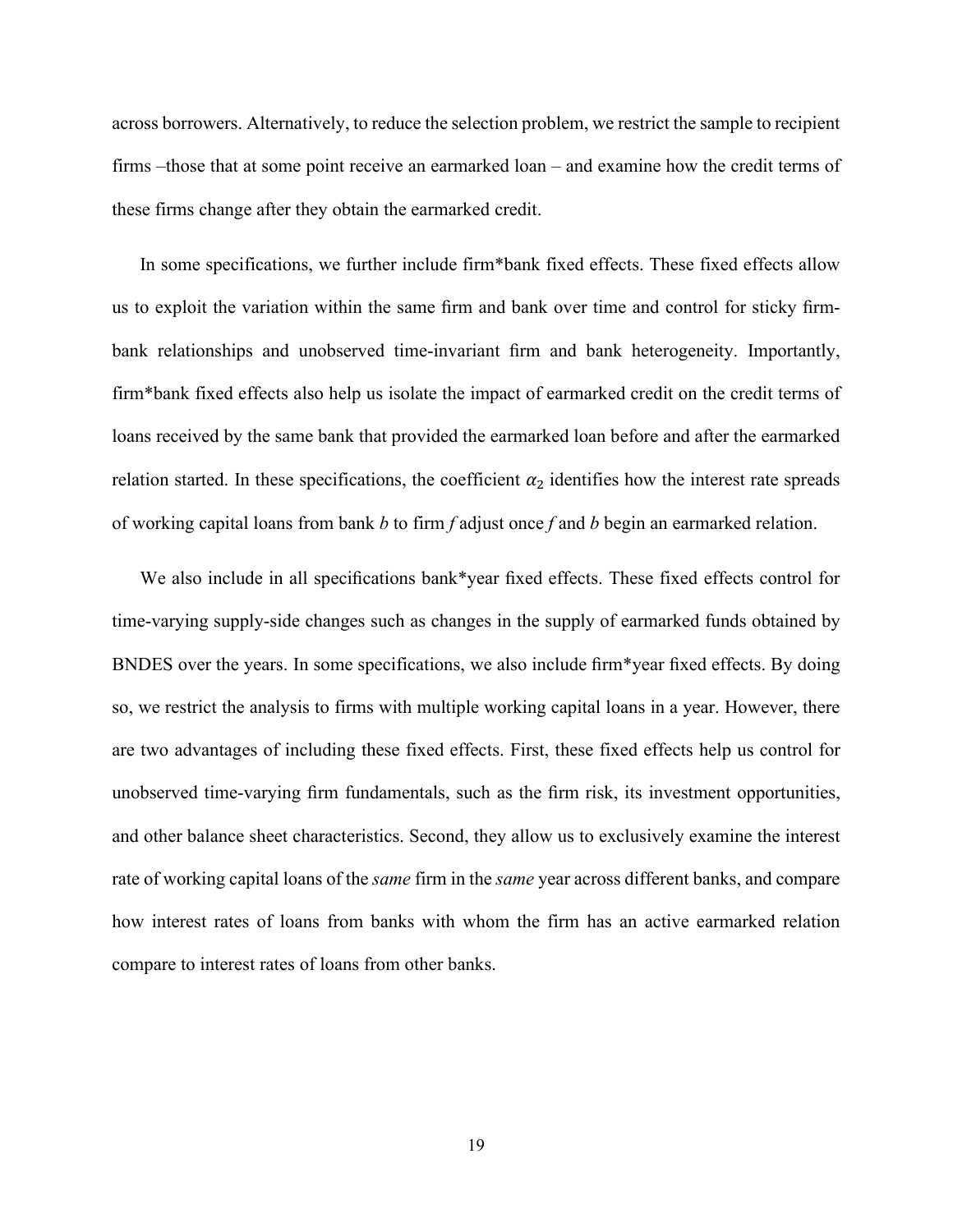across borrowers. Alternatively, to reduce the selection problem, we restrict the sample to recipient firms –those that at some point receive an earmarked loan – and examine how the credit terms of these firms change after they obtain the earmarked credit.

In some specifications, we further include firm\*bank fixed effects. These fixed effects allow us to exploit the variation within the same firm and bank over time and control for sticky firmbank relationships and unobserved time-invariant firm and bank heterogeneity. Importantly, firm\*bank fixed effects also help us isolate the impact of earmarked credit on the credit terms of loans received by the same bank that provided the earmarked loan before and after the earmarked relation started. In these specifications, the coefficient  $\alpha_2$  identifies how the interest rate spreads of working capital loans from bank *b* to firm *f* adjust once *f* and *b* begin an earmarked relation.

We also include in all specifications bank\*year fixed effects. These fixed effects control for time-varying supply-side changes such as changes in the supply of earmarked funds obtained by BNDES over the years. In some specifications, we also include firm\*year fixed effects. By doing so, we restrict the analysis to firms with multiple working capital loans in a year. However, there are two advantages of including these fixed effects. First, these fixed effects help us control for unobserved time-varying firm fundamentals, such as the firm risk, its investment opportunities, and other balance sheet characteristics. Second, they allow us to exclusively examine the interest rate of working capital loans of the *same* firm in the *same* year across different banks, and compare how interest rates of loans from banks with whom the firm has an active earmarked relation compare to interest rates of loans from other banks.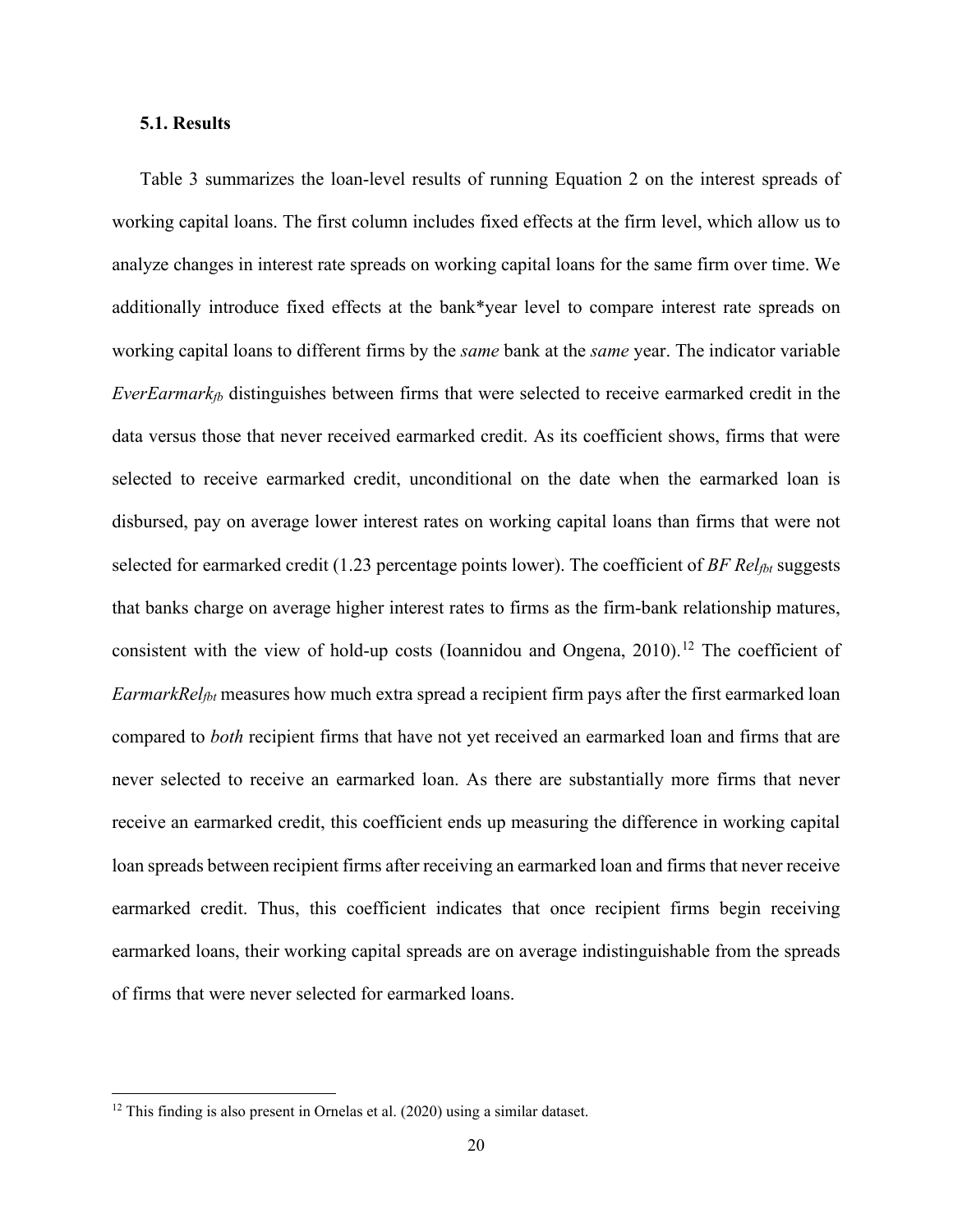#### **5.1. Results**

Table 3 summarizes the loan-level results of running Equation 2 on the interest spreads of working capital loans. The first column includes fixed effects at the firm level, which allow us to analyze changes in interest rate spreads on working capital loans for the same firm over time. We additionally introduce fixed effects at the bank\*year level to compare interest rate spreads on working capital loans to different firms by the *same* bank at the *same* year. The indicator variable *EverEarmarkfb* distinguishes between firms that were selected to receive earmarked credit in the data versus those that never received earmarked credit. As its coefficient shows, firms that were selected to receive earmarked credit, unconditional on the date when the earmarked loan is disbursed, pay on average lower interest rates on working capital loans than firms that were not selected for earmarked credit (1.23 percentage points lower). The coefficient of *BF Relfbt* suggests that banks charge on average higher interest rates to firms as the firm-bank relationship matures, consistent with the view of hold-up costs (Ioannidou and Ongena, 2010).<sup>[12](#page-21-0)</sup> The coefficient of *EarmarkRel<sub>fbt</sub>* measures how much extra spread a recipient firm pays after the first earmarked loan compared to *both* recipient firms that have not yet received an earmarked loan and firms that are never selected to receive an earmarked loan. As there are substantially more firms that never receive an earmarked credit, this coefficient ends up measuring the difference in working capital loan spreads between recipient firms after receiving an earmarked loan and firms that never receive earmarked credit. Thus, this coefficient indicates that once recipient firms begin receiving earmarked loans, their working capital spreads are on average indistinguishable from the spreads of firms that were never selected for earmarked loans.

<span id="page-21-0"></span> $12$  This finding is also present in Ornelas et al. (2020) using a similar dataset.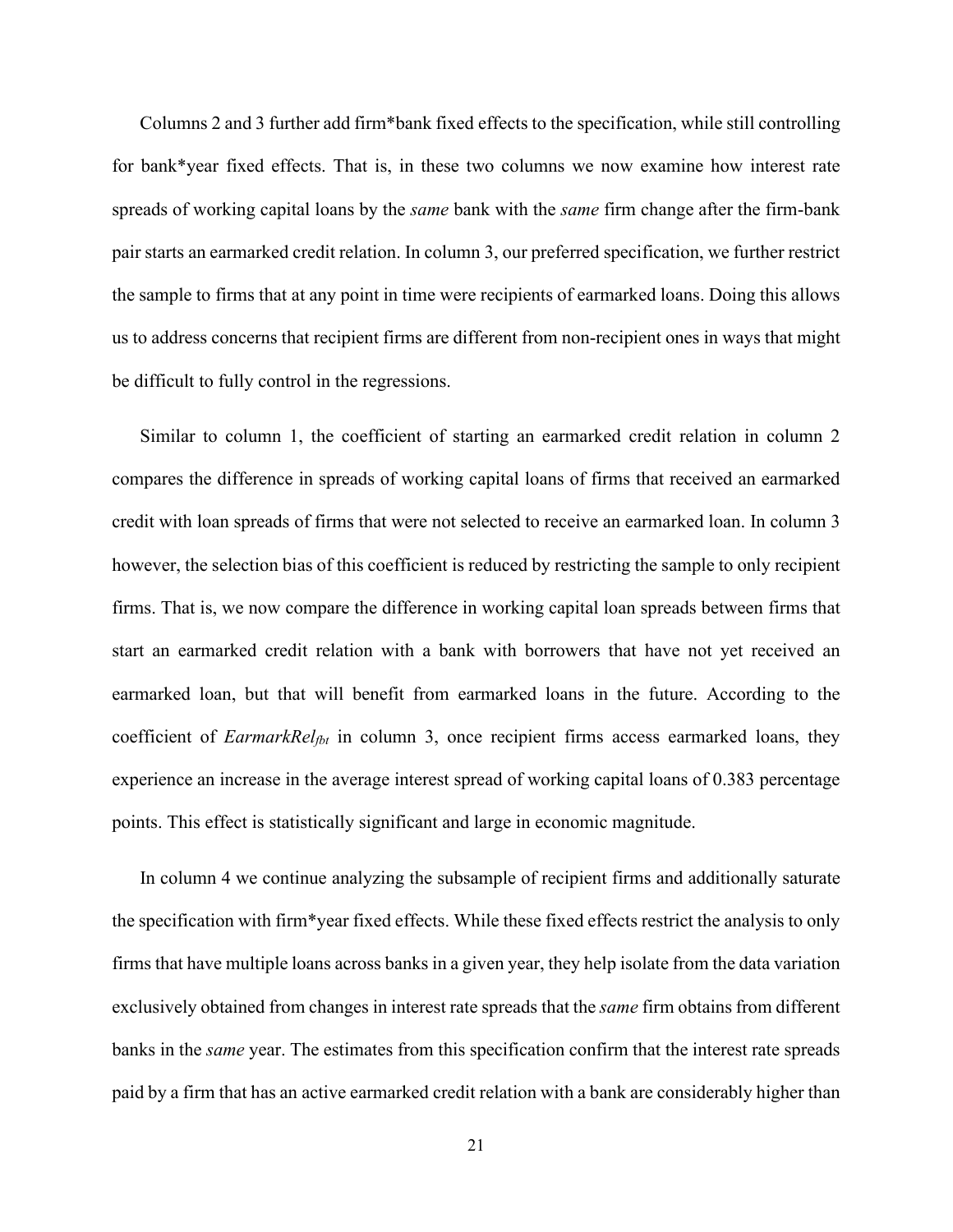Columns 2 and 3 further add firm\*bank fixed effects to the specification, while still controlling for bank\*year fixed effects. That is, in these two columns we now examine how interest rate spreads of working capital loans by the *same* bank with the *same* firm change after the firm-bank pair starts an earmarked credit relation. In column 3, our preferred specification, we further restrict the sample to firms that at any point in time were recipients of earmarked loans. Doing this allows us to address concerns that recipient firms are different from non-recipient ones in ways that might be difficult to fully control in the regressions.

Similar to column 1, the coefficient of starting an earmarked credit relation in column 2 compares the difference in spreads of working capital loans of firms that received an earmarked credit with loan spreads of firms that were not selected to receive an earmarked loan. In column 3 however, the selection bias of this coefficient is reduced by restricting the sample to only recipient firms. That is, we now compare the difference in working capital loan spreads between firms that start an earmarked credit relation with a bank with borrowers that have not yet received an earmarked loan, but that will benefit from earmarked loans in the future. According to the coefficient of *EarmarkRelfbt* in column 3, once recipient firms access earmarked loans, they experience an increase in the average interest spread of working capital loans of 0.383 percentage points. This effect is statistically significant and large in economic magnitude.

In column 4 we continue analyzing the subsample of recipient firms and additionally saturate the specification with firm\*year fixed effects. While these fixed effects restrict the analysis to only firms that have multiple loans across banks in a given year, they help isolate from the data variation exclusively obtained from changes in interest rate spreads that the *same* firm obtains from different banks in the *same* year. The estimates from this specification confirm that the interest rate spreads paid by a firm that has an active earmarked credit relation with a bank are considerably higher than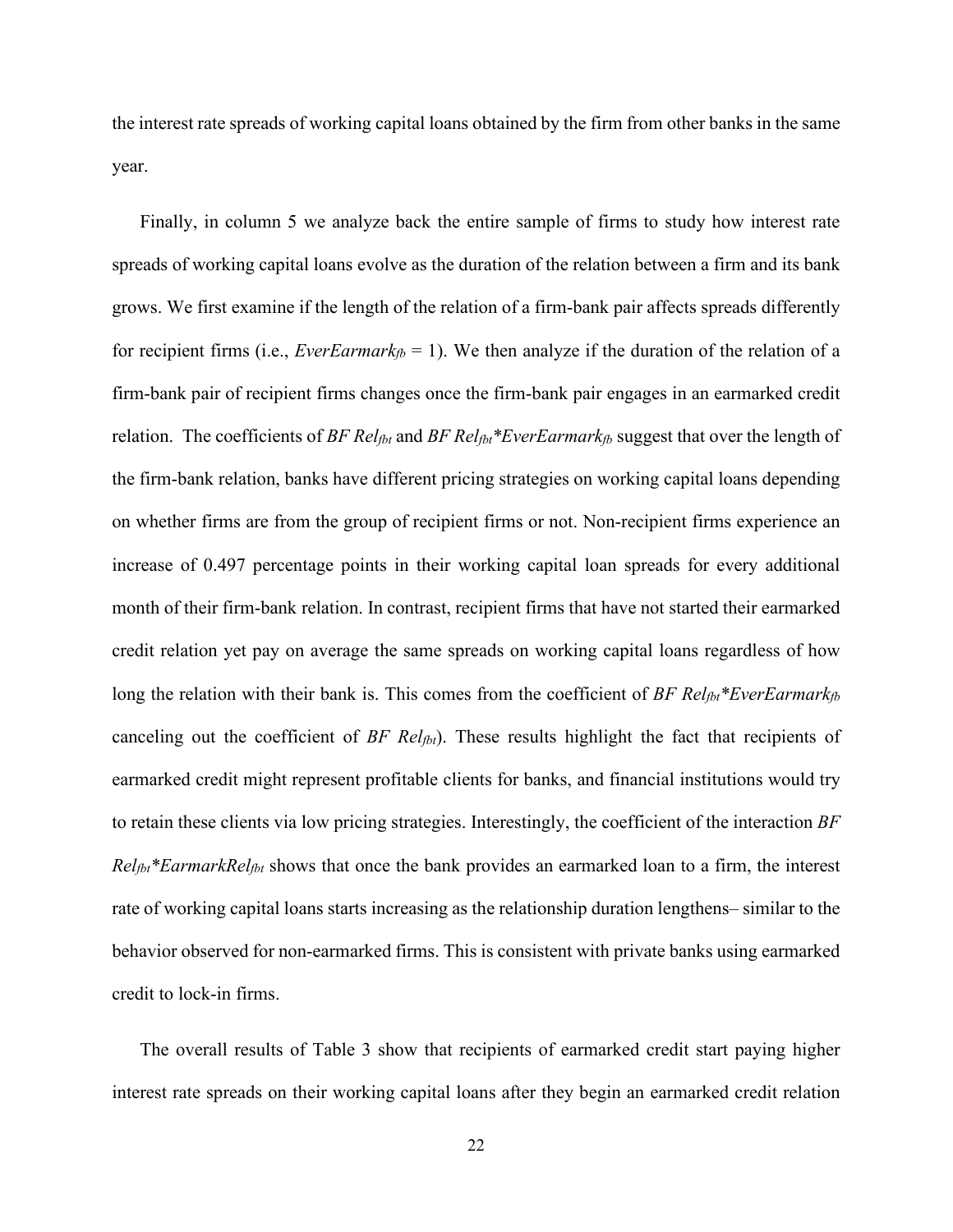the interest rate spreads of working capital loans obtained by the firm from other banks in the same year.

Finally, in column 5 we analyze back the entire sample of firms to study how interest rate spreads of working capital loans evolve as the duration of the relation between a firm and its bank grows. We first examine if the length of the relation of a firm-bank pair affects spreads differently for recipient firms (i.e., *EverEarmark<sub>fb</sub>* = 1). We then analyze if the duration of the relation of a firm-bank pair of recipient firms changes once the firm-bank pair engages in an earmarked credit relation. The coefficients of *BF Rel<sub>fbt</sub>* and *BF Rel<sub>fbt</sub>*\**EverEarmark<sub>fb</sub>* suggest that over the length of the firm-bank relation, banks have different pricing strategies on working capital loans depending on whether firms are from the group of recipient firms or not. Non-recipient firms experience an increase of 0.497 percentage points in their working capital loan spreads for every additional month of their firm-bank relation. In contrast, recipient firms that have not started their earmarked credit relation yet pay on average the same spreads on working capital loans regardless of how long the relation with their bank is. This comes from the coefficient of *BF Rel<sub>fbt</sub>\*EverEarmark<sub>fb</sub>* canceling out the coefficient of *BF Rel<sub>fbt</sub>*). These results highlight the fact that recipients of earmarked credit might represent profitable clients for banks, and financial institutions would try to retain these clients via low pricing strategies. Interestingly, the coefficient of the interaction *BF Relfbt\*EarmarkRelfbt* shows that once the bank provides an earmarked loan to a firm, the interest rate of working capital loans starts increasing as the relationship duration lengthens– similar to the behavior observed for non-earmarked firms. This is consistent with private banks using earmarked credit to lock-in firms.

The overall results of Table 3 show that recipients of earmarked credit start paying higher interest rate spreads on their working capital loans after they begin an earmarked credit relation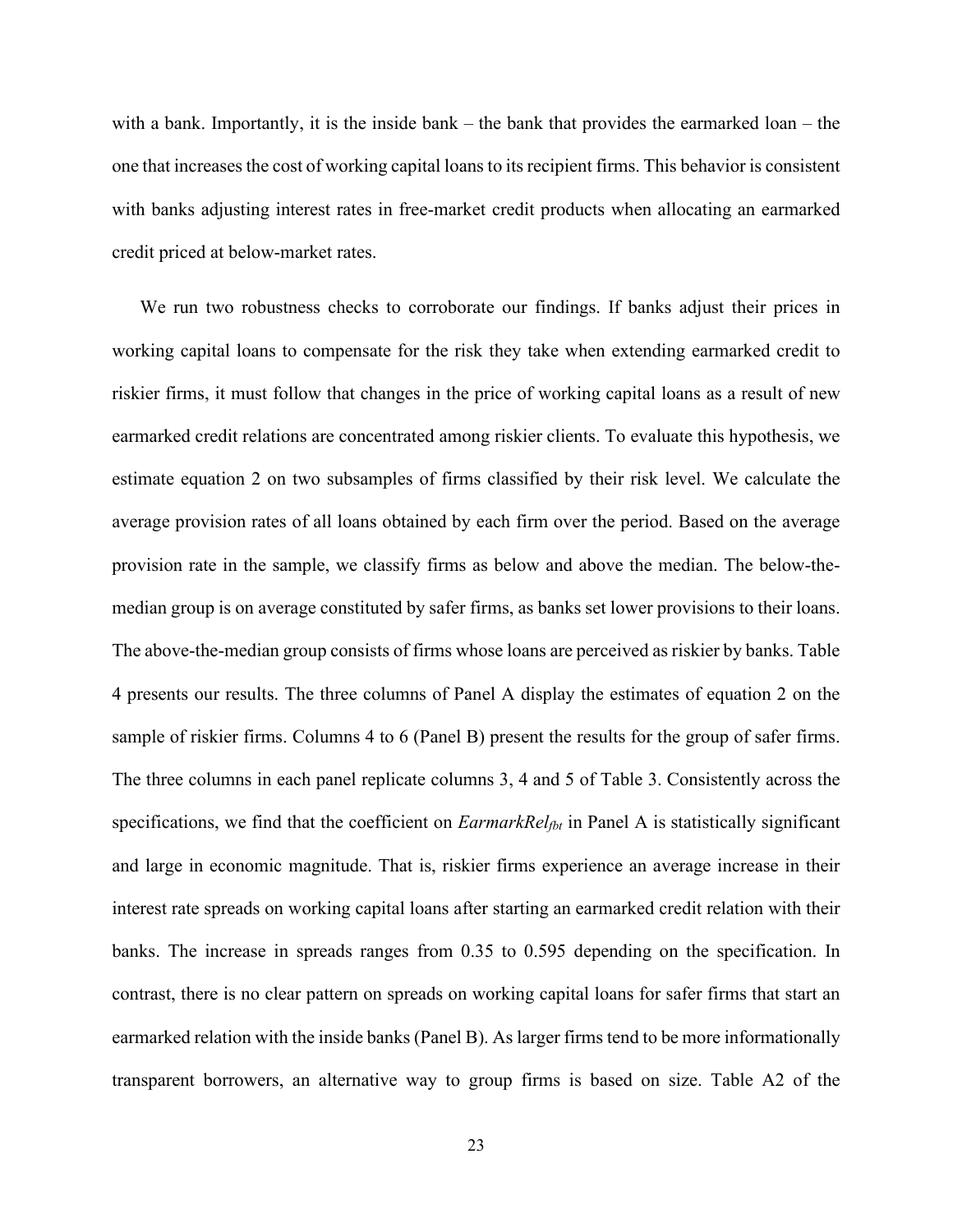with a bank. Importantly, it is the inside bank – the bank that provides the earmarked loan – the one that increases the cost of working capital loans to its recipient firms. This behavior is consistent with banks adjusting interest rates in free-market credit products when allocating an earmarked credit priced at below-market rates.

We run two robustness checks to corroborate our findings. If banks adjust their prices in working capital loans to compensate for the risk they take when extending earmarked credit to riskier firms, it must follow that changes in the price of working capital loans as a result of new earmarked credit relations are concentrated among riskier clients. To evaluate this hypothesis, we estimate equation 2 on two subsamples of firms classified by their risk level. We calculate the average provision rates of all loans obtained by each firm over the period. Based on the average provision rate in the sample, we classify firms as below and above the median. The below-themedian group is on average constituted by safer firms, as banks set lower provisions to their loans. The above-the-median group consists of firms whose loans are perceived as riskier by banks. Table 4 presents our results. The three columns of Panel A display the estimates of equation 2 on the sample of riskier firms. Columns 4 to 6 (Panel B) present the results for the group of safer firms. The three columns in each panel replicate columns 3, 4 and 5 of Table 3. Consistently across the specifications, we find that the coefficient on *EarmarkRelfbt* in Panel A is statistically significant and large in economic magnitude. That is, riskier firms experience an average increase in their interest rate spreads on working capital loans after starting an earmarked credit relation with their banks. The increase in spreads ranges from 0.35 to 0.595 depending on the specification. In contrast, there is no clear pattern on spreads on working capital loans for safer firms that start an earmarked relation with the inside banks (Panel B). As larger firms tend to be more informationally transparent borrowers, an alternative way to group firms is based on size. Table A2 of the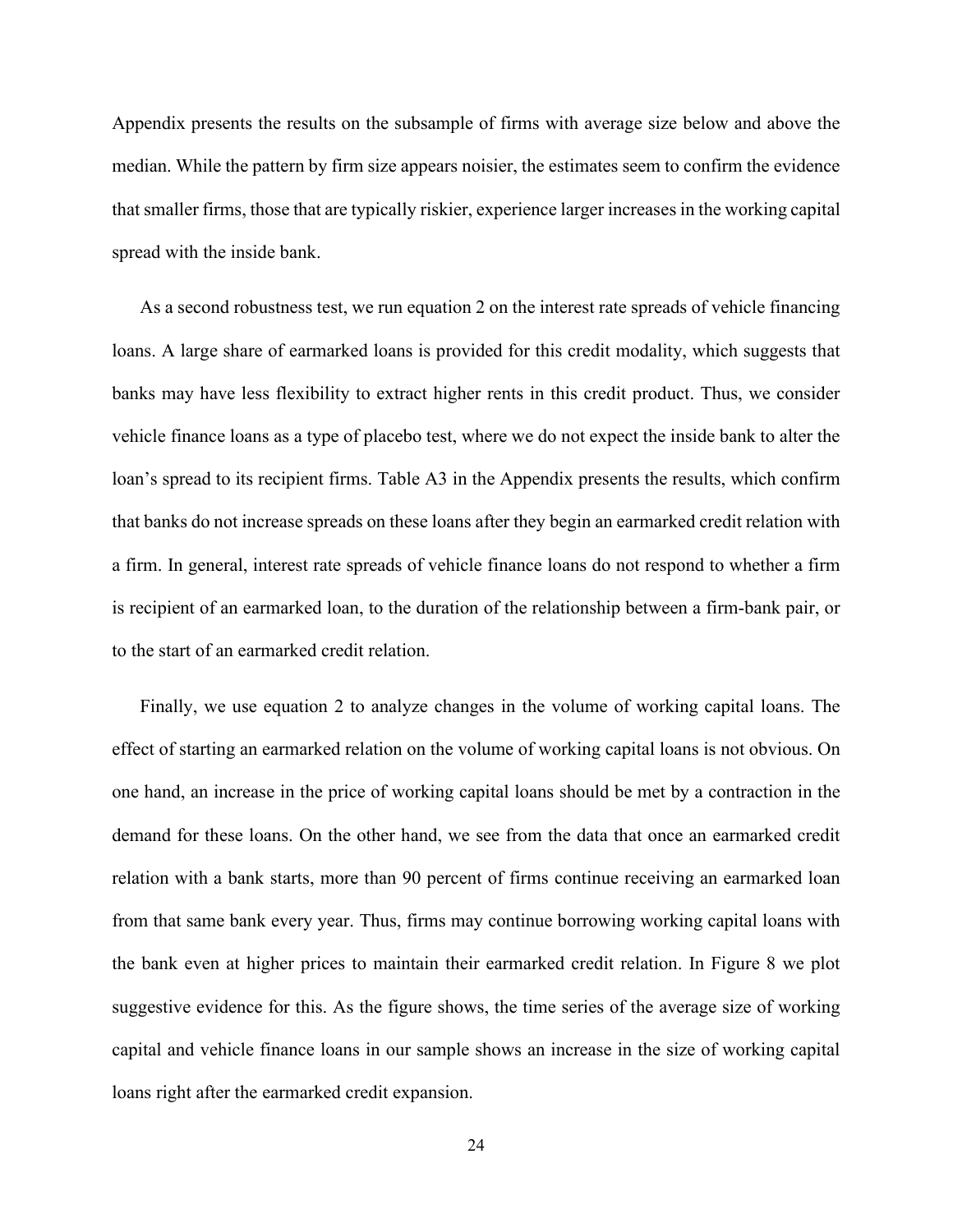Appendix presents the results on the subsample of firms with average size below and above the median. While the pattern by firm size appears noisier, the estimates seem to confirm the evidence that smaller firms, those that are typically riskier, experience larger increases in the working capital spread with the inside bank.

As a second robustness test, we run equation 2 on the interest rate spreads of vehicle financing loans. A large share of earmarked loans is provided for this credit modality, which suggests that banks may have less flexibility to extract higher rents in this credit product. Thus, we consider vehicle finance loans as a type of placebo test, where we do not expect the inside bank to alter the loan's spread to its recipient firms. Table A3 in the Appendix presents the results, which confirm that banks do not increase spreads on these loans after they begin an earmarked credit relation with a firm. In general, interest rate spreads of vehicle finance loans do not respond to whether a firm is recipient of an earmarked loan, to the duration of the relationship between a firm-bank pair, or to the start of an earmarked credit relation.

Finally, we use equation 2 to analyze changes in the volume of working capital loans. The effect of starting an earmarked relation on the volume of working capital loans is not obvious. On one hand, an increase in the price of working capital loans should be met by a contraction in the demand for these loans. On the other hand, we see from the data that once an earmarked credit relation with a bank starts, more than 90 percent of firms continue receiving an earmarked loan from that same bank every year. Thus, firms may continue borrowing working capital loans with the bank even at higher prices to maintain their earmarked credit relation. In Figure 8 we plot suggestive evidence for this. As the figure shows, the time series of the average size of working capital and vehicle finance loans in our sample shows an increase in the size of working capital loans right after the earmarked credit expansion.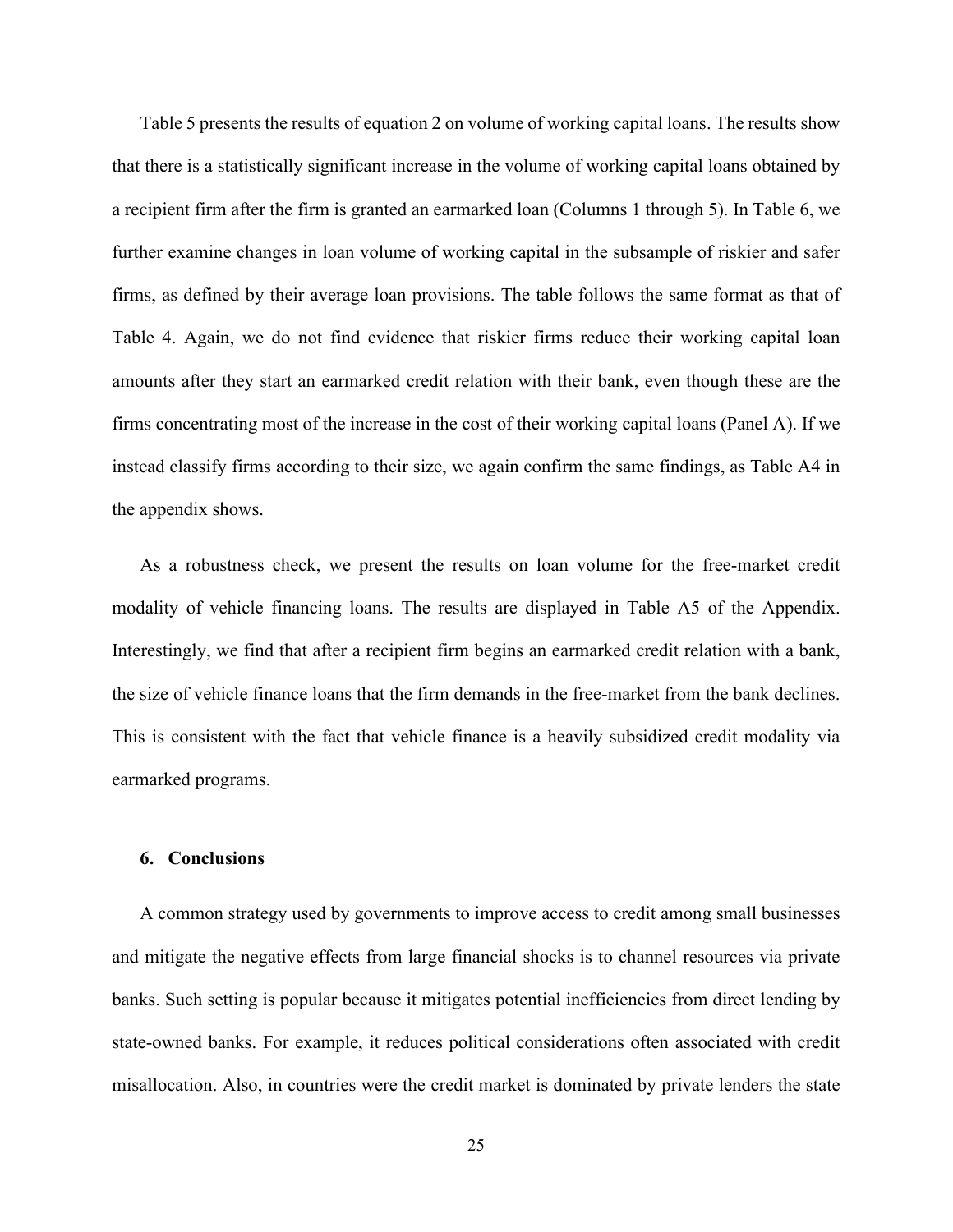Table 5 presents the results of equation 2 on volume of working capital loans. The results show that there is a statistically significant increase in the volume of working capital loans obtained by a recipient firm after the firm is granted an earmarked loan (Columns 1 through 5). In Table 6, we further examine changes in loan volume of working capital in the subsample of riskier and safer firms, as defined by their average loan provisions. The table follows the same format as that of Table 4. Again, we do not find evidence that riskier firms reduce their working capital loan amounts after they start an earmarked credit relation with their bank, even though these are the firms concentrating most of the increase in the cost of their working capital loans (Panel A). If we instead classify firms according to their size, we again confirm the same findings, as Table A4 in the appendix shows.

As a robustness check, we present the results on loan volume for the free-market credit modality of vehicle financing loans. The results are displayed in Table A5 of the Appendix. Interestingly, we find that after a recipient firm begins an earmarked credit relation with a bank, the size of vehicle finance loans that the firm demands in the free-market from the bank declines. This is consistent with the fact that vehicle finance is a heavily subsidized credit modality via earmarked programs.

#### **6. Conclusions**

A common strategy used by governments to improve access to credit among small businesses and mitigate the negative effects from large financial shocks is to channel resources via private banks. Such setting is popular because it mitigates potential inefficiencies from direct lending by state-owned banks. For example, it reduces political considerations often associated with credit misallocation. Also, in countries were the credit market is dominated by private lenders the state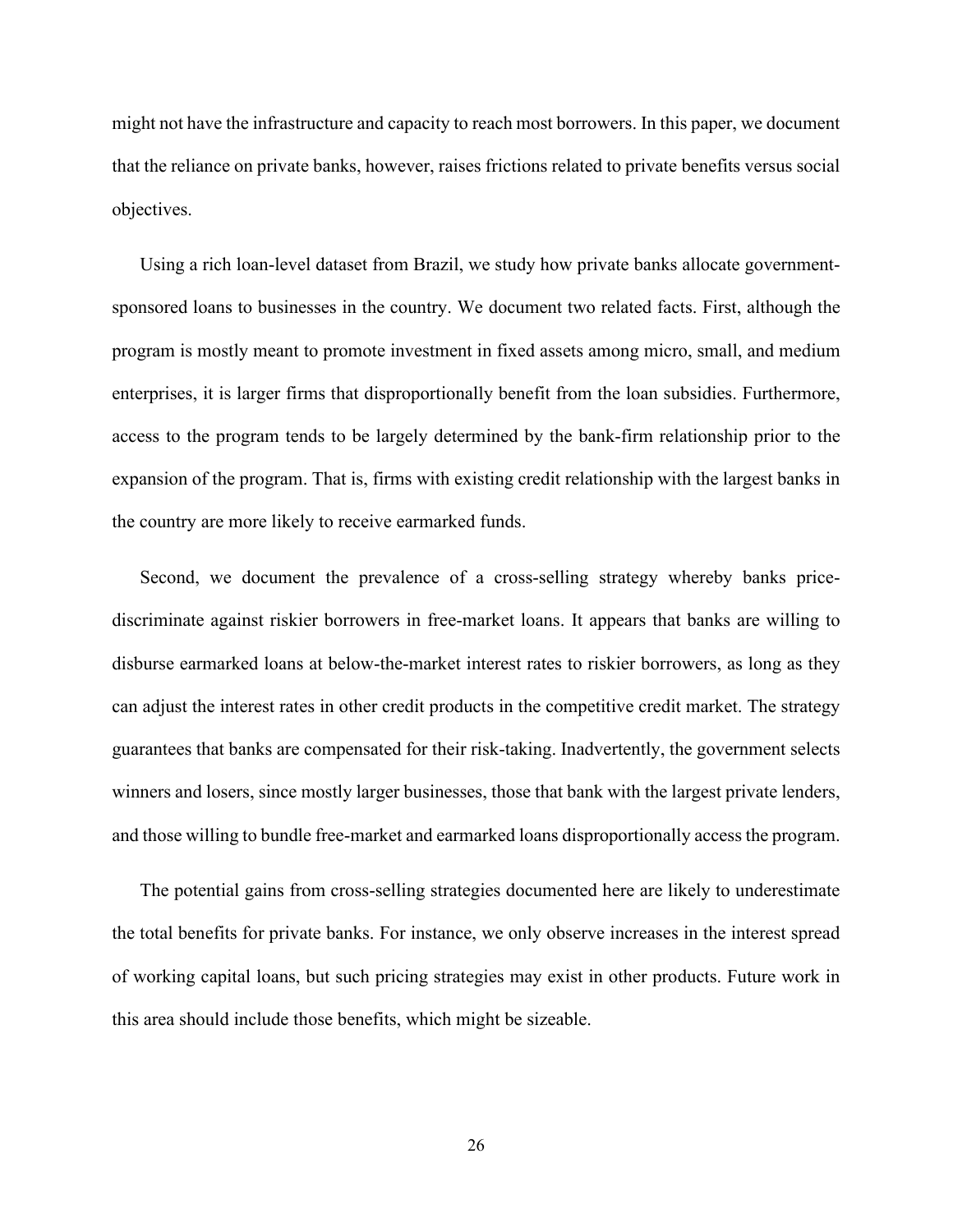might not have the infrastructure and capacity to reach most borrowers. In this paper, we document that the reliance on private banks, however, raises frictions related to private benefits versus social objectives.

Using a rich loan-level dataset from Brazil, we study how private banks allocate governmentsponsored loans to businesses in the country. We document two related facts. First, although the program is mostly meant to promote investment in fixed assets among micro, small, and medium enterprises, it is larger firms that disproportionally benefit from the loan subsidies. Furthermore, access to the program tends to be largely determined by the bank-firm relationship prior to the expansion of the program. That is, firms with existing credit relationship with the largest banks in the country are more likely to receive earmarked funds.

Second, we document the prevalence of a cross-selling strategy whereby banks pricediscriminate against riskier borrowers in free-market loans. It appears that banks are willing to disburse earmarked loans at below-the-market interest rates to riskier borrowers, as long as they can adjust the interest rates in other credit products in the competitive credit market. The strategy guarantees that banks are compensated for their risk-taking. Inadvertently, the government selects winners and losers, since mostly larger businesses, those that bank with the largest private lenders, and those willing to bundle free-market and earmarked loans disproportionally access the program.

The potential gains from cross-selling strategies documented here are likely to underestimate the total benefits for private banks. For instance, we only observe increases in the interest spread of working capital loans, but such pricing strategies may exist in other products. Future work in this area should include those benefits, which might be sizeable.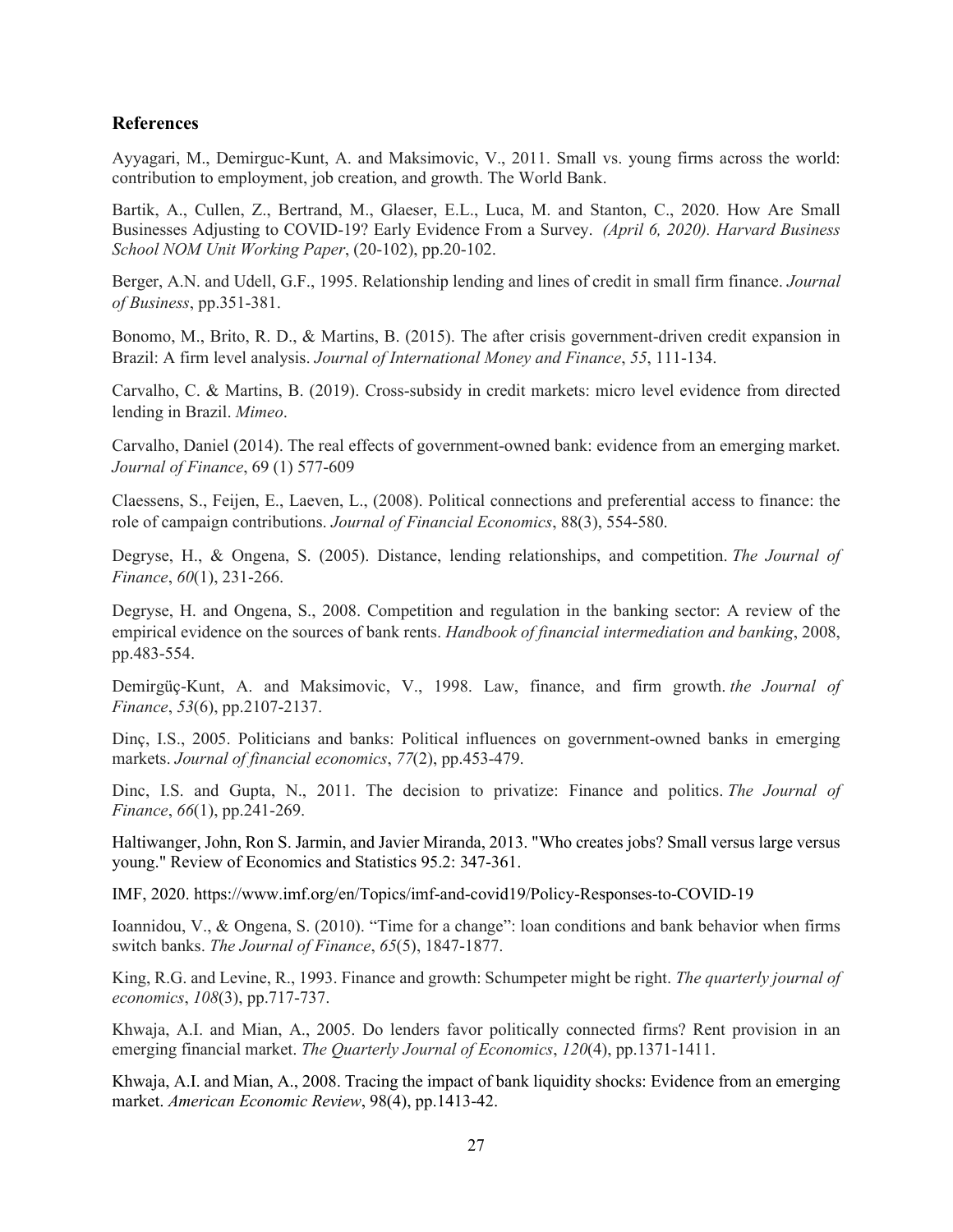#### **References**

Ayyagari, M., Demirguc-Kunt, A. and Maksimovic, V., 2011. Small vs. young firms across the world: contribution to employment, job creation, and growth. The World Bank.

Bartik, A., Cullen, Z., Bertrand, M., Glaeser, E.L., Luca, M. and Stanton, C., 2020. How Are Small Businesses Adjusting to COVID-19? Early Evidence From a Survey. *(April 6, 2020). Harvard Business School NOM Unit Working Paper*, (20-102), pp.20-102.

Berger, A.N. and Udell, G.F., 1995. Relationship lending and lines of credit in small firm finance. *Journal of Business*, pp.351-381.

Bonomo, M., Brito, R. D., & Martins, B. (2015). The after crisis government-driven credit expansion in Brazil: A firm level analysis. *Journal of International Money and Finance*, *55*, 111-134.

Carvalho, C. & Martins, B. (2019). Cross-subsidy in credit markets: micro level evidence from directed lending in Brazil. *Mimeo*.

Carvalho, Daniel (2014). The real effects of government-owned bank: evidence from an emerging market. *Journal of Finance*, 69 (1) 577-609

Claessens, S., Feijen, E., Laeven, L., (2008). Political connections and preferential access to finance: the role of campaign contributions. *Journal of Financial Economics*, 88(3), 554-580.

Degryse, H., & Ongena, S. (2005). Distance, lending relationships, and competition. *The Journal of Finance*, *60*(1), 231-266.

Degryse, H. and Ongena, S., 2008. Competition and regulation in the banking sector: A review of the empirical evidence on the sources of bank rents. *Handbook of financial intermediation and banking*, 2008, pp.483-554.

Demirgüç-Kunt, A. and Maksimovic, V., 1998. Law, finance, and firm growth. *the Journal of Finance*, *53*(6), pp.2107-2137.

Dinç, I.S., 2005. Politicians and banks: Political influences on government-owned banks in emerging markets. *Journal of financial economics*, *77*(2), pp.453-479.

Dinc, I.S. and Gupta, N., 2011. The decision to privatize: Finance and politics. *The Journal of Finance*, *66*(1), pp.241-269.

Haltiwanger, John, Ron S. Jarmin, and Javier Miranda, 2013. "Who creates jobs? Small versus large versus young." Review of Economics and Statistics 95.2: 347-361.

IMF, 2020.<https://www.imf.org/en/Topics/imf-and-covid19/Policy-Responses-to-COVID-19>

Ioannidou, V., & Ongena, S. (2010). "Time for a change": loan conditions and bank behavior when firms switch banks. *The Journal of Finance*, *65*(5), 1847-1877.

King, R.G. and Levine, R., 1993. Finance and growth: Schumpeter might be right. *The quarterly journal of economics*, *108*(3), pp.717-737.

Khwaja, A.I. and Mian, A., 2005. Do lenders favor politically connected firms? Rent provision in an emerging financial market. *The Quarterly Journal of Economics*, *120*(4), pp.1371-1411.

Khwaja, A.I. and Mian, A., 2008. Tracing the impact of bank liquidity shocks: Evidence from an emerging market. *American Economic Review*, 98(4), pp.1413-42.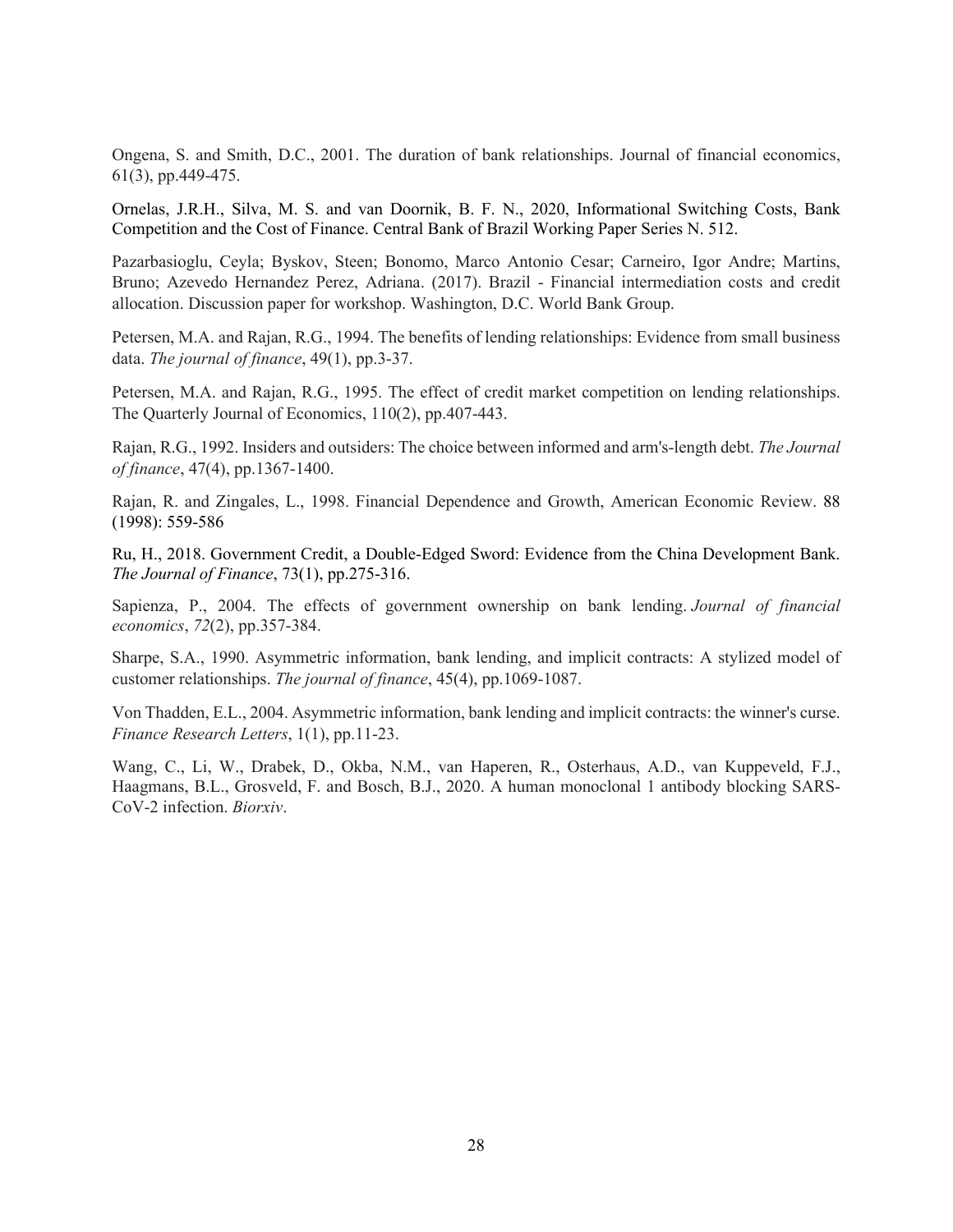Ongena, S. and Smith, D.C., 2001. The duration of bank relationships. Journal of financial economics, 61(3), pp.449-475.

Ornelas, J.R.H., Silva, M. S. and van Doornik, B. F. N., 2020, Informational Switching Costs, Bank Competition and the Cost of Finance. Central Bank of Brazil Working Paper Series N. 512.

Pazarbasioglu, Ceyla; Byskov, Steen; Bonomo, Marco Antonio Cesar; Carneiro, Igor Andre; Martins, Bruno; Azevedo Hernandez Perez, Adriana. (2017). Brazil - Financial intermediation costs and credit allocation. Discussion paper for workshop. Washington, D.C. World Bank Group.

Petersen, M.A. and Rajan, R.G., 1994. The benefits of lending relationships: Evidence from small business data. *The journal of finance*, 49(1), pp.3-37.

Petersen, M.A. and Rajan, R.G., 1995. The effect of credit market competition on lending relationships. The Quarterly Journal of Economics, 110(2), pp.407-443.

Rajan, R.G., 1992. Insiders and outsiders: The choice between informed and arm's‐length debt. *The Journal of finance*, 47(4), pp.1367-1400.

Rajan, R. and Zingales, L., 1998. Financial Dependence and Growth, American Economic Review. 88 (1998): 559-586

Ru, H., 2018. Government Credit, a Double‐Edged Sword: Evidence from the China Development Bank. *The Journal of Finance*, 73(1), pp.275-316.

Sapienza, P., 2004. The effects of government ownership on bank lending. *Journal of financial economics*, *72*(2), pp.357-384.

Sharpe, S.A., 1990. Asymmetric information, bank lending, and implicit contracts: A stylized model of customer relationships. *The journal of finance*, 45(4), pp.1069-1087.

Von Thadden, E.L., 2004. Asymmetric information, bank lending and implicit contracts: the winner's curse. *Finance Research Letters*, 1(1), pp.11-23.

Wang, C., Li, W., Drabek, D., Okba, N.M., van Haperen, R., Osterhaus, A.D., van Kuppeveld, F.J., Haagmans, B.L., Grosveld, F. and Bosch, B.J., 2020. A human monoclonal 1 antibody blocking SARS-CoV-2 infection. *Biorxiv*.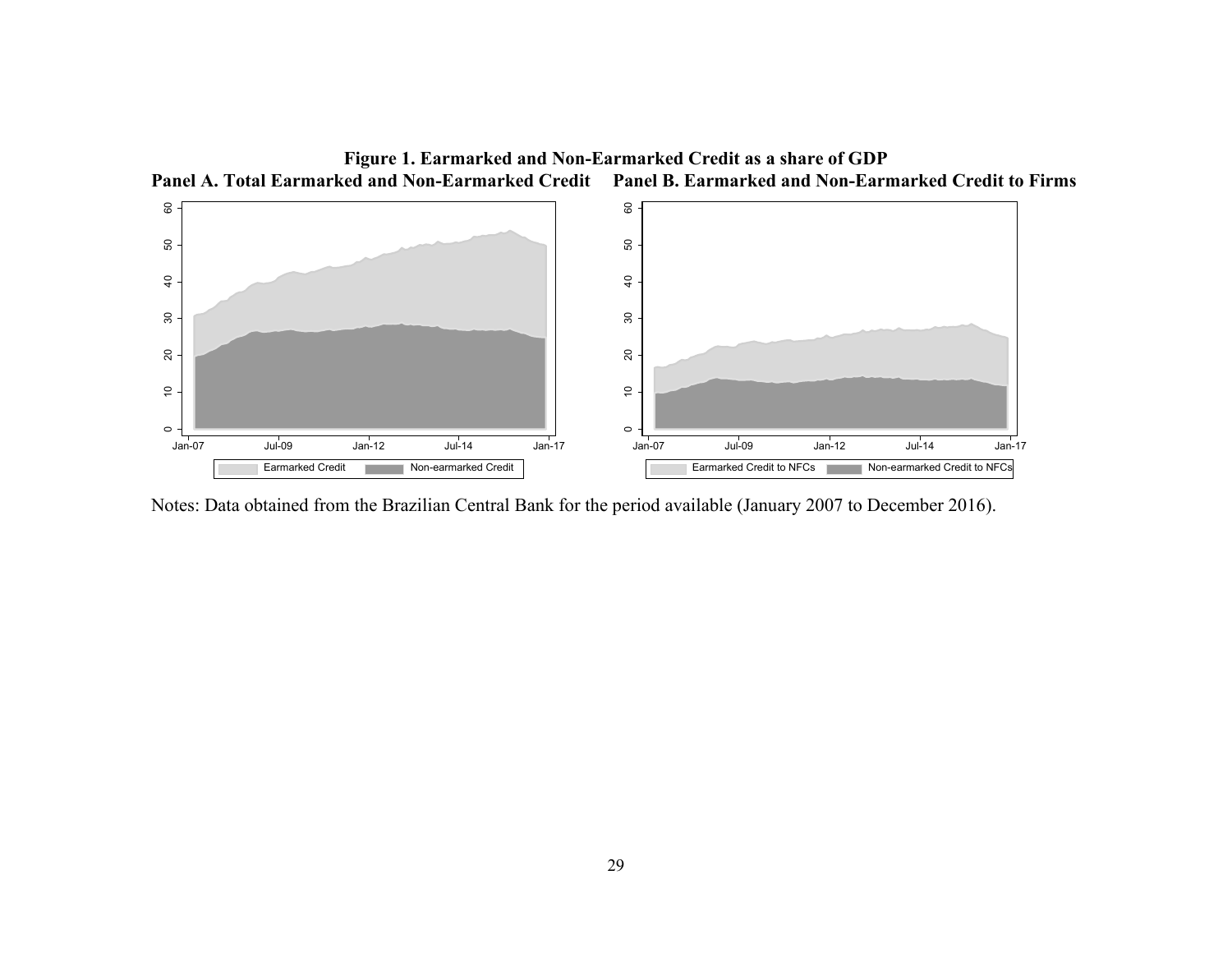

Notes: Data obtained from the Brazilian Central Bank for the period available (January 2007 to December 2016).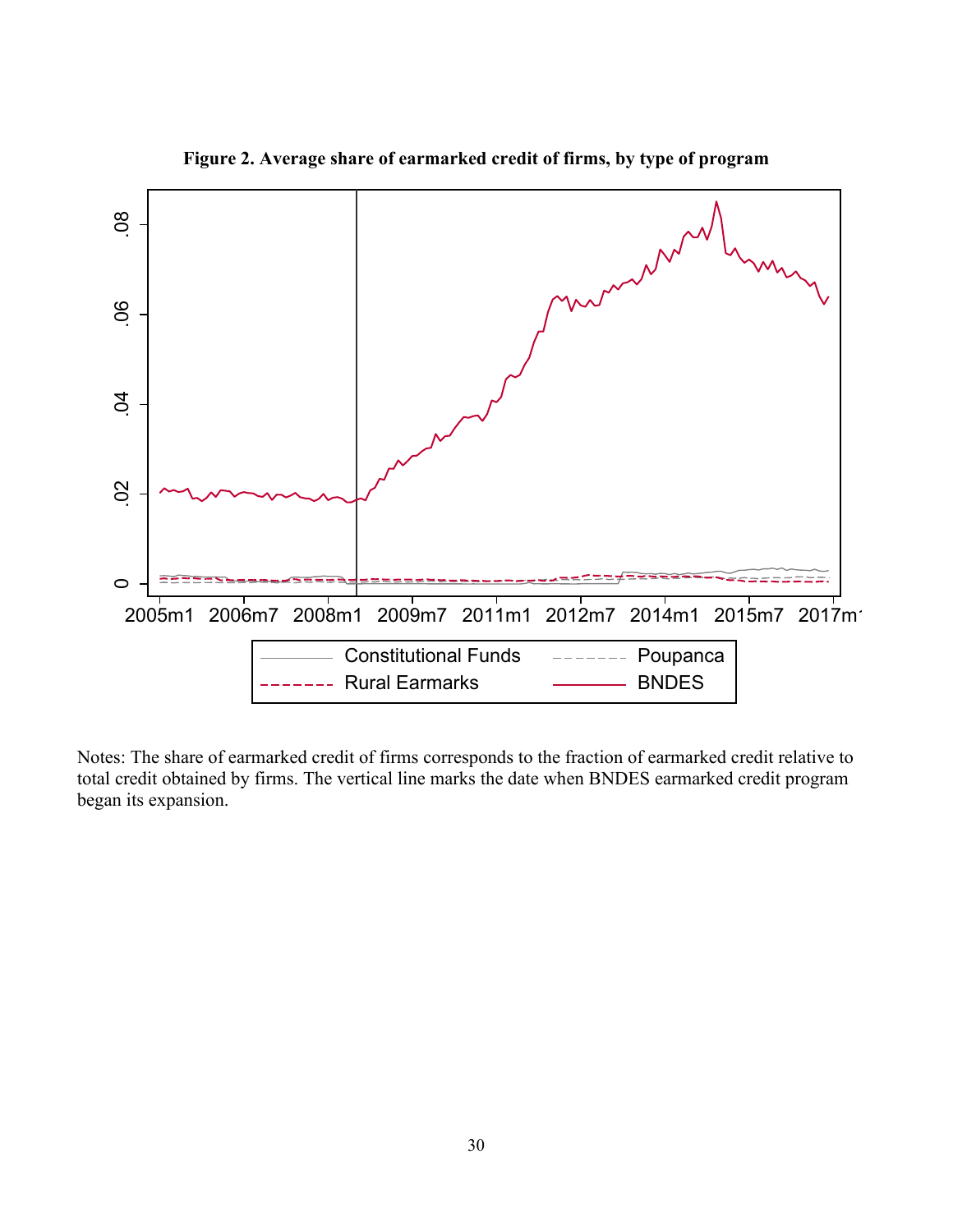

**Figure 2. Average share of earmarked credit of firms, by type of program**

Notes: The share of earmarked credit of firms corresponds to the fraction of earmarked credit relative to total credit obtained by firms. The vertical line marks the date when BNDES earmarked credit program began its expansion.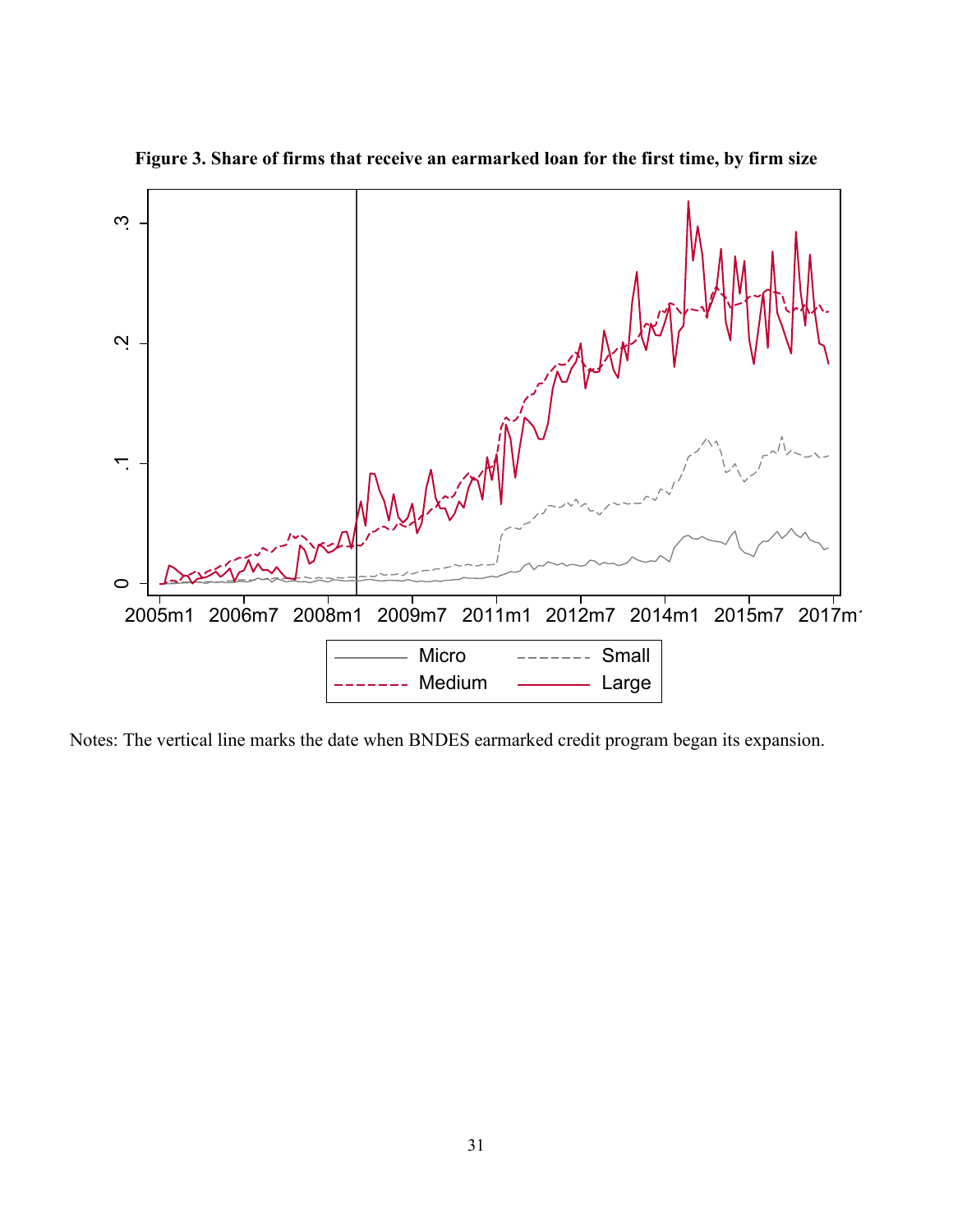

**Figure 3. Share of firms that receive an earmarked loan for the first time, by firm size**

Notes: The vertical line marks the date when BNDES earmarked credit program began its expansion.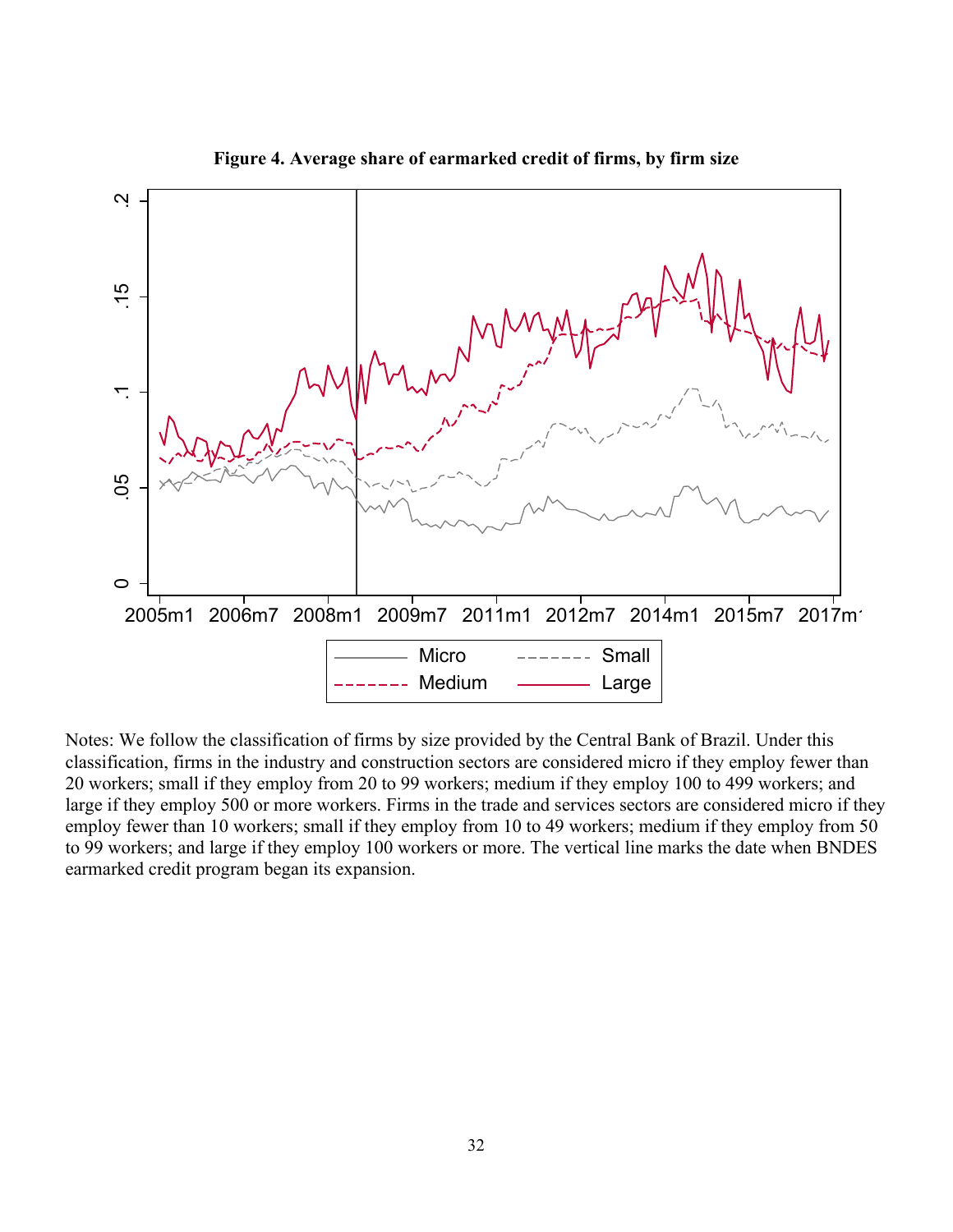

**Figure 4. Average share of earmarked credit of firms, by firm size**

Notes: We follow the classification of firms by size provided by the Central Bank of Brazil. Under this classification, firms in the industry and construction sectors are considered micro if they employ fewer than 20 workers; small if they employ from 20 to 99 workers; medium if they employ 100 to 499 workers; and large if they employ 500 or more workers. Firms in the trade and services sectors are considered micro if they employ fewer than 10 workers; small if they employ from 10 to 49 workers; medium if they employ from 50 to 99 workers; and large if they employ 100 workers or more. The vertical line marks the date when BNDES earmarked credit program began its expansion.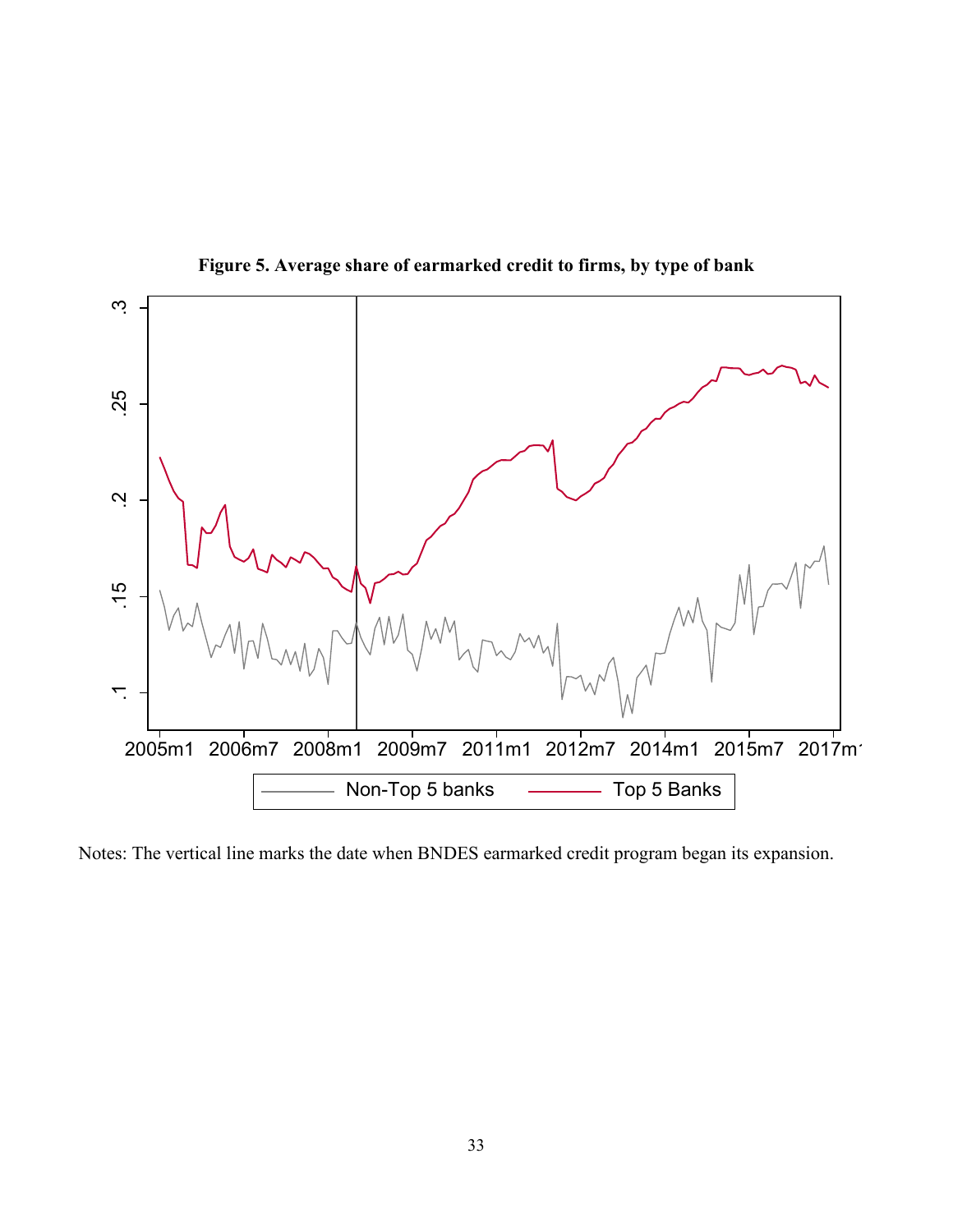

**Figure 5. Average share of earmarked credit to firms, by type of bank**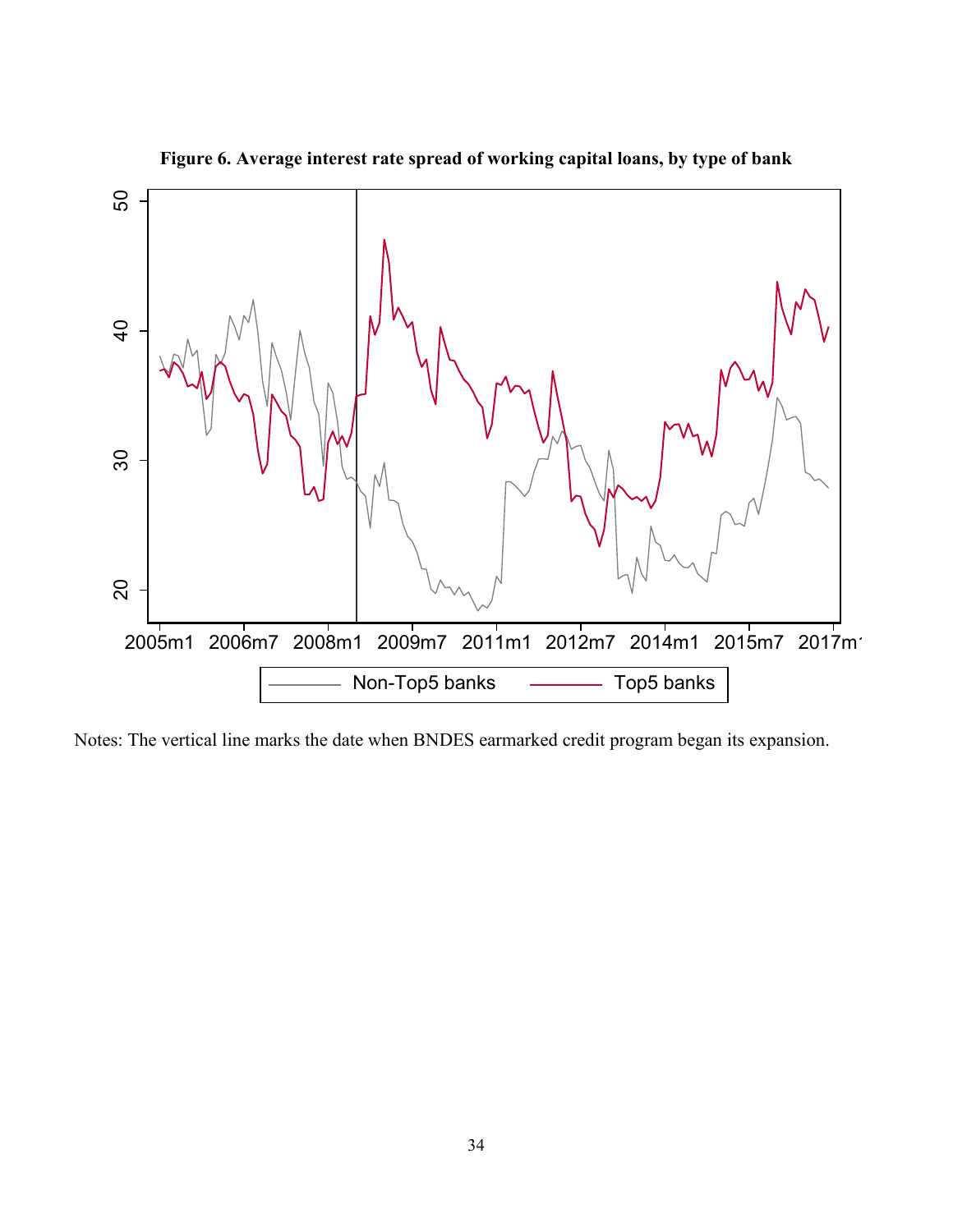

**Figure 6. Average interest rate spread of working capital loans, by type of bank**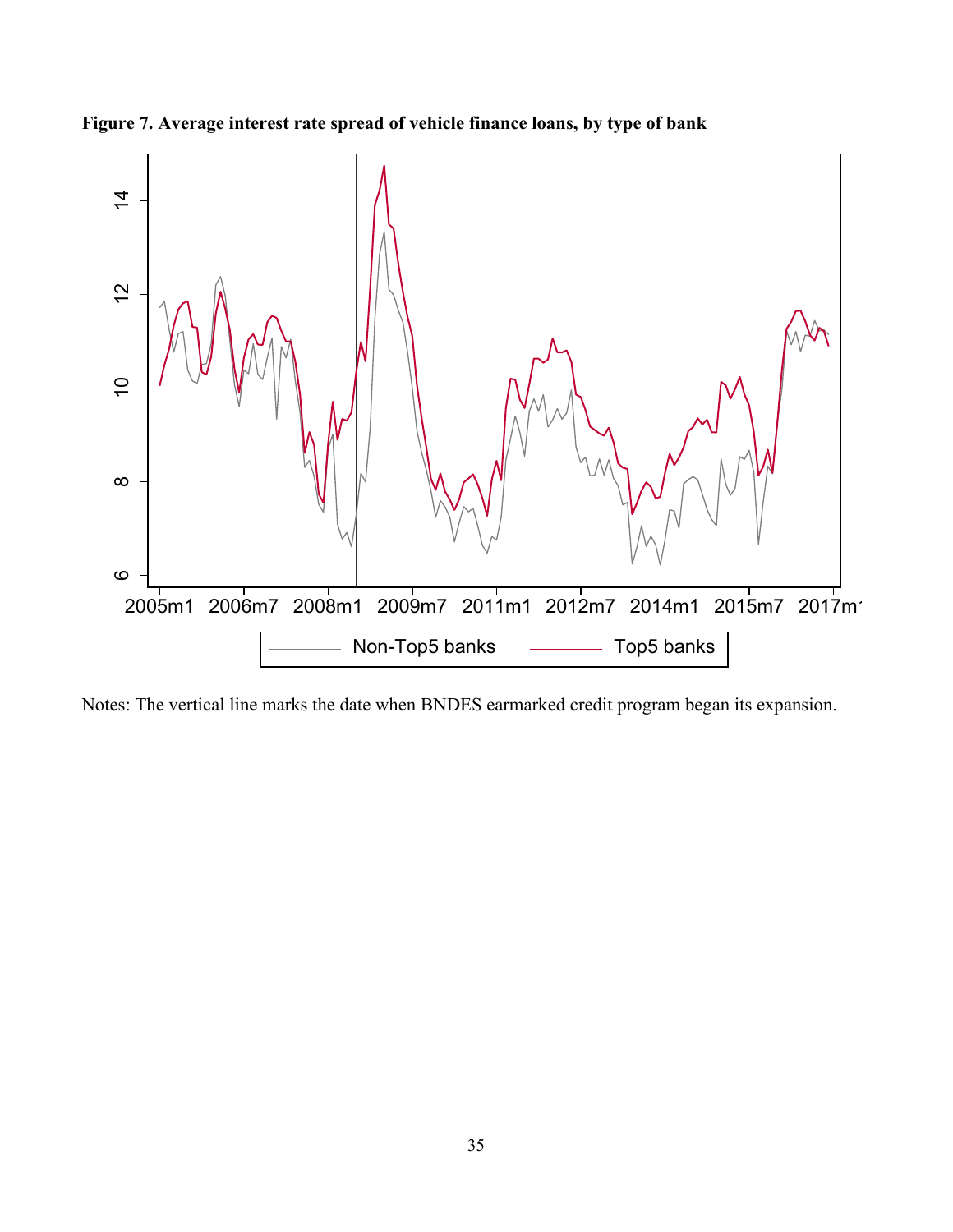

**Figure 7. Average interest rate spread of vehicle finance loans, by type of bank**

Notes: The vertical line marks the date when BNDES earmarked credit program began its expansion.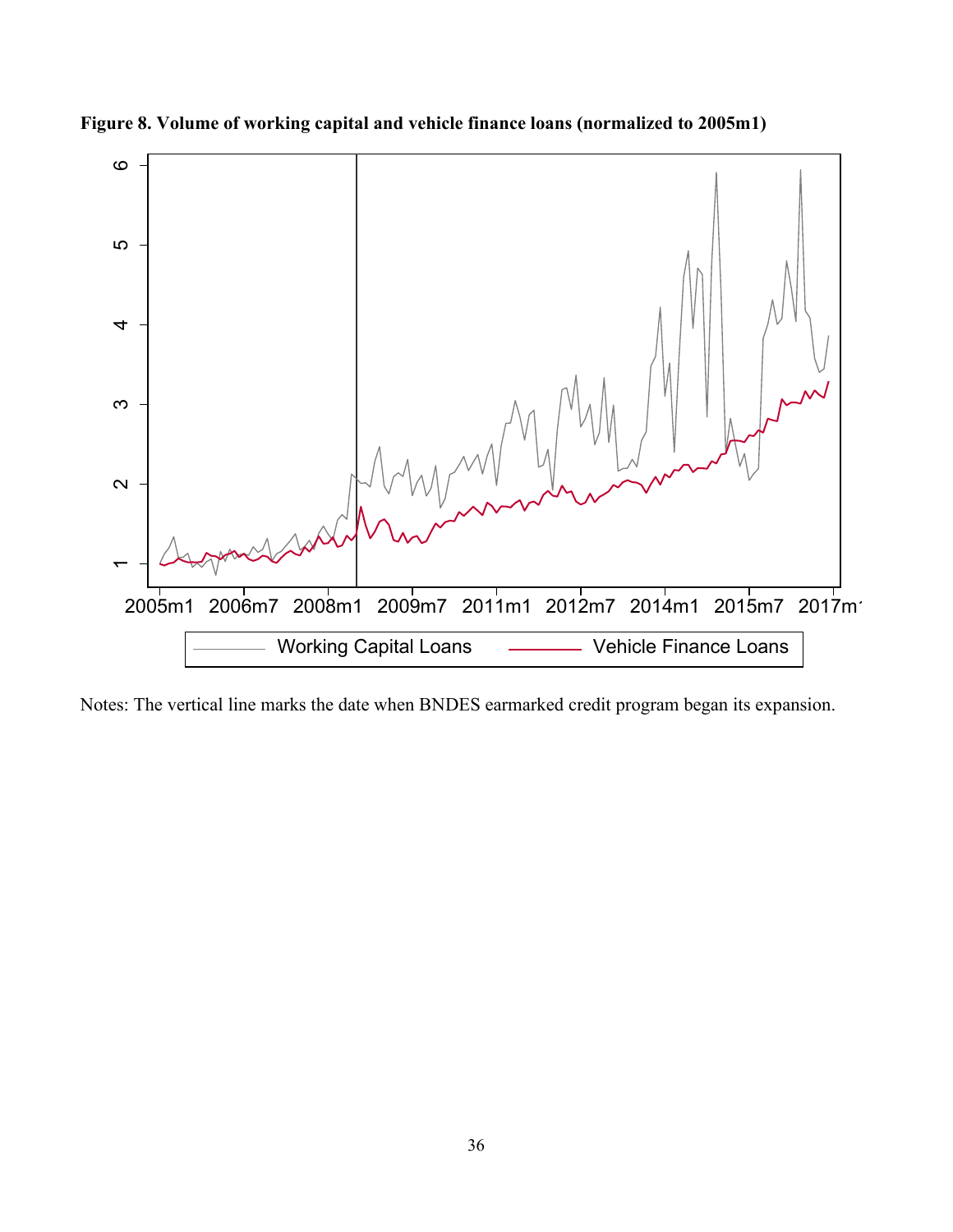

**Figure 8. Volume of working capital and vehicle finance loans (normalized to 2005m1)**

Notes: The vertical line marks the date when BNDES earmarked credit program began its expansion.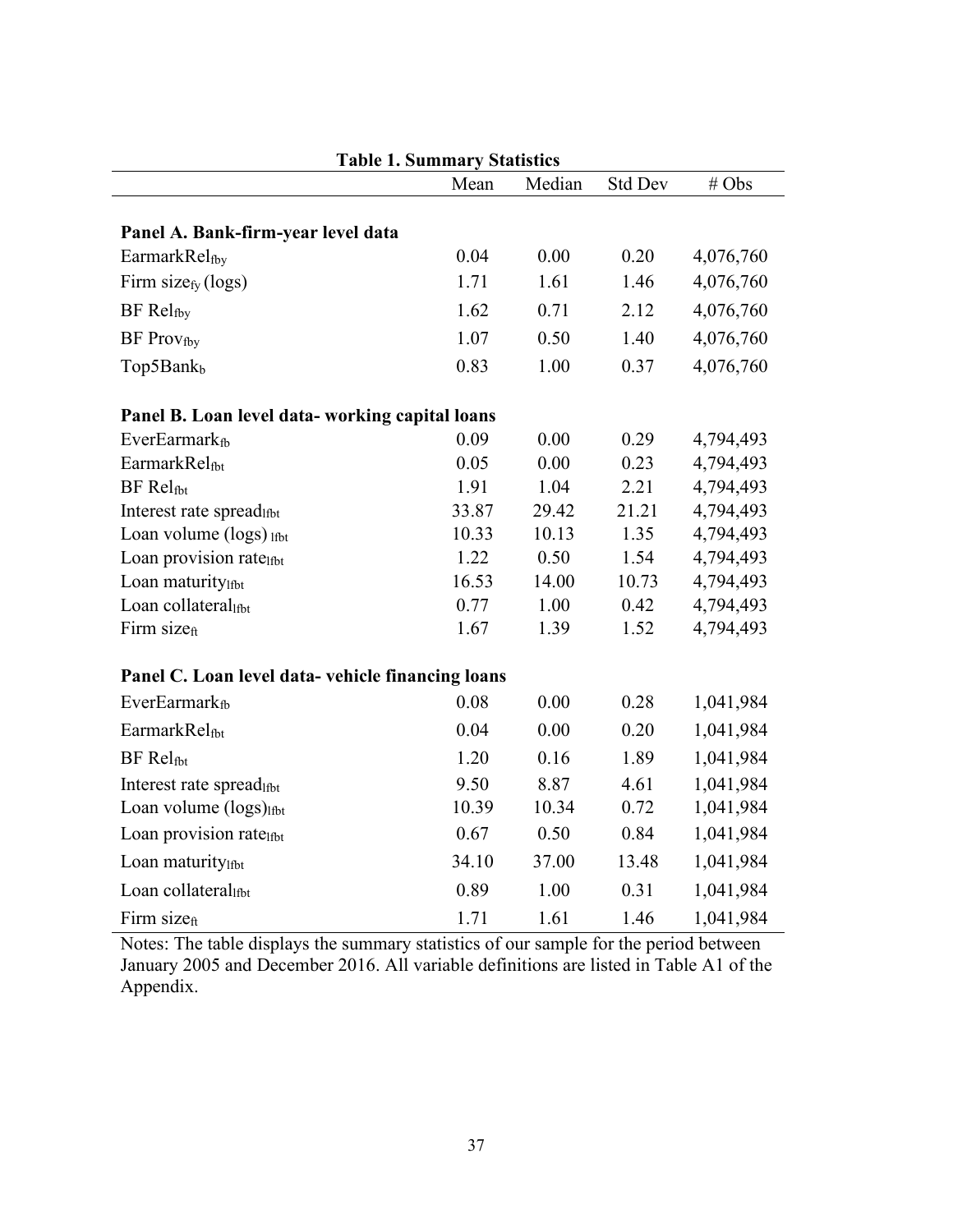|                                                  | Mean  | Median | <b>Std Dev</b> | # Obs     |
|--------------------------------------------------|-------|--------|----------------|-----------|
|                                                  |       |        |                |           |
| Panel A. Bank-firm-year level data               |       |        |                |           |
| EarmarkRelfby                                    | 0.04  | 0.00   | 0.20           | 4,076,760 |
| Firm size $fY$ (logs)                            | 1.71  | 1.61   | 1.46           | 4,076,760 |
| BF Relfby                                        | 1.62  | 0.71   | 2.12           | 4,076,760 |
| <b>BF</b> Provfby                                | 1.07  | 0.50   | 1.40           | 4,076,760 |
| Top5Bankb                                        | 0.83  | 1.00   | 0.37           | 4,076,760 |
| Panel B. Loan level data-working capital loans   |       |        |                |           |
| EverEarmark <sub>fb</sub>                        | 0.09  | 0.00   | 0.29           | 4,794,493 |
| EarmarkRelfbt                                    | 0.05  | 0.00   | 0.23           | 4,794,493 |
| <b>BF</b> Relfbt                                 | 1.91  | 1.04   | 2.21           | 4,794,493 |
| Interest rate spread <sub>1fbt</sub>             | 33.87 | 29.42  | 21.21          | 4,794,493 |
| Loan volume (logs) lfbt                          | 10.33 | 10.13  | 1.35           | 4,794,493 |
| Loan provision ratelfbt                          | 1.22  | 0.50   | 1.54           | 4,794,493 |
| Loan maturitylfbt                                | 16.53 | 14.00  | 10.73          | 4,794,493 |
| Loan collaterallfbt                              | 0.77  | 1.00   | 0.42           | 4,794,493 |
| Firm size <sub>ft</sub>                          | 1.67  | 1.39   | 1.52           | 4,794,493 |
| Panel C. Loan level data-vehicle financing loans |       |        |                |           |
| <b>EverEarmark</b> <sup>6</sup>                  | 0.08  | 0.00   | 0.28           | 1,041,984 |
| EarmarkRelfbt                                    | 0.04  | 0.00   | 0.20           | 1,041,984 |
| <b>BF</b> Relfbt                                 | 1.20  | 0.16   | 1.89           | 1,041,984 |
| Interest rate spreadlfbt                         | 9.50  | 8.87   | 4.61           | 1,041,984 |
| Loan volume (logs) <sub>Ifbt</sub>               | 10.39 | 10.34  | 0.72           | 1,041,984 |
| Loan provision ratelfbt                          | 0.67  | 0.50   | 0.84           | 1,041,984 |
| Loan maturitylfbt                                | 34.10 | 37.00  | 13.48          | 1,041,984 |
| Loan collateral                                  | 0.89  | 1.00   | 0.31           | 1,041,984 |
| Firm sizeft                                      | 1.71  | 1.61   | 1.46           | 1,041,984 |

**Table 1. Summary Statistics**

Notes: The table displays the summary statistics of our sample for the period between January 2005 and December 2016. All variable definitions are listed in Table A1 of the Appendix.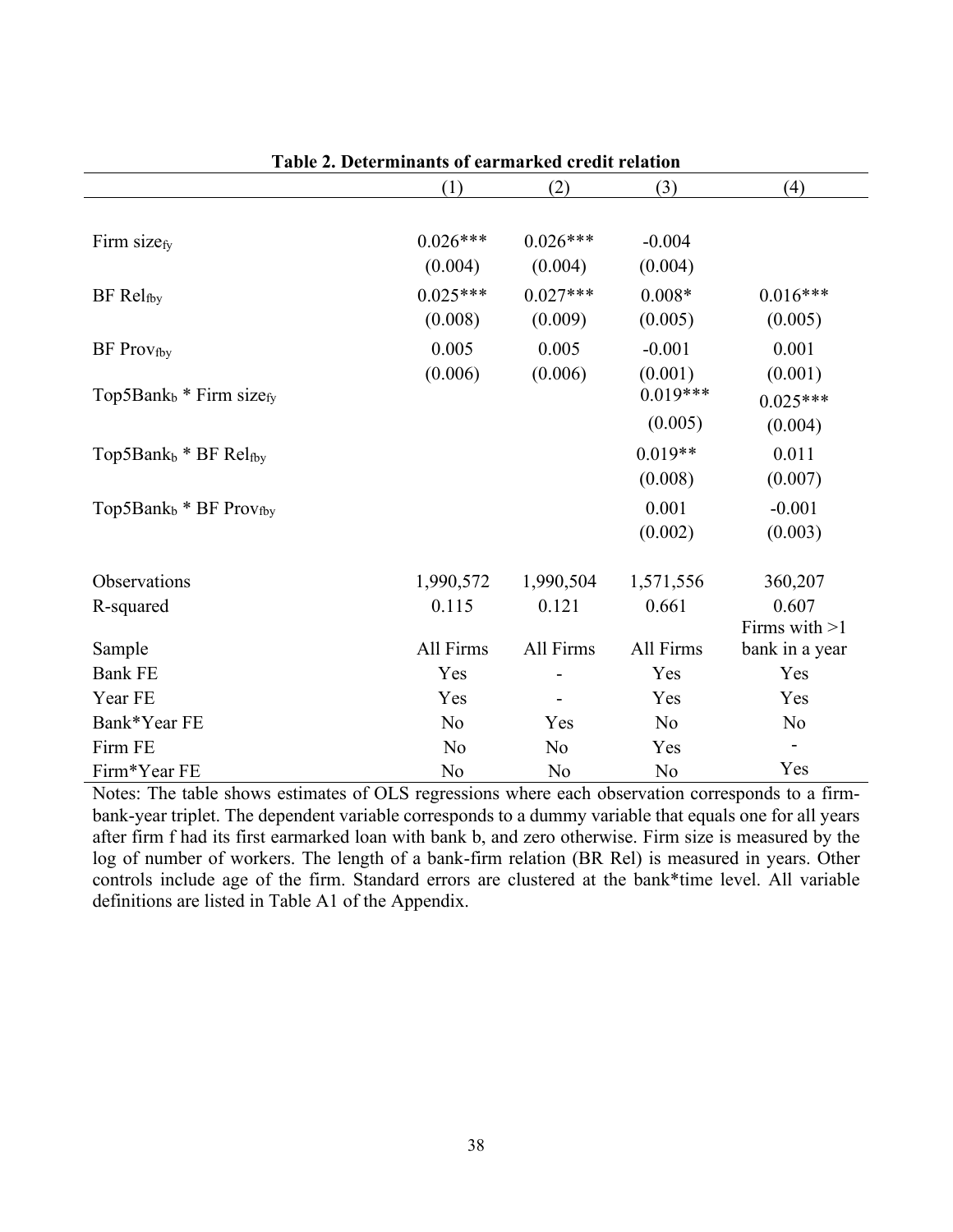|                                                 | (1)            | (2)        | (3)        | (4)             |
|-------------------------------------------------|----------------|------------|------------|-----------------|
|                                                 |                |            |            |                 |
| Firm sizefy                                     | $0.026***$     | $0.026***$ | $-0.004$   |                 |
|                                                 | (0.004)        | (0.004)    | (0.004)    |                 |
| $BF$ $Rel_{fby}$                                | $0.025***$     | $0.027***$ | $0.008*$   | $0.016***$      |
|                                                 | (0.008)        | (0.009)    | (0.005)    | (0.005)         |
| <b>BF</b> Prov <sub>fby</sub>                   | 0.005          | 0.005      | $-0.001$   | 0.001           |
|                                                 | (0.006)        | (0.006)    | (0.001)    | (0.001)         |
| Top5Bank <sub>b</sub> * Firm size <sub>fy</sub> |                |            | $0.019***$ | $0.025***$      |
|                                                 |                |            | (0.005)    | (0.004)         |
| Top5Bank $_b$ * BF Relfby                       |                |            | $0.019**$  | 0.011           |
|                                                 |                |            | (0.008)    | (0.007)         |
| Top5Ban $k_b$ * BF Provfby                      |                |            | 0.001      | $-0.001$        |
|                                                 |                |            | (0.002)    | (0.003)         |
| Observations                                    | 1,990,572      | 1,990,504  | 1,571,556  | 360,207         |
| R-squared                                       | 0.115          | 0.121      | 0.661      | 0.607           |
|                                                 |                |            |            | Firms with $>1$ |
| Sample                                          | All Firms      | All Firms  | All Firms  | bank in a year  |
| <b>Bank FE</b>                                  | Yes            |            | Yes        | Yes             |
| Year FE                                         | Yes            |            | Yes        | Yes             |
| Bank*Year FE                                    | N <sub>o</sub> | Yes        | No         | N <sub>o</sub>  |
| Firm FE                                         | No             | No         | Yes        |                 |
| Firm*Year FE                                    | No             | No         | No         | Yes             |

Notes: The table shows estimates of OLS regressions where each observation corresponds to a firmbank-year triplet. The dependent variable corresponds to a dummy variable that equals one for all years after firm f had its first earmarked loan with bank b, and zero otherwise. Firm size is measured by the log of number of workers. The length of a bank-firm relation (BR Rel) is measured in years. Other controls include age of the firm. Standard errors are clustered at the bank\*time level. All variable definitions are listed in Table A1 of the Appendix.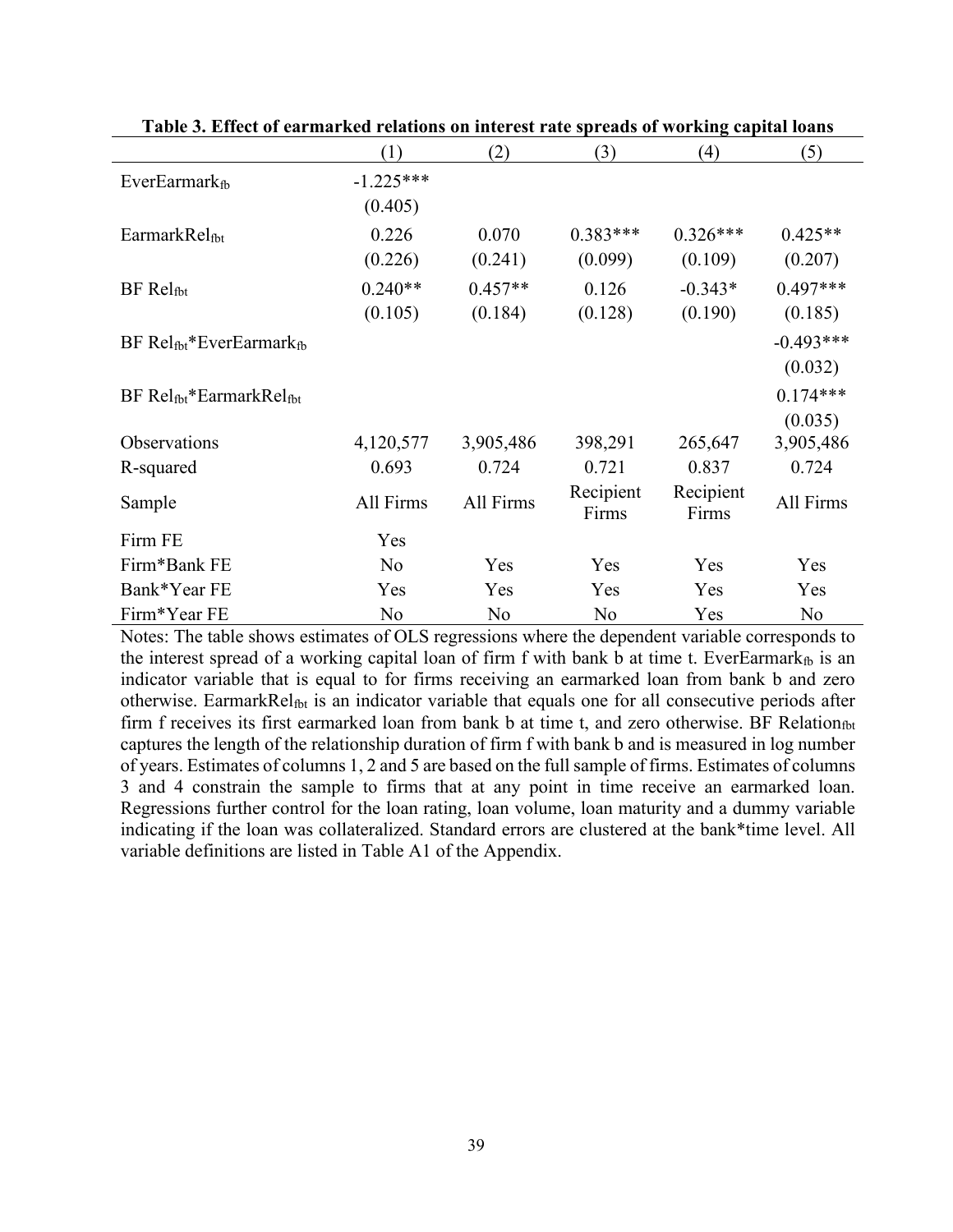|                                                    | (1)            | (2)       | (3)                | (4)                | (5)         |
|----------------------------------------------------|----------------|-----------|--------------------|--------------------|-------------|
| EverEarmark <sub>fb</sub>                          | $-1.225***$    |           |                    |                    |             |
|                                                    | (0.405)        |           |                    |                    |             |
| EarmarkRelfbt                                      | 0.226          | 0.070     | $0.383***$         | $0.326***$         | $0.425**$   |
|                                                    | (0.226)        | (0.241)   | (0.099)            | (0.109)            | (0.207)     |
| BF Relf <sub>bt</sub>                              | $0.240**$      | $0.457**$ | 0.126              | $-0.343*$          | $0.497***$  |
|                                                    | (0.105)        | (0.184)   | (0.128)            | (0.190)            | (0.185)     |
| $BF$ Relf <sub>bt</sub> *EverEarmarkf <sub>b</sub> |                |           |                    |                    | $-0.493***$ |
|                                                    |                |           |                    |                    | (0.032)     |
| $BF$ Relf <sub>bt</sub> *EarmarkRelf <sub>bt</sub> |                |           |                    |                    | $0.174***$  |
|                                                    |                |           |                    |                    | (0.035)     |
| Observations                                       | 4,120,577      | 3,905,486 | 398,291            | 265,647            | 3,905,486   |
| R-squared                                          | 0.693          | 0.724     | 0.721              | 0.837              | 0.724       |
| Sample                                             | All Firms      | All Firms | Recipient<br>Firms | Recipient<br>Firms | All Firms   |
| Firm FE                                            | Yes            |           |                    |                    |             |
| Firm*Bank FE                                       | N <sub>o</sub> | Yes       | Yes                | Yes                | Yes         |
| Bank*Year FE                                       | Yes            | Yes       | Yes                | Yes                | Yes         |
| Firm*Year FE                                       | No             | No        | N <sub>o</sub>     | Yes                | No          |

**Table 3. Effect of earmarked relations on interest rate spreads of working capital loans**

Notes: The table shows estimates of OLS regressions where the dependent variable corresponds to the interest spread of a working capital loan of firm f with bank b at time t. EverEarmark $_{fb}$  is an indicator variable that is equal to for firms receiving an earmarked loan from bank b and zero otherwise. EarmarkRel<sub>fbt</sub> is an indicator variable that equals one for all consecutive periods after firm f receives its first earmarked loan from bank b at time t, and zero otherwise. BF Relation<sub>fbt</sub> captures the length of the relationship duration of firm f with bank b and is measured in log number of years. Estimates of columns 1, 2 and 5 are based on the full sample of firms. Estimates of columns 3 and 4 constrain the sample to firms that at any point in time receive an earmarked loan. Regressions further control for the loan rating, loan volume, loan maturity and a dummy variable indicating if the loan was collateralized. Standard errors are clustered at the bank\*time level. All variable definitions are listed in Table A1 of the Appendix.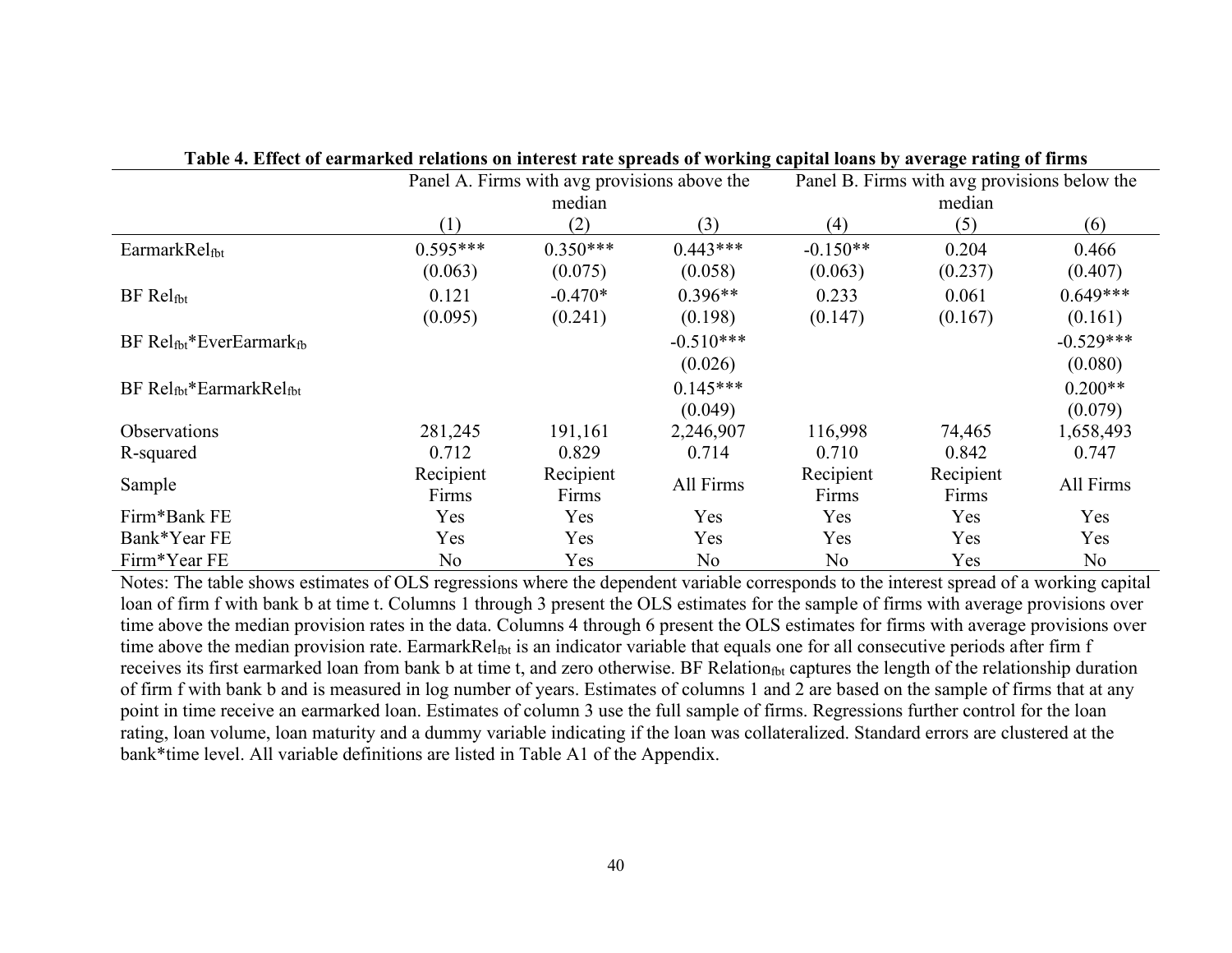|                                 | Panel A. Firms with avg provisions above the |            |             | Panel B. Firms with avg provisions below the |           |             |
|---------------------------------|----------------------------------------------|------------|-------------|----------------------------------------------|-----------|-------------|
|                                 |                                              | median     |             |                                              |           |             |
|                                 | (1)                                          | (2)        | (3)         | (4)                                          | (5)       | (6)         |
| EarmarkRelfbt                   | $0.595***$                                   | $0.350***$ | $0.443***$  | $-0.150**$                                   | 0.204     | 0.466       |
|                                 | (0.063)                                      | (0.075)    | (0.058)     | (0.063)                                      | (0.237)   | (0.407)     |
| BF Relf <sub>bt</sub>           | 0.121                                        | $-0.470*$  | $0.396**$   | 0.233                                        | 0.061     | $0.649***$  |
|                                 | (0.095)                                      | (0.241)    | (0.198)     | (0.147)                                      | (0.167)   | (0.161)     |
| $BF Rel_{fbt}*EverEarmark_{fb}$ |                                              |            | $-0.510***$ |                                              |           | $-0.529***$ |
|                                 |                                              |            | (0.026)     |                                              |           | (0.080)     |
| BF Relfbt*EarmarkRelfbt         |                                              |            | $0.145***$  |                                              |           | $0.200**$   |
|                                 |                                              |            | (0.049)     |                                              |           | (0.079)     |
| Observations                    | 281,245                                      | 191,161    | 2,246,907   | 116,998                                      | 74,465    | 1,658,493   |
| R-squared                       | 0.712                                        | 0.829      | 0.714       | 0.710                                        | 0.842     | 0.747       |
| Sample                          | Recipient                                    | Recipient  | All Firms   | Recipient                                    | Recipient | All Firms   |
|                                 | Firms                                        | Firms      |             | Firms                                        | Firms     |             |
| Firm*Bank FE                    | Yes                                          | Yes        | Yes         | Yes                                          | Yes       | Yes         |
| Bank*Year FE                    | Yes                                          | Yes        | Yes         | Yes                                          | Yes       | Yes         |
| Firm*Year FE                    | No                                           | Yes        | No          | No                                           | Yes       | No          |

| Table 4. Effect of earmarked relations on interest rate spreads of working capital loans by average rating of firms |  |  |
|---------------------------------------------------------------------------------------------------------------------|--|--|
|                                                                                                                     |  |  |

Notes: The table shows estimates of OLS regressions where the dependent variable corresponds to the interest spread of a working capital loan of firm f with bank b at time t. Columns 1 through 3 present the OLS estimates for the sample of firms with average provisions over time above the median provision rates in the data. Columns 4 through 6 present the OLS estimates for firms with average provisions over time above the median provision rate. EarmarkRel<sub>fbt</sub> is an indicator variable that equals one for all consecutive periods after firm f receives its first earmarked loan from bank b at time t, and zero otherwise. BF Relation<sub>fbt</sub> captures the length of the relationship duration of firm f with bank b and is measured in log number of years. Estimates of columns 1 and 2 are based on the sample of firms that at any point in time receive an earmarked loan. Estimates of column 3 use the full sample of firms. Regressions further control for the loan rating, loan volume, loan maturity and a dummy variable indicating if the loan was collateralized. Standard errors are clustered at the bank\*time level. All variable definitions are listed in Table A1 of the Appendix.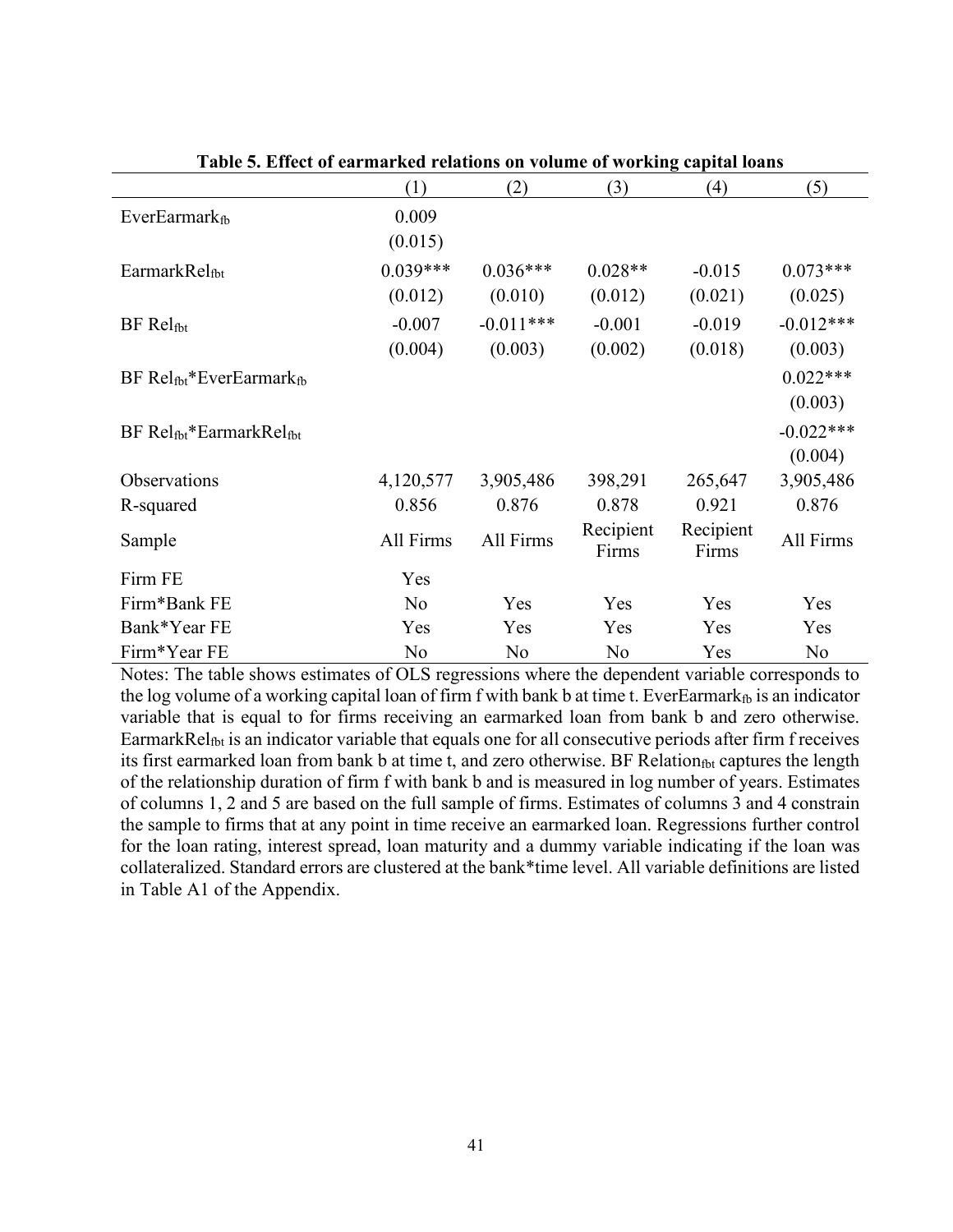|                                 | (1)            | (2)         | (3)                | (4)                | (5)         |
|---------------------------------|----------------|-------------|--------------------|--------------------|-------------|
| $EverEarmark$ <sub>fb</sub>     | 0.009          |             |                    |                    |             |
|                                 | (0.015)        |             |                    |                    |             |
| EarmarkRelf <sub>bt</sub>       | $0.039***$     | $0.036***$  | $0.028**$          | $-0.015$           | $0.073***$  |
|                                 | (0.012)        | (0.010)     | (0.012)            | (0.021)            | (0.025)     |
| BF Relf <sub>bt</sub>           | $-0.007$       | $-0.011***$ | $-0.001$           | $-0.019$           | $-0.012***$ |
|                                 | (0.004)        | (0.003)     | (0.002)            | (0.018)            | (0.003)     |
| $BF Rel_{fbt}*EverEarmark_{fb}$ |                |             |                    |                    | $0.022***$  |
|                                 |                |             |                    |                    | (0.003)     |
| $BF Rel_{fbt}*EarmarkRel_{fbt}$ |                |             |                    |                    | $-0.022***$ |
|                                 |                |             |                    |                    | (0.004)     |
| Observations                    | 4,120,577      | 3,905,486   | 398,291            | 265,647            | 3,905,486   |
| R-squared                       | 0.856          | 0.876       | 0.878              | 0.921              | 0.876       |
| Sample                          | All Firms      | All Firms   | Recipient<br>Firms | Recipient<br>Firms | All Firms   |
| Firm FE                         | Yes            |             |                    |                    |             |
| Firm*Bank FE                    | No             | Yes         | Yes                | Yes                | Yes         |
| Bank*Year FE                    | Yes            | Yes         | Yes                | Yes                | Yes         |
| Firm*Year FE                    | N <sub>o</sub> | No          | No                 | Yes                | No          |

**Table 5. Effect of earmarked relations on volume of working capital loans**

Notes: The table shows estimates of OLS regressions where the dependent variable corresponds to the log volume of a working capital loan of firm f with bank b at time t. EverEarmark<sub>fb</sub> is an indicator variable that is equal to for firms receiving an earmarked loan from bank b and zero otherwise. EarmarkRel<sub>fbt</sub> is an indicator variable that equals one for all consecutive periods after firm f receives its first earmarked loan from bank b at time t, and zero otherwise. BF Relation<sub>fbt</sub> captures the length of the relationship duration of firm f with bank b and is measured in log number of years. Estimates of columns 1, 2 and 5 are based on the full sample of firms. Estimates of columns 3 and 4 constrain the sample to firms that at any point in time receive an earmarked loan. Regressions further control for the loan rating, interest spread, loan maturity and a dummy variable indicating if the loan was collateralized. Standard errors are clustered at the bank\*time level. All variable definitions are listed in Table A1 of the Appendix.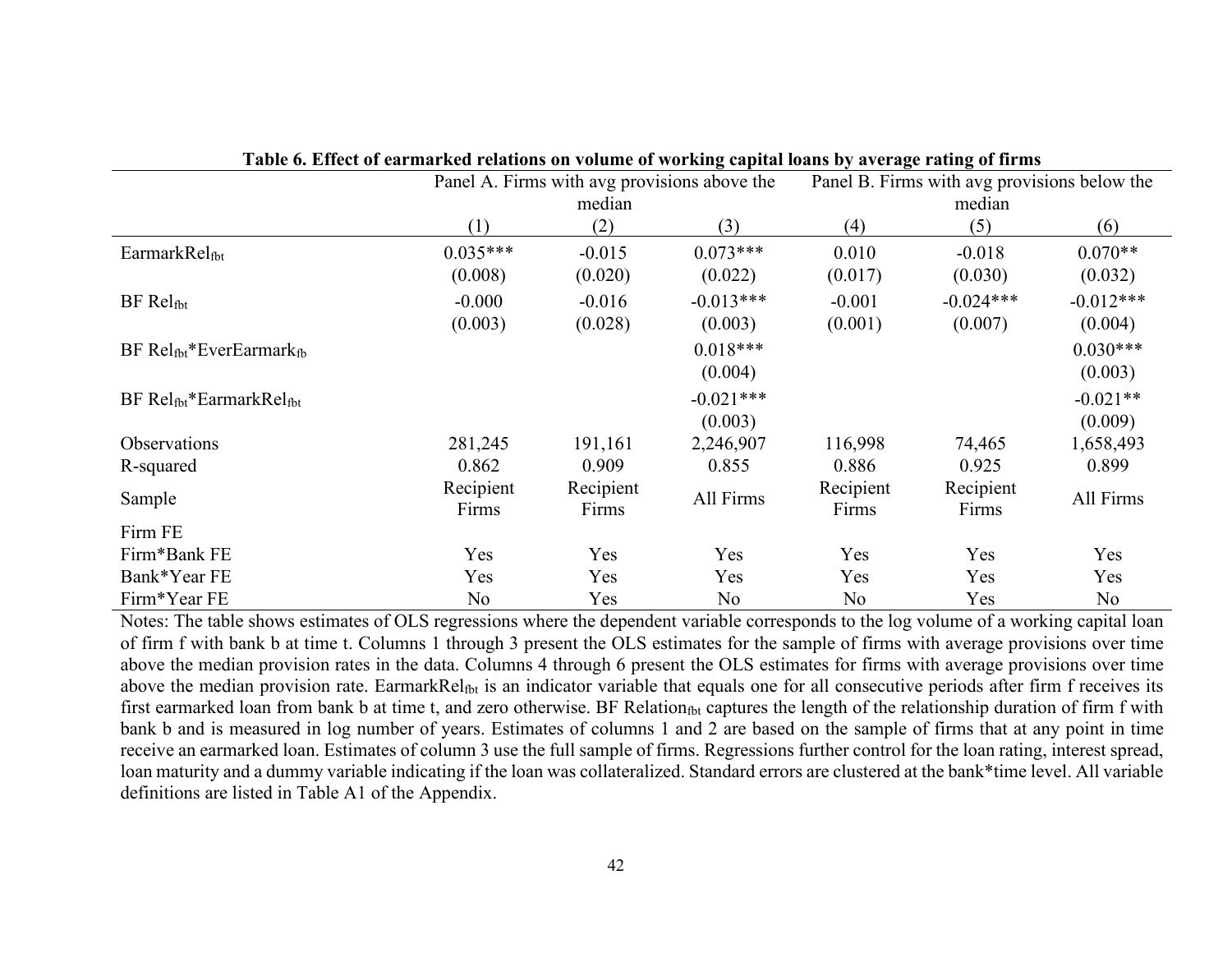|                                 | Panel A. Firms with avg provisions above the |           |                | Panel B. Firms with avg provisions below the |             |             |
|---------------------------------|----------------------------------------------|-----------|----------------|----------------------------------------------|-------------|-------------|
|                                 |                                              | median    |                |                                              |             |             |
|                                 | (1)                                          | (2)       | (3)            | (4)                                          | (5)         | (6)         |
| EarmarkRelfbt                   | $0.035***$                                   | $-0.015$  | $0.073***$     | 0.010                                        | $-0.018$    | $0.070**$   |
|                                 | (0.008)                                      | (0.020)   | (0.022)        | (0.017)                                      | (0.030)     | (0.032)     |
| $BF Rel_{fbt}$                  | $-0.000$                                     | $-0.016$  | $-0.013***$    | $-0.001$                                     | $-0.024***$ | $-0.012***$ |
|                                 | (0.003)                                      | (0.028)   | (0.003)        | (0.001)                                      | (0.007)     | (0.004)     |
| $BF Rel_{fbt}*EverEarmark_{fb}$ |                                              |           | $0.018***$     |                                              |             | $0.030***$  |
|                                 |                                              |           | (0.004)        |                                              |             | (0.003)     |
| $BF Rel_{fbt}*EarmarkRel_{fbt}$ |                                              |           | $-0.021***$    |                                              |             | $-0.021**$  |
|                                 |                                              |           | (0.003)        |                                              |             | (0.009)     |
| Observations                    | 281,245                                      | 191,161   | 2,246,907      | 116,998                                      | 74,465      | 1,658,493   |
| R-squared                       | 0.862                                        | 0.909     | 0.855          | 0.886                                        | 0.925       | 0.899       |
| Sample                          | Recipient                                    | Recipient | All Firms      | Recipient                                    | Recipient   | All Firms   |
|                                 | Firms                                        | Firms     |                | Firms                                        | Firms       |             |
| Firm FE                         |                                              |           |                |                                              |             |             |
| Firm*Bank FE                    | Yes                                          | Yes       | Yes            | Yes                                          | Yes         | Yes         |
| Bank*Year FE                    | Yes                                          | Yes       | Yes            | Yes                                          | Yes         | Yes         |
| Firm*Year FE                    | N <sub>o</sub>                               | Yes       | N <sub>o</sub> | N <sub>o</sub>                               | Yes         | No          |

**Table 6. Effect of earmarked relations on volume of working capital loans by average rating of firms**

Notes: The table shows estimates of OLS regressions where the dependent variable corresponds to the log volume of a working capital loan of firm f with bank b at time t. Columns 1 through 3 present the OLS estimates for the sample of firms with average provisions over time above the median provision rates in the data. Columns 4 through 6 present the OLS estimates for firms with average provisions over time above the median provision rate. EarmarkRel<sub>fbt</sub> is an indicator variable that equals one for all consecutive periods after firm f receives its first earmarked loan from bank b at time t, and zero otherwise. BF Relationfbt captures the length of the relationship duration of firm f with bank b and is measured in log number of years. Estimates of columns 1 and 2 are based on the sample of firms that at any point in time receive an earmarked loan. Estimates of column 3 use the full sample of firms. Regressions further control for the loan rating, interest spread, loan maturity and a dummy variable indicating if the loan was collateralized. Standard errors are clustered at the bank\*time level. All variable definitions are listed in Table A1 of the Appendix.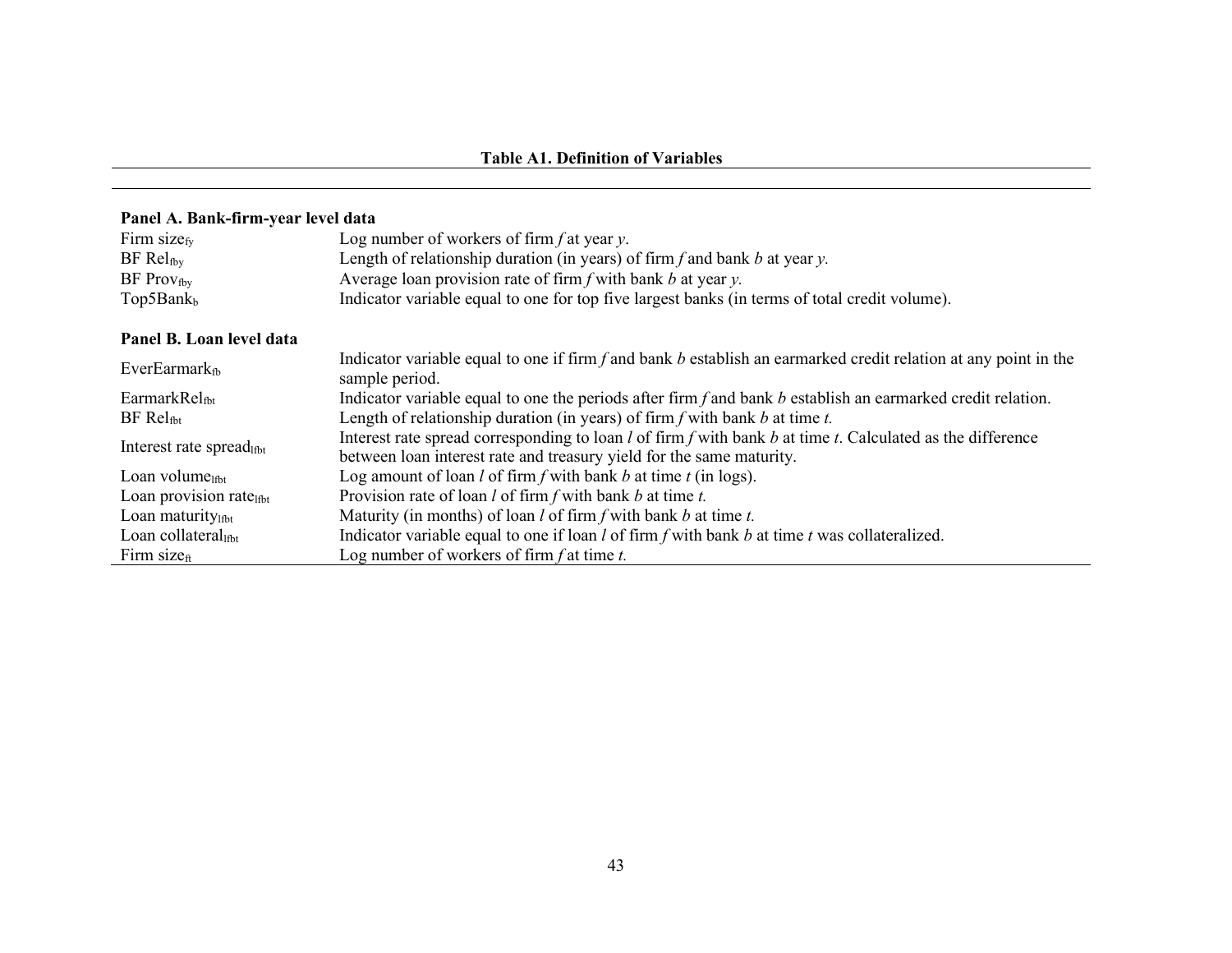### **Panel A. Bank-firm-year level data**

| Firm size $_{fv}$                   | Log number of workers of firm $f$ at year $y$ .                                                                                                                                           |
|-------------------------------------|-------------------------------------------------------------------------------------------------------------------------------------------------------------------------------------------|
| $BF Rel_{fby}$                      | Length of relationship duration (in years) of firm $f$ and bank $b$ at year $y$ .                                                                                                         |
| $BF$ Provfby                        | Average loan provision rate of firm $f$ with bank $b$ at year $y$ .                                                                                                                       |
| Top5Bank <sub>b</sub>               | Indicator variable equal to one for top five largest banks (in terms of total credit volume).                                                                                             |
| Panel B. Loan level data            |                                                                                                                                                                                           |
| EverEarmar $k_{fb}$                 | Indicator variable equal to one if firm $f$ and bank $b$ establish an earmarked credit relation at any point in the<br>sample period.                                                     |
| EarmarkRel <sub>fbt</sub>           | Indicator variable equal to one the periods after firm $f$ and bank $b$ establish an earmarked credit relation.                                                                           |
| $BF Rel_{fbt}$                      | Length of relationship duration (in years) of firm $f$ with bank $b$ at time $t$ .                                                                                                        |
| Interest rate spreadltht            | Interest rate spread corresponding to loan $l$ of firm f with bank $b$ at time $t$ . Calculated as the difference<br>between loan interest rate and treasury yield for the same maturity. |
| Loan volume $_{\text{lfbt}}$        | Log amount of loan $l$ of firm $f$ with bank $b$ at time $t$ (in logs).                                                                                                                   |
| Loan provision rate <sub>lfbt</sub> | Provision rate of loan $l$ of firm $f$ with bank $b$ at time $t$ .                                                                                                                        |
| Loan maturitylfbt                   | Maturity (in months) of loan $l$ of firm $f$ with bank $b$ at time $t$ .                                                                                                                  |
| Loan collateral                     | Indicator variable equal to one if $\tan l$ of firm f with bank b at time t was collateralized.                                                                                           |
| Firm size $_{\rm ft}$               | Log number of workers of firm $f$ at time $t$ .                                                                                                                                           |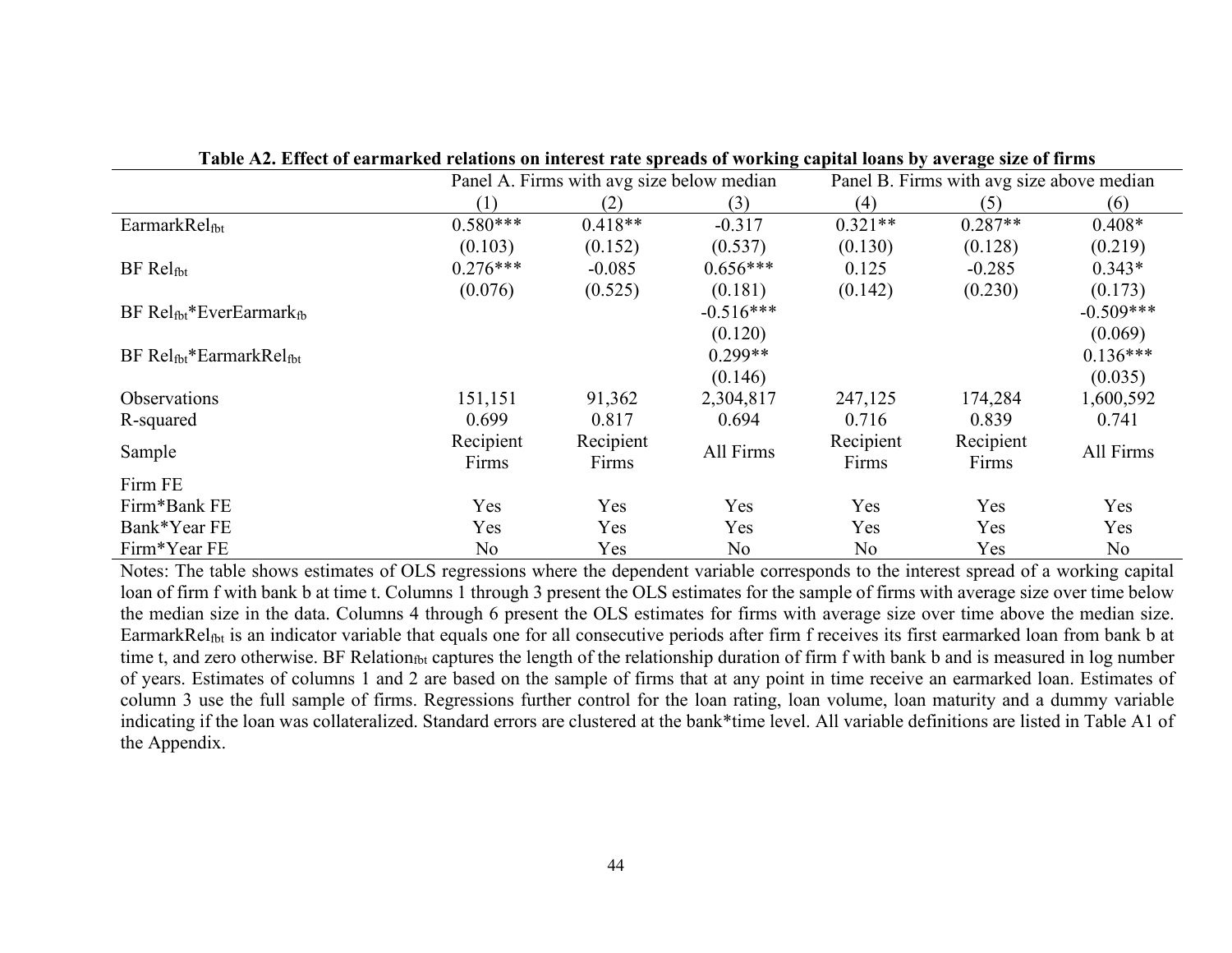|                                 | Panel A. Firms with avg size below median |           |             | Panel B. Firms with avg size above median |           |                |
|---------------------------------|-------------------------------------------|-----------|-------------|-------------------------------------------|-----------|----------------|
|                                 | (1)                                       | (2)       | (3)         | (4)                                       | (5)       | (6)            |
| EarmarkRelfbt                   | $0.580***$                                | $0.418**$ | $-0.317$    | $0.321**$                                 | $0.287**$ | $0.408*$       |
|                                 | (0.103)                                   | (0.152)   | (0.537)     | (0.130)                                   | (0.128)   | (0.219)        |
| $BF$ Rel $_{\text{fbt}}$        | $0.276***$                                | $-0.085$  | $0.656***$  | 0.125                                     | $-0.285$  | $0.343*$       |
|                                 | (0.076)                                   | (0.525)   | (0.181)     | (0.142)                                   | (0.230)   | (0.173)        |
| $BF Rel_{fbt}*EverEarmark_{fb}$ |                                           |           | $-0.516***$ |                                           |           | $-0.509***$    |
|                                 |                                           |           | (0.120)     |                                           |           | (0.069)        |
| $BF Rel_{fbt}*EarmarkRel_{fbt}$ |                                           |           | $0.299**$   |                                           |           | $0.136***$     |
|                                 |                                           |           | (0.146)     |                                           |           | (0.035)        |
| <b>Observations</b>             | 151,151                                   | 91,362    | 2,304,817   | 247,125                                   | 174,284   | 1,600,592      |
| R-squared                       | 0.699                                     | 0.817     | 0.694       | 0.716                                     | 0.839     | 0.741          |
| Sample                          | Recipient                                 | Recipient | All Firms   | Recipient                                 | Recipient | All Firms      |
|                                 | Firms                                     | Firms     |             | Firms                                     | Firms     |                |
| Firm FE                         |                                           |           |             |                                           |           |                |
| Firm*Bank FE                    | Yes                                       | Yes       | Yes         | Yes                                       | Yes       | Yes            |
| Bank*Year FE                    | Yes                                       | Yes       | Yes         | Yes                                       | Yes       | Yes            |
| Firm*Year FE                    | No                                        | Yes       | No          | No                                        | Yes       | N <sub>o</sub> |

**Table A2. Effect of earmarked relations on interest rate spreads of working capital loans by average size of firms**

Notes: The table shows estimates of OLS regressions where the dependent variable corresponds to the interest spread of a working capital loan of firm f with bank b at time t. Columns 1 through 3 present the OLS estimates for the sample of firms with average size over time below the median size in the data. Columns 4 through 6 present the OLS estimates for firms with average size over time above the median size. EarmarkRelfbt is an indicator variable that equals one for all consecutive periods after firm f receives its first earmarked loan from bank b at time t, and zero otherwise. BF Relation<sub>fbt</sub> captures the length of the relationship duration of firm f with bank b and is measured in log number of years. Estimates of columns 1 and 2 are based on the sample of firms that at any point in time receive an earmarked loan. Estimates of column 3 use the full sample of firms. Regressions further control for the loan rating, loan volume, loan maturity and a dummy variable indicating if the loan was collateralized. Standard errors are clustered at the bank\*time level. All variable definitions are listed in Table A1 of the Appendix.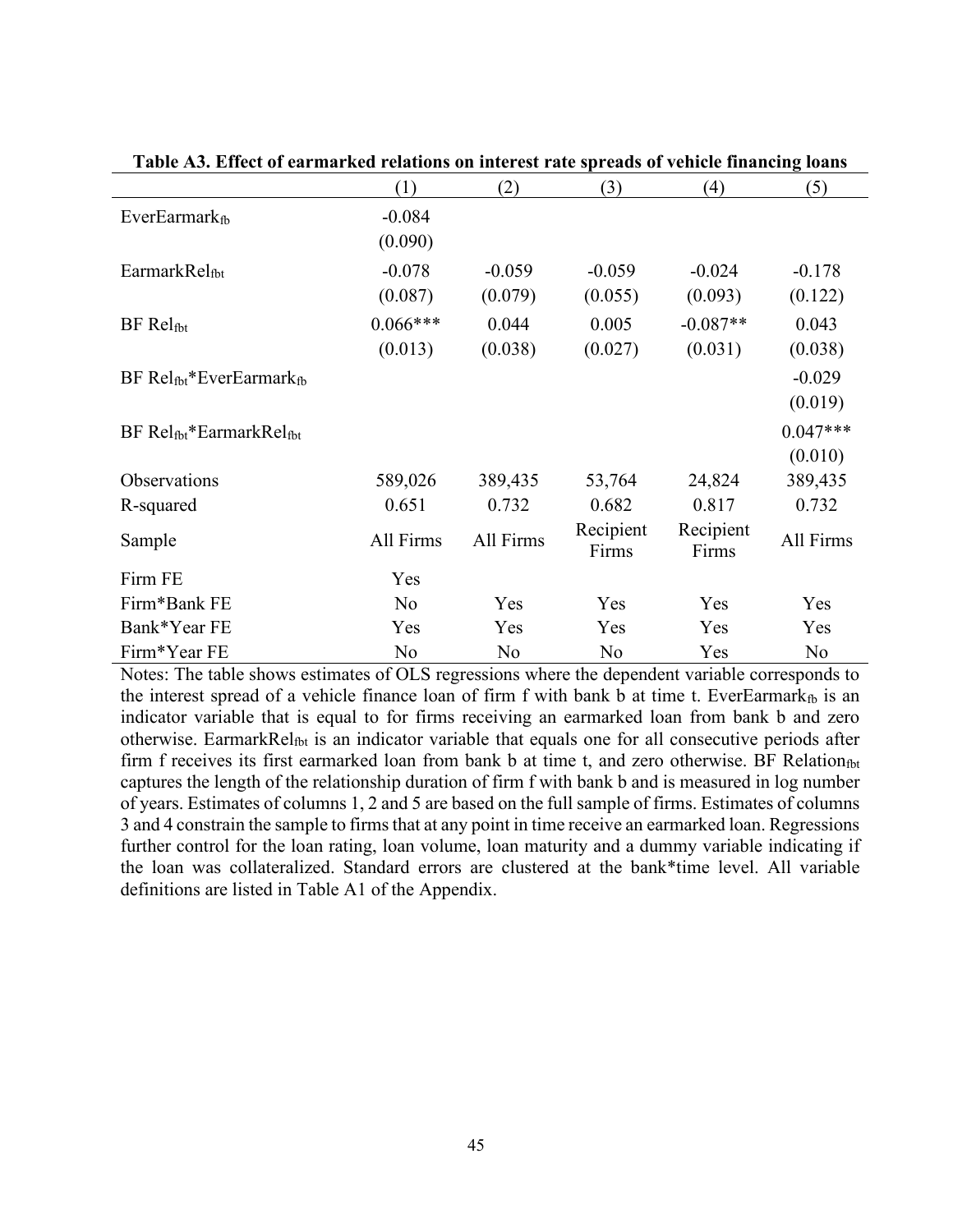|                                 | (1)                   | (2)                 | (3)                 | (4)                   | (5)                   |
|---------------------------------|-----------------------|---------------------|---------------------|-----------------------|-----------------------|
| <b>EverEarmarkfb</b>            | $-0.084$<br>(0.090)   |                     |                     |                       |                       |
| EarmarkRelfbt                   | $-0.078$<br>(0.087)   | $-0.059$<br>(0.079) | $-0.059$<br>(0.055) | $-0.024$<br>(0.093)   | $-0.178$<br>(0.122)   |
| $BF$ Rel $_{\text{fbt}}$        | $0.066***$<br>(0.013) | 0.044<br>(0.038)    | 0.005<br>(0.027)    | $-0.087**$<br>(0.031) | 0.043<br>(0.038)      |
| $BF Rel_{fbt}*EverEarmark_{fb}$ |                       |                     |                     |                       | $-0.029$<br>(0.019)   |
| $BF Rel_{fbt}*EarmarkRel_{fbt}$ |                       |                     |                     |                       | $0.047***$<br>(0.010) |
| Observations                    | 589,026               | 389,435             | 53,764              | 24,824                | 389,435               |
| R-squared                       | 0.651                 | 0.732               | 0.682               | 0.817                 | 0.732                 |
| Sample                          | All Firms             | All Firms           | Recipient<br>Firms  | Recipient<br>Firms    | All Firms             |
| Firm FE                         | Yes                   |                     |                     |                       |                       |
| Firm*Bank FE                    | N <sub>o</sub>        | Yes                 | Yes                 | Yes                   | Yes                   |
| Bank*Year FE                    | Yes                   | Yes                 | Yes                 | Yes                   | Yes                   |
| Firm*Year FE                    | No                    | No                  | No                  | Yes                   | No                    |

**Table A3. Effect of earmarked relations on interest rate spreads of vehicle financing loans**

Notes: The table shows estimates of OLS regressions where the dependent variable corresponds to the interest spread of a vehicle finance loan of firm f with bank b at time t. EverEarmark<sub>fb</sub> is an indicator variable that is equal to for firms receiving an earmarked loan from bank b and zero otherwise. EarmarkRelf<sub>bt</sub> is an indicator variable that equals one for all consecutive periods after firm f receives its first earmarked loan from bank b at time t, and zero otherwise. BF Relationfbt captures the length of the relationship duration of firm f with bank b and is measured in log number of years. Estimates of columns 1, 2 and 5 are based on the full sample of firms. Estimates of columns 3 and 4 constrain the sample to firms that at any point in time receive an earmarked loan. Regressions further control for the loan rating, loan volume, loan maturity and a dummy variable indicating if the loan was collateralized. Standard errors are clustered at the bank\*time level. All variable definitions are listed in Table A1 of the Appendix.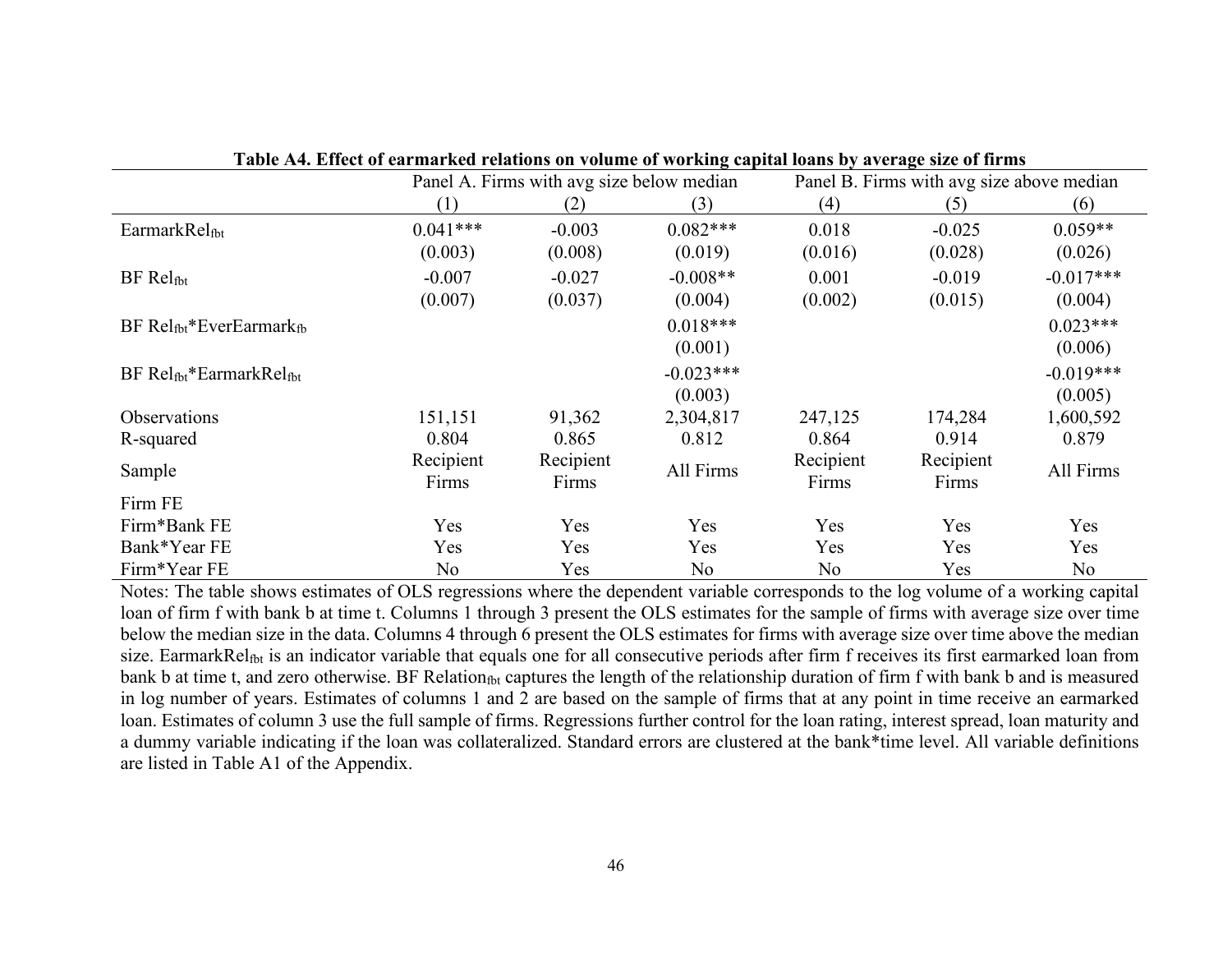|                                 |                    | Panel A. Firms with avg size below median |                |                    | Panel B. Firms with avg size above median |             |  |
|---------------------------------|--------------------|-------------------------------------------|----------------|--------------------|-------------------------------------------|-------------|--|
|                                 | (1)                | (2)                                       | (3)            | (4)                | (5)                                       | (6)         |  |
| EarmarkRelfbt                   | $0.041***$         | $-0.003$                                  | $0.082***$     | 0.018              | $-0.025$                                  | $0.059**$   |  |
|                                 | (0.003)            | (0.008)                                   | (0.019)        | (0.016)            | (0.028)                                   | (0.026)     |  |
| BF Relfbt                       | $-0.007$           | $-0.027$                                  | $-0.008**$     | 0.001              | $-0.019$                                  | $-0.017***$ |  |
|                                 | (0.007)            | (0.037)                                   | (0.004)        | (0.002)            | (0.015)                                   | (0.004)     |  |
| $BF Rel_{fbt}*EverEarmark_{fb}$ |                    |                                           | $0.018***$     |                    |                                           | $0.023***$  |  |
|                                 |                    |                                           | (0.001)        |                    |                                           | (0.006)     |  |
| $BF Rel_{fbt}*EarmarkRel_{fbt}$ |                    |                                           | $-0.023***$    |                    |                                           | $-0.019***$ |  |
|                                 |                    |                                           | (0.003)        |                    |                                           | (0.005)     |  |
| <b>Observations</b>             | 151,151            | 91,362                                    | 2,304,817      | 247,125            | 174,284                                   | 1,600,592   |  |
| R-squared                       | 0.804              | 0.865                                     | 0.812          | 0.864              | 0.914                                     | 0.879       |  |
| Sample                          | Recipient<br>Firms | Recipient<br>Firms                        | All Firms      | Recipient<br>Firms | Recipient<br>Firms                        | All Firms   |  |
| Firm FE                         |                    |                                           |                |                    |                                           |             |  |
| Firm*Bank FE                    | Yes                | Yes                                       | Yes            | Yes                | Yes                                       | Yes         |  |
| Bank*Year FE                    | Yes                | Yes                                       | Yes            | Yes                | Yes                                       | Yes         |  |
| Firm*Year FE                    | No                 | Yes                                       | N <sub>o</sub> | N <sub>o</sub>     | Yes                                       | No          |  |

**Table A4. Effect of earmarked relations on volume of working capital loans by average size of firms**

Notes: The table shows estimates of OLS regressions where the dependent variable corresponds to the log volume of a working capital loan of firm f with bank b at time t. Columns 1 through 3 present the OLS estimates for the sample of firms with average size over time below the median size in the data. Columns 4 through 6 present the OLS estimates for firms with average size over time above the median size. EarmarkRel<sub>fbt</sub> is an indicator variable that equals one for all consecutive periods after firm f receives its first earmarked loan from bank b at time t, and zero otherwise. BF Relation<sub>fbt</sub> captures the length of the relationship duration of firm f with bank b and is measured in log number of years. Estimates of columns 1 and 2 are based on the sample of firms that at any point in time receive an earmarked loan. Estimates of column 3 use the full sample of firms. Regressions further control for the loan rating, interest spread, loan maturity and a dummy variable indicating if the loan was collateralized. Standard errors are clustered at the bank\*time level. All variable definitions are listed in Table A1 of the Appendix.